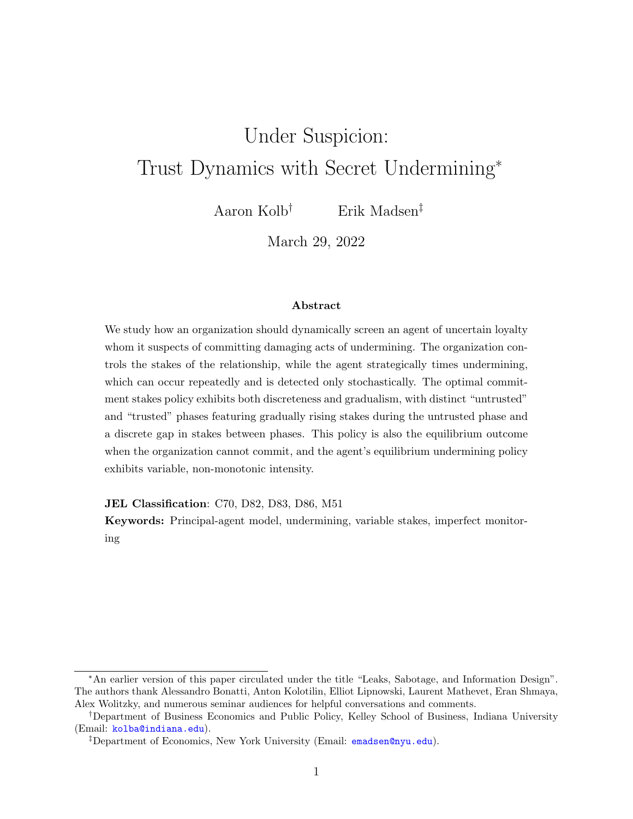# Under Suspicion: Trust Dynamics with Secret Undermining<sup>∗</sup>

Aaron Kolb† Erik Madsen‡

March 29, 2022

#### Abstract

We study how an organization should dynamically screen an agent of uncertain loyalty whom it suspects of committing damaging acts of undermining. The organization controls the stakes of the relationship, while the agent strategically times undermining, which can occur repeatedly and is detected only stochastically. The optimal commitment stakes policy exhibits both discreteness and gradualism, with distinct "untrusted" and "trusted" phases featuring gradually rising stakes during the untrusted phase and a discrete gap in stakes between phases. This policy is also the equilibrium outcome when the organization cannot commit, and the agent's equilibrium undermining policy exhibits variable, non-monotonic intensity.

JEL Classification: C70, D82, D83, D86, M51

Keywords: Principal-agent model, undermining, variable stakes, imperfect monitoring

<sup>∗</sup>An earlier version of this paper circulated under the title "Leaks, Sabotage, and Information Design". The authors thank Alessandro Bonatti, Anton Kolotilin, Elliot Lipnowski, Laurent Mathevet, Eran Shmaya, Alex Wolitzky, and numerous seminar audiences for helpful conversations and comments.

<sup>†</sup>Department of Business Economics and Public Policy, Kelley School of Business, Indiana University (Email: [kolba@indiana.edu](mailto:kolba@indiana.edu)).

<sup>‡</sup>Department of Economics, New York University (Email: [emadsen@nyu.edu](mailto:emadsen@nyu.edu)).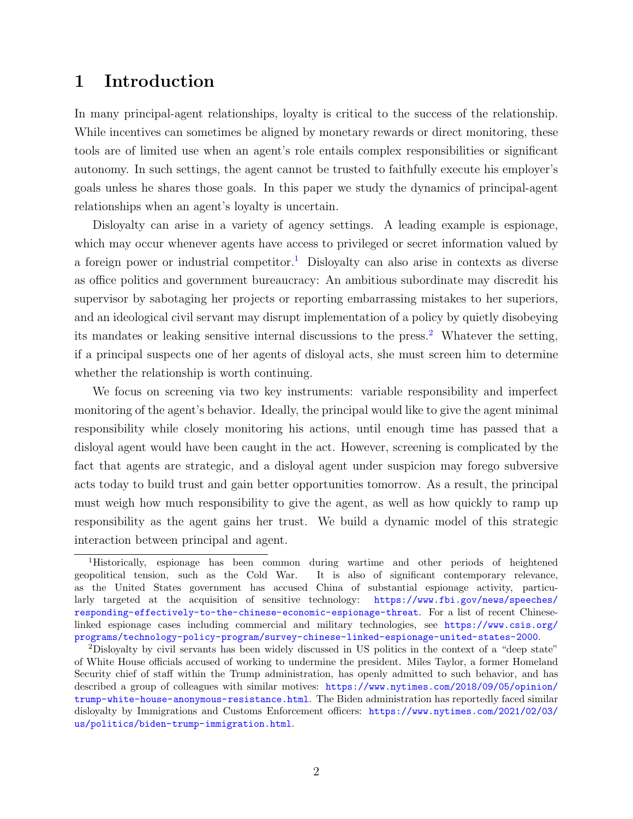# 1 Introduction

In many principal-agent relationships, loyalty is critical to the success of the relationship. While incentives can sometimes be aligned by monetary rewards or direct monitoring, these tools are of limited use when an agent's role entails complex responsibilities or significant autonomy. In such settings, the agent cannot be trusted to faithfully execute his employer's goals unless he shares those goals. In this paper we study the dynamics of principal-agent relationships when an agent's loyalty is uncertain.

Disloyalty can arise in a variety of agency settings. A leading example is espionage, which may occur whenever agents have access to privileged or secret information valued by a foreign power or industrial competitor.<sup>[1](#page-1-0)</sup> Disloyalty can also arise in contexts as diverse as office politics and government bureaucracy: An ambitious subordinate may discredit his supervisor by sabotaging her projects or reporting embarrassing mistakes to her superiors, and an ideological civil servant may disrupt implementation of a policy by quietly disobeying its mandates or leaking sensitive internal discussions to the press.<sup>[2](#page-1-1)</sup> Whatever the setting, if a principal suspects one of her agents of disloyal acts, she must screen him to determine whether the relationship is worth continuing.

We focus on screening via two key instruments: variable responsibility and imperfect monitoring of the agent's behavior. Ideally, the principal would like to give the agent minimal responsibility while closely monitoring his actions, until enough time has passed that a disloyal agent would have been caught in the act. However, screening is complicated by the fact that agents are strategic, and a disloyal agent under suspicion may forego subversive acts today to build trust and gain better opportunities tomorrow. As a result, the principal must weigh how much responsibility to give the agent, as well as how quickly to ramp up responsibility as the agent gains her trust. We build a dynamic model of this strategic interaction between principal and agent.

<span id="page-1-0"></span><sup>1</sup>Historically, espionage has been common during wartime and other periods of heightened geopolitical tension, such as the Cold War. It is also of significant contemporary relevance, as the United States government has accused China of substantial espionage activity, particularly targeted at the acquisition of sensitive technology: [https://www.fbi.gov/news/speeches/](https://www.fbi.gov/news/speeches/responding-effectively-to-the-chinese-economic-espionage-threat) [responding-effectively-to-the-chinese-economic-espionage-threat](https://www.fbi.gov/news/speeches/responding-effectively-to-the-chinese-economic-espionage-threat). For a list of recent Chineselinked espionage cases including commercial and military technologies, see [https://www.csis.org/](https://www.csis.org/programs/technology-policy-program/survey-chinese-linked-espionage-united-states-2000) [programs/technology-policy-program/survey-chinese-linked-espionage-united-states-2000](https://www.csis.org/programs/technology-policy-program/survey-chinese-linked-espionage-united-states-2000).

<span id="page-1-1"></span><sup>2</sup>Disloyalty by civil servants has been widely discussed in US politics in the context of a "deep state" of White House officials accused of working to undermine the president. Miles Taylor, a former Homeland Security chief of staff within the Trump administration, has openly admitted to such behavior, and has described a group of colleagues with similar motives: [https://www.nytimes.com/2018/09/05/opinion/](https://www.nytimes.com/2018/09/05/opinion/trump-white-house-anonymous-resistance.html) [trump-white-house-anonymous-resistance.html](https://www.nytimes.com/2018/09/05/opinion/trump-white-house-anonymous-resistance.html). The Biden administration has reportedly faced similar disloyalty by Immigrations and Customs Enforcement officers: [https://www.nytimes.com/2021/02/03/](https://www.nytimes.com/2021/02/03/us/politics/biden-trump-immigration.html) [us/politics/biden-trump-immigration.html](https://www.nytimes.com/2021/02/03/us/politics/biden-trump-immigration.html).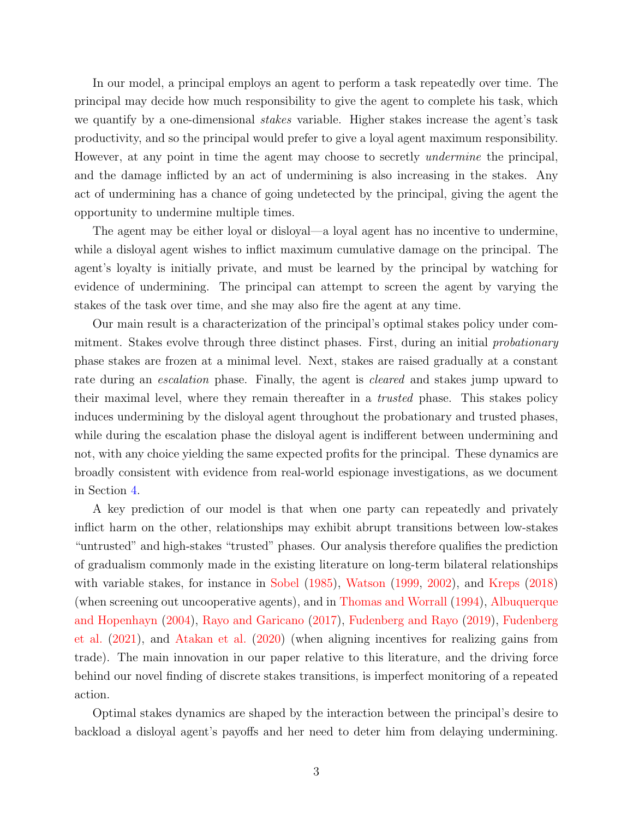In our model, a principal employs an agent to perform a task repeatedly over time. The principal may decide how much responsibility to give the agent to complete his task, which we quantify by a one-dimensional *stakes* variable. Higher stakes increase the agent's task productivity, and so the principal would prefer to give a loyal agent maximum responsibility. However, at any point in time the agent may choose to secretly *undermine* the principal, and the damage inflicted by an act of undermining is also increasing in the stakes. Any act of undermining has a chance of going undetected by the principal, giving the agent the opportunity to undermine multiple times.

The agent may be either loyal or disloyal—a loyal agent has no incentive to undermine, while a disloyal agent wishes to inflict maximum cumulative damage on the principal. The agent's loyalty is initially private, and must be learned by the principal by watching for evidence of undermining. The principal can attempt to screen the agent by varying the stakes of the task over time, and she may also fire the agent at any time.

Our main result is a characterization of the principal's optimal stakes policy under commitment. Stakes evolve through three distinct phases. First, during an initial *probationary* phase stakes are frozen at a minimal level. Next, stakes are raised gradually at a constant rate during an *escalation* phase. Finally, the agent is *cleared* and stakes jump upward to their maximal level, where they remain thereafter in a trusted phase. This stakes policy induces undermining by the disloyal agent throughout the probationary and trusted phases, while during the escalation phase the disloyal agent is indifferent between undermining and not, with any choice yielding the same expected profits for the principal. These dynamics are broadly consistent with evidence from real-world espionage investigations, as we document in Section [4.](#page-15-0)

A key prediction of our model is that when one party can repeatedly and privately inflict harm on the other, relationships may exhibit abrupt transitions between low-stakes "untrusted" and high-stakes "trusted" phases. Our analysis therefore qualifies the prediction of gradualism commonly made in the existing literature on long-term bilateral relationships with variable stakes, for instance in [Sobel](#page-25-0) [\(1985\)](#page-25-0), [Watson](#page-26-0) [\(1999,](#page-26-0) [2002\)](#page-26-1), and [Kreps](#page-25-1) [\(2018\)](#page-25-1) (when screening out uncooperative agents), and in [Thomas and Worrall](#page-26-2) [\(1994\)](#page-26-2), [Albuquerque](#page-25-2) [and Hopenhayn](#page-25-2) [\(2004\)](#page-25-2), [Rayo and Garicano](#page-25-3) [\(2017\)](#page-25-3), [Fudenberg and Rayo](#page-25-4) [\(2019\)](#page-25-4), [Fudenberg](#page-25-5) [et al.](#page-25-5) [\(2021\)](#page-25-5), and [Atakan et al.](#page-25-6) [\(2020\)](#page-25-6) (when aligning incentives for realizing gains from trade). The main innovation in our paper relative to this literature, and the driving force behind our novel finding of discrete stakes transitions, is imperfect monitoring of a repeated action.

Optimal stakes dynamics are shaped by the interaction between the principal's desire to backload a disloyal agent's payoffs and her need to deter him from delaying undermining.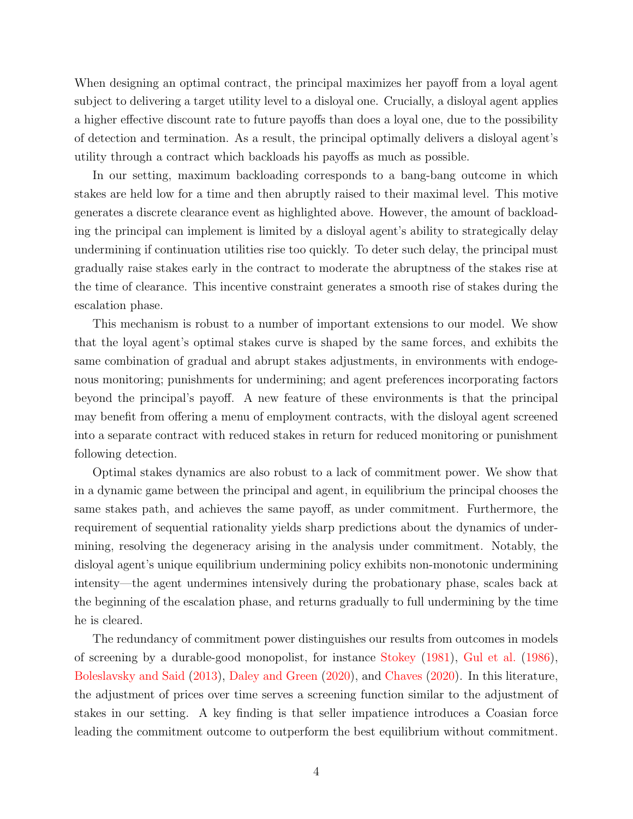When designing an optimal contract, the principal maximizes her payoff from a loyal agent subject to delivering a target utility level to a disloyal one. Crucially, a disloyal agent applies a higher effective discount rate to future payoffs than does a loyal one, due to the possibility of detection and termination. As a result, the principal optimally delivers a disloyal agent's utility through a contract which backloads his payoffs as much as possible.

In our setting, maximum backloading corresponds to a bang-bang outcome in which stakes are held low for a time and then abruptly raised to their maximal level. This motive generates a discrete clearance event as highlighted above. However, the amount of backloading the principal can implement is limited by a disloyal agent's ability to strategically delay undermining if continuation utilities rise too quickly. To deter such delay, the principal must gradually raise stakes early in the contract to moderate the abruptness of the stakes rise at the time of clearance. This incentive constraint generates a smooth rise of stakes during the escalation phase.

This mechanism is robust to a number of important extensions to our model. We show that the loyal agent's optimal stakes curve is shaped by the same forces, and exhibits the same combination of gradual and abrupt stakes adjustments, in environments with endogenous monitoring; punishments for undermining; and agent preferences incorporating factors beyond the principal's payoff. A new feature of these environments is that the principal may benefit from offering a menu of employment contracts, with the disloyal agent screened into a separate contract with reduced stakes in return for reduced monitoring or punishment following detection.

Optimal stakes dynamics are also robust to a lack of commitment power. We show that in a dynamic game between the principal and agent, in equilibrium the principal chooses the same stakes path, and achieves the same payoff, as under commitment. Furthermore, the requirement of sequential rationality yields sharp predictions about the dynamics of undermining, resolving the degeneracy arising in the analysis under commitment. Notably, the disloyal agent's unique equilibrium undermining policy exhibits non-monotonic undermining intensity—the agent undermines intensively during the probationary phase, scales back at the beginning of the escalation phase, and returns gradually to full undermining by the time he is cleared.

The redundancy of commitment power distinguishes our results from outcomes in models of screening by a durable-good monopolist, for instance [Stokey](#page-25-7) [\(1981\)](#page-25-7), [Gul et al.](#page-25-8) [\(1986\)](#page-25-8), [Boleslavsky and Said](#page-25-9) [\(2013\)](#page-25-9), [Daley and Green](#page-25-10) [\(2020\)](#page-25-10), and [Chaves](#page-25-11) [\(2020\)](#page-25-11). In this literature, the adjustment of prices over time serves a screening function similar to the adjustment of stakes in our setting. A key finding is that seller impatience introduces a Coasian force leading the commitment outcome to outperform the best equilibrium without commitment.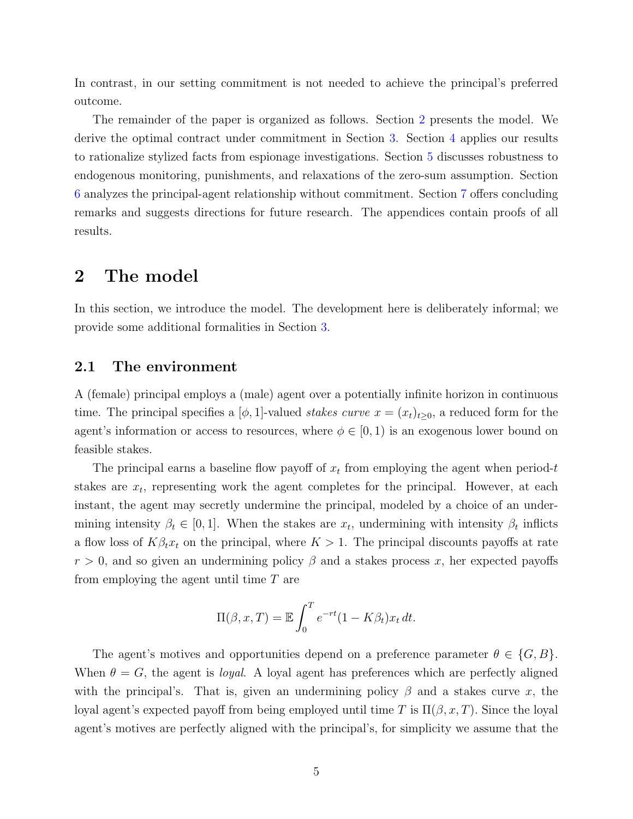In contrast, in our setting commitment is not needed to achieve the principal's preferred outcome.

The remainder of the paper is organized as follows. Section [2](#page-4-0) presents the model. We derive the optimal contract under commitment in Section [3.](#page-6-0) Section [4](#page-15-0) applies our results to rationalize stylized facts from espionage investigations. Section [5](#page-16-0) discusses robustness to endogenous monitoring, punishments, and relaxations of the zero-sum assumption. Section [6](#page-21-0) analyzes the principal-agent relationship without commitment. Section [7](#page-24-0) offers concluding remarks and suggests directions for future research. The appendices contain proofs of all results.

### <span id="page-4-0"></span>2 The model

In this section, we introduce the model. The development here is deliberately informal; we provide some additional formalities in Section [3.](#page-6-0)

#### 2.1 The environment

A (female) principal employs a (male) agent over a potentially infinite horizon in continuous time. The principal specifies a [ $\phi$ , 1]-valued stakes curve  $x = (x_t)_{t\geq 0}$ , a reduced form for the agent's information or access to resources, where  $\phi \in [0, 1)$  is an exogenous lower bound on feasible stakes.

The principal earns a baseline flow payoff of  $x_t$  from employing the agent when period-t stakes are  $x_t$ , representing work the agent completes for the principal. However, at each instant, the agent may secretly undermine the principal, modeled by a choice of an undermining intensity  $\beta_t \in [0, 1]$ . When the stakes are  $x_t$ , undermining with intensity  $\beta_t$  inflicts a flow loss of  $K\beta_t x_t$  on the principal, where  $K > 1$ . The principal discounts payoffs at rate  $r > 0$ , and so given an undermining policy  $\beta$  and a stakes process x, her expected payoffs from employing the agent until time  $T$  are

$$
\Pi(\beta, x, T) = \mathbb{E} \int_0^T e^{-rt} (1 - K\beta_t) x_t dt.
$$

The agent's motives and opportunities depend on a preference parameter  $\theta \in \{G, B\}$ . When  $\theta = G$ , the agent is *loyal*. A loyal agent has preferences which are perfectly aligned with the principal's. That is, given an undermining policy  $\beta$  and a stakes curve x, the loyal agent's expected payoff from being employed until time T is  $\Pi(\beta, x, T)$ . Since the loyal agent's motives are perfectly aligned with the principal's, for simplicity we assume that the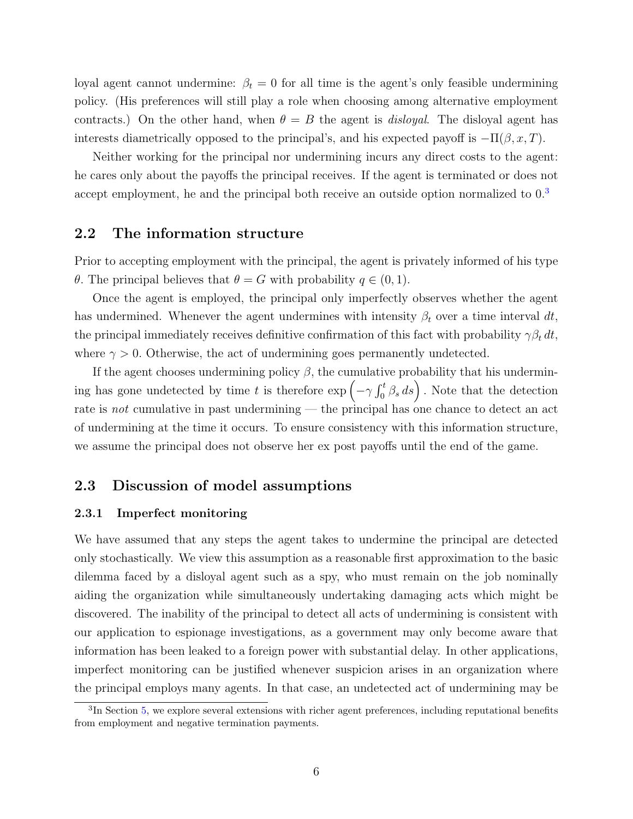loyal agent cannot undermine:  $\beta_t = 0$  for all time is the agent's only feasible undermining policy. (His preferences will still play a role when choosing among alternative employment contracts.) On the other hand, when  $\theta = B$  the agent is *disloyal*. The disloyal agent has interests diametrically opposed to the principal's, and his expected payoff is  $-\Pi(\beta, x, T)$ .

Neither working for the principal nor undermining incurs any direct costs to the agent: he cares only about the payoffs the principal receives. If the agent is terminated or does not accept employment, he and the principal both receive an outside option normalized to  $0<sup>3</sup>$  $0<sup>3</sup>$  $0<sup>3</sup>$ 

#### 2.2 The information structure

Prior to accepting employment with the principal, the agent is privately informed of his type θ. The principal believes that  $θ = G$  with probability  $q ∈ (0, 1)$ .

Once the agent is employed, the principal only imperfectly observes whether the agent has undermined. Whenever the agent undermines with intensity  $\beta_t$  over a time interval dt, the principal immediately receives definitive confirmation of this fact with probability  $\gamma \beta_t dt$ , where  $\gamma > 0$ . Otherwise, the act of undermining goes permanently undetected.

If the agent chooses undermining policy  $\beta$ , the cumulative probability that his undermining has gone undetected by time t is therefore  $\exp\left(-\gamma \int_0^t \beta_s ds\right)$ . Note that the detection rate is *not* cumulative in past undermining — the principal has one chance to detect an act of undermining at the time it occurs. To ensure consistency with this information structure, we assume the principal does not observe her ex post payoffs until the end of the game.

### 2.3 Discussion of model assumptions

#### 2.3.1 Imperfect monitoring

We have assumed that any steps the agent takes to undermine the principal are detected only stochastically. We view this assumption as a reasonable first approximation to the basic dilemma faced by a disloyal agent such as a spy, who must remain on the job nominally aiding the organization while simultaneously undertaking damaging acts which might be discovered. The inability of the principal to detect all acts of undermining is consistent with our application to espionage investigations, as a government may only become aware that information has been leaked to a foreign power with substantial delay. In other applications, imperfect monitoring can be justified whenever suspicion arises in an organization where the principal employs many agents. In that case, an undetected act of undermining may be

<span id="page-5-0"></span><sup>&</sup>lt;sup>3</sup>In Section [5,](#page-16-0) we explore several extensions with richer agent preferences, including reputational benefits from employment and negative termination payments.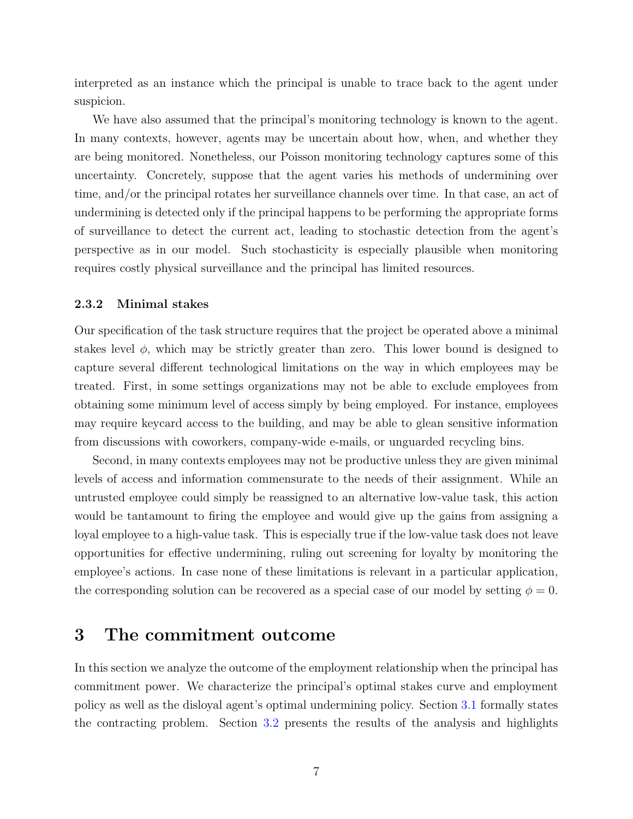interpreted as an instance which the principal is unable to trace back to the agent under suspicion.

We have also assumed that the principal's monitoring technology is known to the agent. In many contexts, however, agents may be uncertain about how, when, and whether they are being monitored. Nonetheless, our Poisson monitoring technology captures some of this uncertainty. Concretely, suppose that the agent varies his methods of undermining over time, and/or the principal rotates her surveillance channels over time. In that case, an act of undermining is detected only if the principal happens to be performing the appropriate forms of surveillance to detect the current act, leading to stochastic detection from the agent's perspective as in our model. Such stochasticity is especially plausible when monitoring requires costly physical surveillance and the principal has limited resources.

#### 2.3.2 Minimal stakes

Our specification of the task structure requires that the project be operated above a minimal stakes level  $\phi$ , which may be strictly greater than zero. This lower bound is designed to capture several different technological limitations on the way in which employees may be treated. First, in some settings organizations may not be able to exclude employees from obtaining some minimum level of access simply by being employed. For instance, employees may require keycard access to the building, and may be able to glean sensitive information from discussions with coworkers, company-wide e-mails, or unguarded recycling bins.

Second, in many contexts employees may not be productive unless they are given minimal levels of access and information commensurate to the needs of their assignment. While an untrusted employee could simply be reassigned to an alternative low-value task, this action would be tantamount to firing the employee and would give up the gains from assigning a loyal employee to a high-value task. This is especially true if the low-value task does not leave opportunities for effective undermining, ruling out screening for loyalty by monitoring the employee's actions. In case none of these limitations is relevant in a particular application, the corresponding solution can be recovered as a special case of our model by setting  $\phi = 0$ .

## <span id="page-6-0"></span>3 The commitment outcome

In this section we analyze the outcome of the employment relationship when the principal has commitment power. We characterize the principal's optimal stakes curve and employment policy as well as the disloyal agent's optimal undermining policy. Section [3.1](#page-7-0) formally states the contracting problem. Section [3.2](#page-8-0) presents the results of the analysis and highlights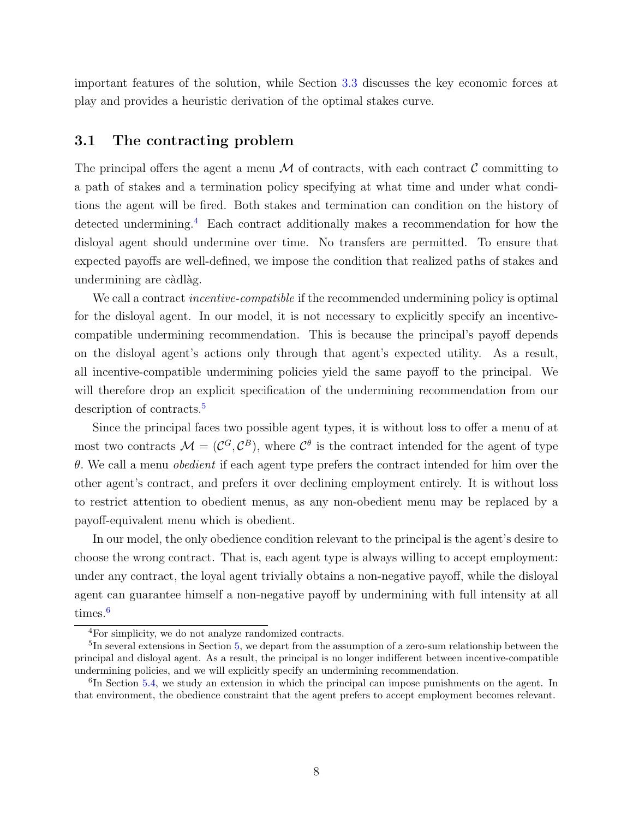important features of the solution, while Section [3.3](#page-11-0) discusses the key economic forces at play and provides a heuristic derivation of the optimal stakes curve.

### <span id="page-7-0"></span>3.1 The contracting problem

The principal offers the agent a menu  $\mathcal M$  of contracts, with each contract  $\mathcal C$  committing to a path of stakes and a termination policy specifying at what time and under what conditions the agent will be fired. Both stakes and termination can condition on the history of detected undermining.[4](#page-7-1) Each contract additionally makes a recommendation for how the disloyal agent should undermine over time. No transfers are permitted. To ensure that expected payoffs are well-defined, we impose the condition that realized paths of stakes and undermining are càdlàg.

We call a contract *incentive-compatible* if the recommended undermining policy is optimal for the disloyal agent. In our model, it is not necessary to explicitly specify an incentivecompatible undermining recommendation. This is because the principal's payoff depends on the disloyal agent's actions only through that agent's expected utility. As a result, all incentive-compatible undermining policies yield the same payoff to the principal. We will therefore drop an explicit specification of the undermining recommendation from our description of contracts.<sup>[5](#page-7-2)</sup>

Since the principal faces two possible agent types, it is without loss to offer a menu of at most two contracts  $\mathcal{M} = (\mathcal{C}^G, \mathcal{C}^B)$ , where  $\mathcal{C}^{\theta}$  is the contract intended for the agent of type  $\theta$ . We call a menu *obedient* if each agent type prefers the contract intended for him over the other agent's contract, and prefers it over declining employment entirely. It is without loss to restrict attention to obedient menus, as any non-obedient menu may be replaced by a payoff-equivalent menu which is obedient.

In our model, the only obedience condition relevant to the principal is the agent's desire to choose the wrong contract. That is, each agent type is always willing to accept employment: under any contract, the loyal agent trivially obtains a non-negative payoff, while the disloyal agent can guarantee himself a non-negative payoff by undermining with full intensity at all times.<sup>[6](#page-7-3)</sup>

<span id="page-7-2"></span><span id="page-7-1"></span><sup>4</sup>For simplicity, we do not analyze randomized contracts.

<sup>&</sup>lt;sup>5</sup>In several extensions in Section [5,](#page-16-0) we depart from the assumption of a zero-sum relationship between the principal and disloyal agent. As a result, the principal is no longer indifferent between incentive-compatible undermining policies, and we will explicitly specify an undermining recommendation.

<span id="page-7-3"></span><sup>&</sup>lt;sup>6</sup>In Section [5.4,](#page-20-0) we study an extension in which the principal can impose punishments on the agent. In that environment, the obedience constraint that the agent prefers to accept employment becomes relevant.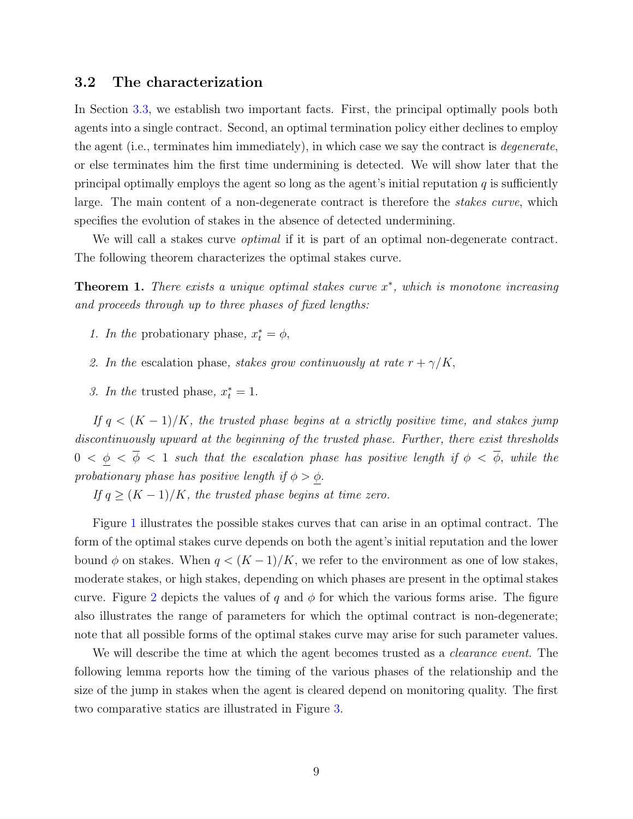### <span id="page-8-0"></span>3.2 The characterization

In Section [3.3,](#page-11-0) we establish two important facts. First, the principal optimally pools both agents into a single contract. Second, an optimal termination policy either declines to employ the agent (i.e., terminates him immediately), in which case we say the contract is degenerate, or else terminates him the first time undermining is detected. We will show later that the principal optimally employs the agent so long as the agent's initial reputation  $q$  is sufficiently large. The main content of a non-degenerate contract is therefore the *stakes curve*, which specifies the evolution of stakes in the absence of detected undermining.

We will call a stakes curve *optimal* if it is part of an optimal non-degenerate contract. The following theorem characterizes the optimal stakes curve.

<span id="page-8-1"></span>**Theorem 1.** There exists a unique optimal stakes curve  $x^*$ , which is monotone increasing and proceeds through up to three phases of fixed lengths:

- 1. In the probationary phase,  $x_t^* = \phi$ ,
- 2. In the escalation phase, stakes grow continuously at rate  $r + \gamma/K$ ,
- 3. In the trusted phase,  $x_t^* = 1$ .

If  $q < (K-1)/K$ , the trusted phase begins at a strictly positive time, and stakes jump discontinuously upward at the beginning of the trusted phase. Further, there exist thresholds  $0 < \underline{\phi} < \overline{\phi} < 1$  such that the escalation phase has positive length if  $\phi < \overline{\phi}$ , while the probationary phase has positive length if  $\phi > \phi$ .

If  $q \geq (K-1)/K$ , the trusted phase begins at time zero.

Figure [1](#page-9-0) illustrates the possible stakes curves that can arise in an optimal contract. The form of the optimal stakes curve depends on both the agent's initial reputation and the lower bound  $\phi$  on stakes. When  $q < (K-1)/K$ , we refer to the environment as one of low stakes, moderate stakes, or high stakes, depending on which phases are present in the optimal stakes curve. Figure [2](#page-10-0) depicts the values of q and  $\phi$  for which the various forms arise. The figure also illustrates the range of parameters for which the optimal contract is non-degenerate; note that all possible forms of the optimal stakes curve may arise for such parameter values.

We will describe the time at which the agent becomes trusted as a *clearance event*. The following lemma reports how the timing of the various phases of the relationship and the size of the jump in stakes when the agent is cleared depend on monitoring quality. The first two comparative statics are illustrated in Figure [3.](#page-10-1)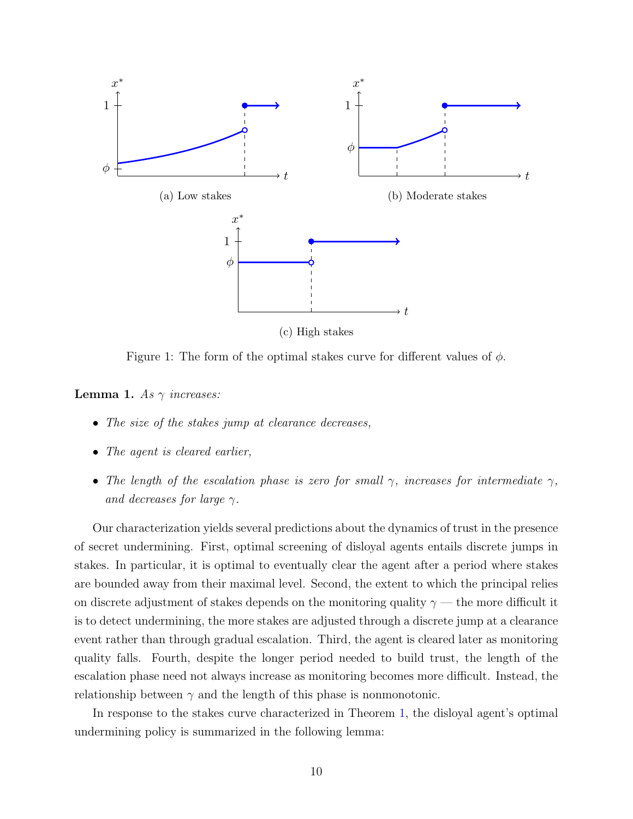<span id="page-9-0"></span>

(c) High stakes

Figure 1: The form of the optimal stakes curve for different values of  $\phi$ .

<span id="page-9-1"></span>**Lemma 1.** As  $\gamma$  increases:

- The size of the stakes jump at clearance decreases.
- The agent is cleared earlier,
- The length of the escalation phase is zero for small  $\gamma$ , increases for intermediate  $\gamma$ , and decreases for large  $\gamma$ .

Our characterization yields several predictions about the dynamics of trust in the presence of secret undermining. First, optimal screening of disloyal agents entails discrete jumps in stakes. In particular, it is optimal to eventually clear the agent after a period where stakes are bounded away from their maximal level. Second, the extent to which the principal relies on discrete adjustment of stakes depends on the monitoring quality  $\gamma$  — the more difficult it is to detect undermining, the more stakes are adjusted through a discrete jump at a clearance event rather than through gradual escalation. Third, the agent is cleared later as monitoring quality falls. Fourth, despite the longer period needed to build trust, the length of the escalation phase need not always increase as monitoring becomes more difficult. Instead, the relationship between  $\gamma$  and the length of this phase is nonmonotonic.

In response to the stakes curve characterized in Theorem [1,](#page-8-1) the disloyal agent's optimal undermining policy is summarized in the following lemma: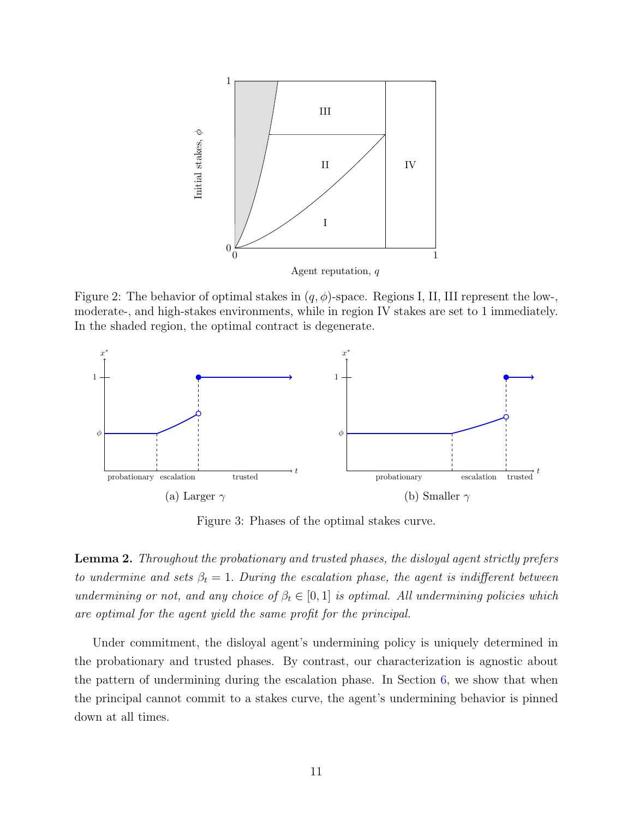<span id="page-10-0"></span>

Figure 2: The behavior of optimal stakes in  $(q, \phi)$ -space. Regions I, II, III represent the low-, moderate-, and high-stakes environments, while in region IV stakes are set to 1 immediately. In the shaded region, the optimal contract is degenerate.

<span id="page-10-1"></span>

Figure 3: Phases of the optimal stakes curve.

<span id="page-10-2"></span>Lemma 2. Throughout the probationary and trusted phases, the disloyal agent strictly prefers to undermine and sets  $\beta_t = 1$ . During the escalation phase, the agent is indifferent between undermining or not, and any choice of  $\beta_t \in [0,1]$  is optimal. All undermining policies which are optimal for the agent yield the same profit for the principal.

Under commitment, the disloyal agent's undermining policy is uniquely determined in the probationary and trusted phases. By contrast, our characterization is agnostic about the pattern of undermining during the escalation phase. In Section [6,](#page-21-0) we show that when the principal cannot commit to a stakes curve, the agent's undermining behavior is pinned down at all times.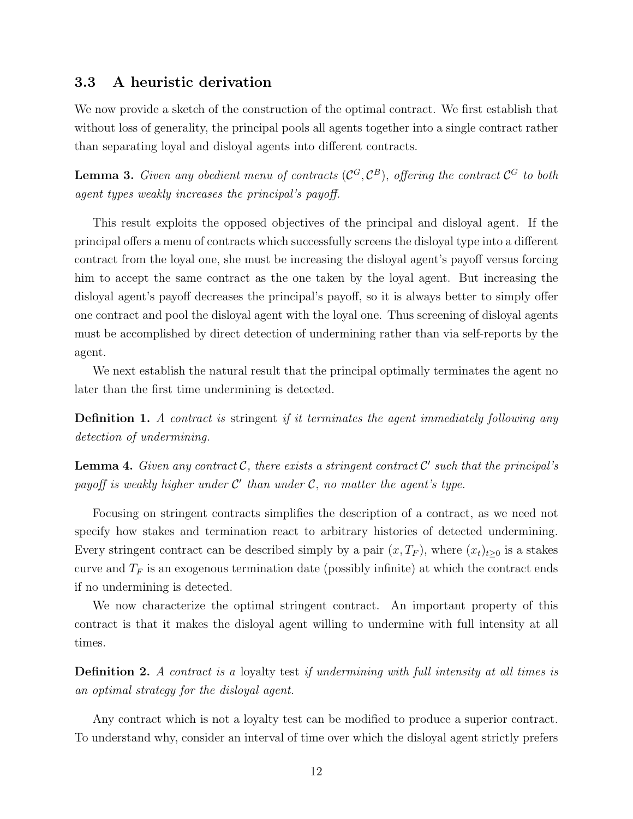### <span id="page-11-0"></span>3.3 A heuristic derivation

We now provide a sketch of the construction of the optimal contract. We first establish that without loss of generality, the principal pools all agents together into a single contract rather than separating loyal and disloyal agents into different contracts.

<span id="page-11-1"></span>**Lemma 3.** Given any obedient menu of contracts  $(C^G, C^B)$ , offering the contract  $C^G$  to both agent types weakly increases the principal's payoff.

This result exploits the opposed objectives of the principal and disloyal agent. If the principal offers a menu of contracts which successfully screens the disloyal type into a different contract from the loyal one, she must be increasing the disloyal agent's payoff versus forcing him to accept the same contract as the one taken by the loyal agent. But increasing the disloyal agent's payoff decreases the principal's payoff, so it is always better to simply offer one contract and pool the disloyal agent with the loyal one. Thus screening of disloyal agents must be accomplished by direct detection of undermining rather than via self-reports by the agent.

We next establish the natural result that the principal optimally terminates the agent no later than the first time undermining is detected.

**Definition 1.** A contract is stringent if it terminates the agent immediately following any detection of undermining.

<span id="page-11-2"></span>**Lemma 4.** Given any contract  $\mathcal{C}$ , there exists a stringent contract  $\mathcal{C}'$  such that the principal's payoff is weakly higher under  $\mathcal{C}'$  than under  $\mathcal{C}$ , no matter the agent's type.

Focusing on stringent contracts simplifies the description of a contract, as we need not specify how stakes and termination react to arbitrary histories of detected undermining. Every stringent contract can be described simply by a pair  $(x, T_F)$ , where  $(x_t)_{t\geq0}$  is a stakes curve and  $T_F$  is an exogenous termination date (possibly infinite) at which the contract ends if no undermining is detected.

We now characterize the optimal stringent contract. An important property of this contract is that it makes the disloyal agent willing to undermine with full intensity at all times.

Definition 2. A contract is a loyalty test if undermining with full intensity at all times is an optimal strategy for the disloyal agent.

Any contract which is not a loyalty test can be modified to produce a superior contract. To understand why, consider an interval of time over which the disloyal agent strictly prefers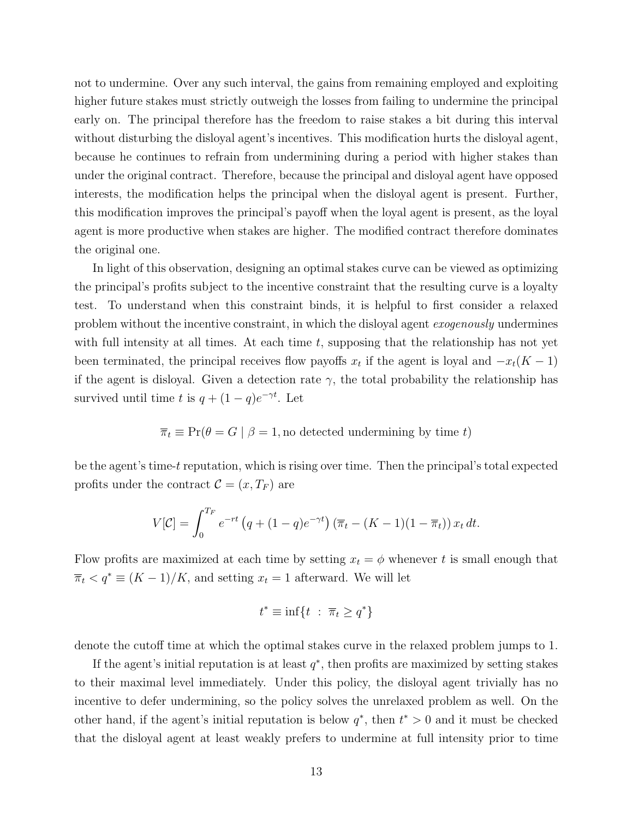not to undermine. Over any such interval, the gains from remaining employed and exploiting higher future stakes must strictly outweigh the losses from failing to undermine the principal early on. The principal therefore has the freedom to raise stakes a bit during this interval without disturbing the disloyal agent's incentives. This modification hurts the disloyal agent, because he continues to refrain from undermining during a period with higher stakes than under the original contract. Therefore, because the principal and disloyal agent have opposed interests, the modification helps the principal when the disloyal agent is present. Further, this modification improves the principal's payoff when the loyal agent is present, as the loyal agent is more productive when stakes are higher. The modified contract therefore dominates the original one.

In light of this observation, designing an optimal stakes curve can be viewed as optimizing the principal's profits subject to the incentive constraint that the resulting curve is a loyalty test. To understand when this constraint binds, it is helpful to first consider a relaxed problem without the incentive constraint, in which the disloyal agent exogenously undermines with full intensity at all times. At each time  $t$ , supposing that the relationship has not yet been terminated, the principal receives flow payoffs  $x_t$  if the agent is loyal and  $-x_t(K-1)$ if the agent is disloyal. Given a detection rate  $\gamma$ , the total probability the relationship has survived until time t is  $q + (1 - q)e^{-\gamma t}$ . Let

$$
\overline{\pi}_t \equiv \Pr(\theta = G \mid \beta = 1, \text{no detected undermining by time } t)
$$

be the agent's time-t reputation, which is rising over time. Then the principal's total expected profits under the contract  $\mathcal{C} = (x, T_F)$  are

$$
V[\mathcal{C}] = \int_0^{T_F} e^{-rt} \left( q + (1-q)e^{-\gamma t} \right) \left( \overline{\pi}_t - (K-1)(1-\overline{\pi}_t) \right) x_t dt.
$$

Flow profits are maximized at each time by setting  $x_t = \phi$  whenever t is small enough that  $\overline{\pi}_t < q^* \equiv (K-1)/K$ , and setting  $x_t = 1$  afterward. We will let

$$
t^* \equiv \inf\{t \ : \ \overline{\pi}_t \ge q^*\}
$$

denote the cutoff time at which the optimal stakes curve in the relaxed problem jumps to 1.

If the agent's initial reputation is at least  $q^*$ , then profits are maximized by setting stakes to their maximal level immediately. Under this policy, the disloyal agent trivially has no incentive to defer undermining, so the policy solves the unrelaxed problem as well. On the other hand, if the agent's initial reputation is below  $q^*$ , then  $t^* > 0$  and it must be checked that the disloyal agent at least weakly prefers to undermine at full intensity prior to time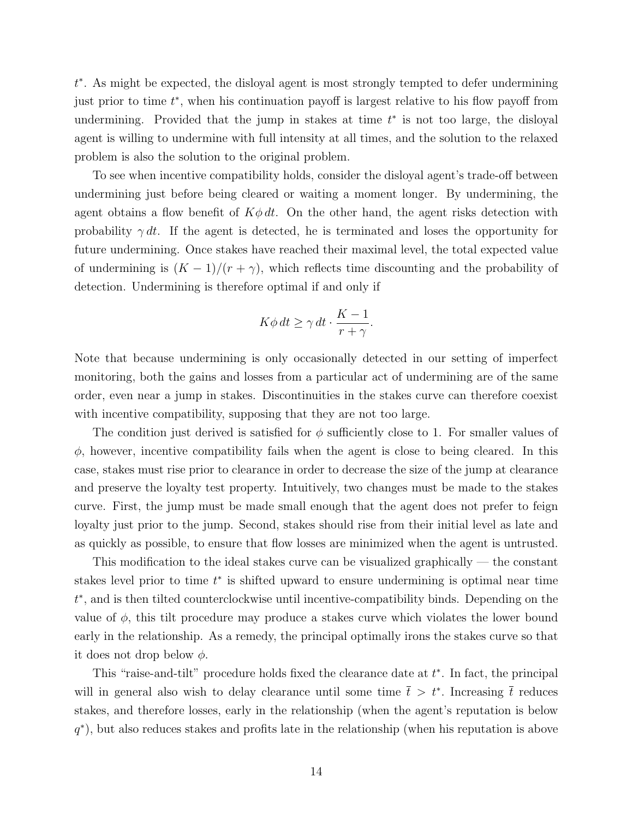t ∗ . As might be expected, the disloyal agent is most strongly tempted to defer undermining just prior to time  $t^*$ , when his continuation payoff is largest relative to his flow payoff from undermining. Provided that the jump in stakes at time  $t^*$  is not too large, the disloyal agent is willing to undermine with full intensity at all times, and the solution to the relaxed problem is also the solution to the original problem.

To see when incentive compatibility holds, consider the disloyal agent's trade-off between undermining just before being cleared or waiting a moment longer. By undermining, the agent obtains a flow benefit of  $K\phi dt$ . On the other hand, the agent risks detection with probability  $\gamma dt$ . If the agent is detected, he is terminated and loses the opportunity for future undermining. Once stakes have reached their maximal level, the total expected value of undermining is  $(K-1)/(r+\gamma)$ , which reflects time discounting and the probability of detection. Undermining is therefore optimal if and only if

$$
K\phi\,dt \ge \gamma\,dt \cdot \frac{K-1}{r+\gamma}.
$$

Note that because undermining is only occasionally detected in our setting of imperfect monitoring, both the gains and losses from a particular act of undermining are of the same order, even near a jump in stakes. Discontinuities in the stakes curve can therefore coexist with incentive compatibility, supposing that they are not too large.

The condition just derived is satisfied for  $\phi$  sufficiently close to 1. For smaller values of  $\phi$ , however, incentive compatibility fails when the agent is close to being cleared. In this case, stakes must rise prior to clearance in order to decrease the size of the jump at clearance and preserve the loyalty test property. Intuitively, two changes must be made to the stakes curve. First, the jump must be made small enough that the agent does not prefer to feign loyalty just prior to the jump. Second, stakes should rise from their initial level as late and as quickly as possible, to ensure that flow losses are minimized when the agent is untrusted.

This modification to the ideal stakes curve can be visualized graphically — the constant stakes level prior to time  $t^*$  is shifted upward to ensure undermining is optimal near time t ∗ , and is then tilted counterclockwise until incentive-compatibility binds. Depending on the value of  $\phi$ , this tilt procedure may produce a stakes curve which violates the lower bound early in the relationship. As a remedy, the principal optimally irons the stakes curve so that it does not drop below  $\phi$ .

This "raise-and-tilt" procedure holds fixed the clearance date at  $t^*$ . In fact, the principal will in general also wish to delay clearance until some time  $\bar{t} > t^*$ . Increasing  $\bar{t}$  reduces stakes, and therefore losses, early in the relationship (when the agent's reputation is below q ∗ ), but also reduces stakes and profits late in the relationship (when his reputation is above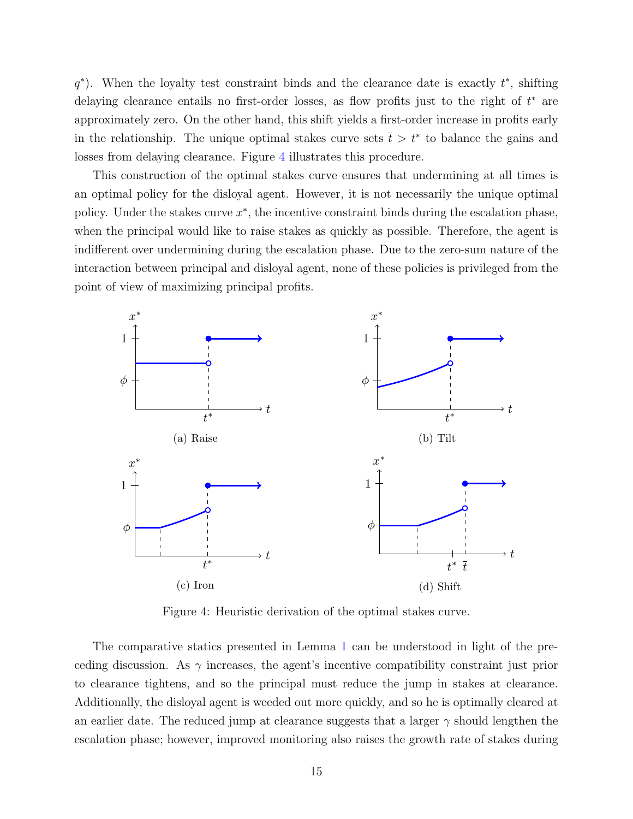$q^*$ ). When the loyalty test constraint binds and the clearance date is exactly  $t^*$ , shifting delaying clearance entails no first-order losses, as flow profits just to the right of  $t^*$  are approximately zero. On the other hand, this shift yields a first-order increase in profits early in the relationship. The unique optimal stakes curve sets  $\bar{t} > t^*$  to balance the gains and losses from delaying clearance. Figure [4](#page-14-0) illustrates this procedure.

This construction of the optimal stakes curve ensures that undermining at all times is an optimal policy for the disloyal agent. However, it is not necessarily the unique optimal policy. Under the stakes curve  $x^*$ , the incentive constraint binds during the escalation phase, when the principal would like to raise stakes as quickly as possible. Therefore, the agent is indifferent over undermining during the escalation phase. Due to the zero-sum nature of the interaction between principal and disloyal agent, none of these policies is privileged from the point of view of maximizing principal profits.

<span id="page-14-0"></span>

Figure 4: Heuristic derivation of the optimal stakes curve.

The comparative statics presented in Lemma [1](#page-9-1) can be understood in light of the preceding discussion. As  $\gamma$  increases, the agent's incentive compatibility constraint just prior to clearance tightens, and so the principal must reduce the jump in stakes at clearance. Additionally, the disloyal agent is weeded out more quickly, and so he is optimally cleared at an earlier date. The reduced jump at clearance suggests that a larger  $\gamma$  should lengthen the escalation phase; however, improved monitoring also raises the growth rate of stakes during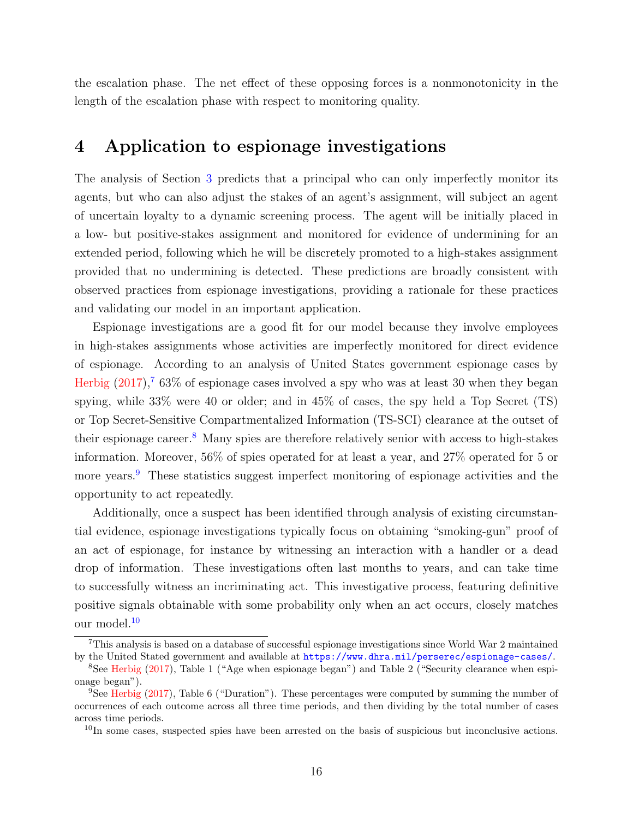the escalation phase. The net effect of these opposing forces is a nonmonotonicity in the length of the escalation phase with respect to monitoring quality.

## <span id="page-15-0"></span>4 Application to espionage investigations

The analysis of Section [3](#page-6-0) predicts that a principal who can only imperfectly monitor its agents, but who can also adjust the stakes of an agent's assignment, will subject an agent of uncertain loyalty to a dynamic screening process. The agent will be initially placed in a low- but positive-stakes assignment and monitored for evidence of undermining for an extended period, following which he will be discretely promoted to a high-stakes assignment provided that no undermining is detected. These predictions are broadly consistent with observed practices from espionage investigations, providing a rationale for these practices and validating our model in an important application.

Espionage investigations are a good fit for our model because they involve employees in high-stakes assignments whose activities are imperfectly monitored for direct evidence of espionage. According to an analysis of United States government espionage cases by [Herbig](#page-25-12)  $(2017)$ ,<sup>[7](#page-15-1)</sup> 63% of espionage cases involved a spy who was at least 30 when they began spying, while 33% were 40 or older; and in 45% of cases, the spy held a Top Secret (TS) or Top Secret-Sensitive Compartmentalized Information (TS-SCI) clearance at the outset of their espionage career.<sup>[8](#page-15-2)</sup> Many spies are therefore relatively senior with access to high-stakes information. Moreover, 56% of spies operated for at least a year, and 27% operated for 5 or more years.<sup>[9](#page-15-3)</sup> These statistics suggest imperfect monitoring of espionage activities and the opportunity to act repeatedly.

Additionally, once a suspect has been identified through analysis of existing circumstantial evidence, espionage investigations typically focus on obtaining "smoking-gun" proof of an act of espionage, for instance by witnessing an interaction with a handler or a dead drop of information. These investigations often last months to years, and can take time to successfully witness an incriminating act. This investigative process, featuring definitive positive signals obtainable with some probability only when an act occurs, closely matches our model.[10](#page-15-4)

<span id="page-15-1"></span><sup>7</sup>This analysis is based on a database of successful espionage investigations since World War 2 maintained by the United Stated government and available at <https://www.dhra.mil/perserec/espionage-cases/>.

<span id="page-15-2"></span><sup>8</sup>See [Herbig](#page-25-12) [\(2017\)](#page-25-12), Table 1 ("Age when espionage began") and Table 2 ("Security clearance when espionage began").

<span id="page-15-3"></span><sup>9</sup>See [Herbig](#page-25-12) [\(2017\)](#page-25-12), Table 6 ("Duration"). These percentages were computed by summing the number of occurrences of each outcome across all three time periods, and then dividing by the total number of cases across time periods.

<span id="page-15-4"></span><sup>&</sup>lt;sup>10</sup>In some cases, suspected spies have been arrested on the basis of suspicious but inconclusive actions.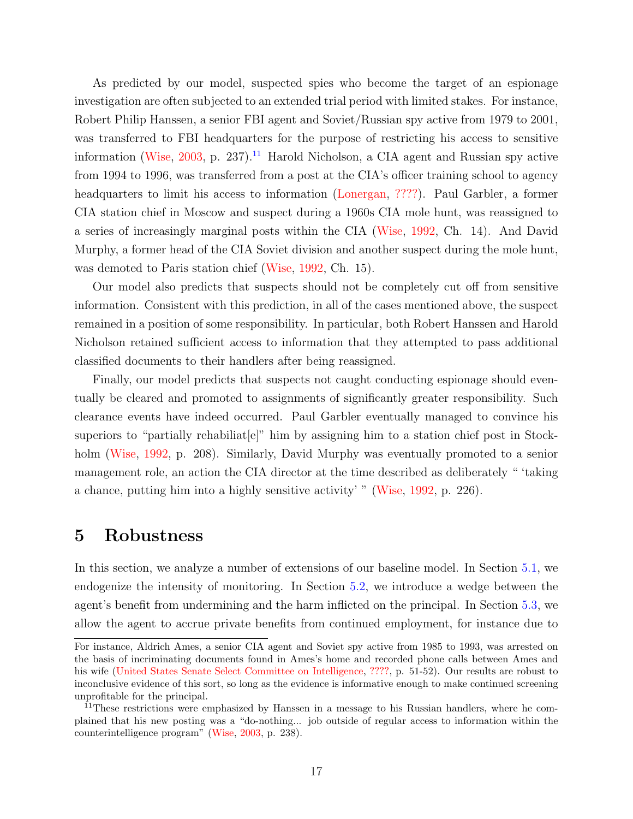As predicted by our model, suspected spies who become the target of an espionage investigation are often subjected to an extended trial period with limited stakes. For instance, Robert Philip Hanssen, a senior FBI agent and Soviet/Russian spy active from 1979 to 2001, was transferred to FBI headquarters for the purpose of restricting his access to sensitive information [\(Wise,](#page-26-3) [2003,](#page-26-3) p. 237).<sup>[11](#page-16-1)</sup> Harold Nicholson, a CIA agent and Russian spy active from 1994 to 1996, was transferred from a post at the CIA's officer training school to agency headquarters to limit his access to information [\(Lonergan,](#page-25-13) [????\)](#page-25-13). Paul Garbler, a former CIA station chief in Moscow and suspect during a 1960s CIA mole hunt, was reassigned to a series of increasingly marginal posts within the CIA [\(Wise,](#page-26-4) [1992,](#page-26-4) Ch. 14). And David Murphy, a former head of the CIA Soviet division and another suspect during the mole hunt, was demoted to Paris station chief [\(Wise,](#page-26-4) [1992,](#page-26-4) Ch. 15).

Our model also predicts that suspects should not be completely cut off from sensitive information. Consistent with this prediction, in all of the cases mentioned above, the suspect remained in a position of some responsibility. In particular, both Robert Hanssen and Harold Nicholson retained sufficient access to information that they attempted to pass additional classified documents to their handlers after being reassigned.

Finally, our model predicts that suspects not caught conducting espionage should eventually be cleared and promoted to assignments of significantly greater responsibility. Such clearance events have indeed occurred. Paul Garbler eventually managed to convince his superiors to "partially rehabiliate" him by assigning him to a station chief post in Stockholm [\(Wise,](#page-26-4) [1992,](#page-26-4) p. 208). Similarly, David Murphy was eventually promoted to a senior management role, an action the CIA director at the time described as deliberately " 'taking a chance, putting him into a highly sensitive activity' " [\(Wise,](#page-26-4) [1992,](#page-26-4) p. 226).

### <span id="page-16-0"></span>5 Robustness

In this section, we analyze a number of extensions of our baseline model. In Section [5.1,](#page-17-0) we endogenize the intensity of monitoring. In Section [5.2,](#page-18-0) we introduce a wedge between the agent's benefit from undermining and the harm inflicted on the principal. In Section [5.3,](#page-19-0) we allow the agent to accrue private benefits from continued employment, for instance due to

For instance, Aldrich Ames, a senior CIA agent and Soviet spy active from 1985 to 1993, was arrested on the basis of incriminating documents found in Ames's home and recorded phone calls between Ames and his wife [\(United States Senate Select Committee on Intelligence,](#page-26-5) [????,](#page-26-5) p. 51-52). Our results are robust to inconclusive evidence of this sort, so long as the evidence is informative enough to make continued screening unprofitable for the principal.

<span id="page-16-1"></span><sup>&</sup>lt;sup>11</sup>These restrictions were emphasized by Hanssen in a message to his Russian handlers, where he complained that his new posting was a "do-nothing... job outside of regular access to information within the counterintelligence program" [\(Wise,](#page-26-3) [2003,](#page-26-3) p. 238).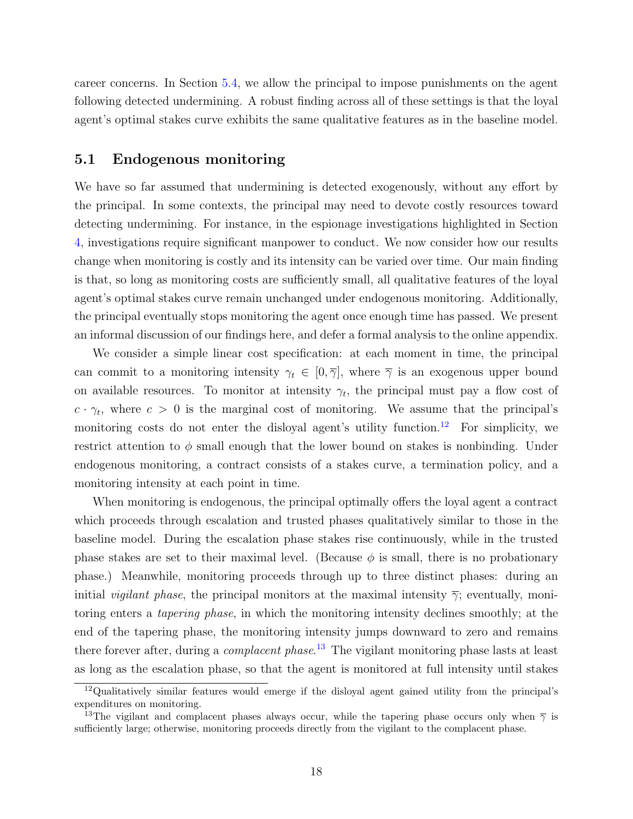career concerns. In Section [5.4,](#page-20-0) we allow the principal to impose punishments on the agent following detected undermining. A robust finding across all of these settings is that the loyal agent's optimal stakes curve exhibits the same qualitative features as in the baseline model.

### <span id="page-17-0"></span>5.1 Endogenous monitoring

We have so far assumed that undermining is detected exogenously, without any effort by the principal. In some contexts, the principal may need to devote costly resources toward detecting undermining. For instance, in the espionage investigations highlighted in Section [4,](#page-15-0) investigations require significant manpower to conduct. We now consider how our results change when monitoring is costly and its intensity can be varied over time. Our main finding is that, so long as monitoring costs are sufficiently small, all qualitative features of the loyal agent's optimal stakes curve remain unchanged under endogenous monitoring. Additionally, the principal eventually stops monitoring the agent once enough time has passed. We present an informal discussion of our findings here, and defer a formal analysis to the online appendix.

We consider a simple linear cost specification: at each moment in time, the principal can commit to a monitoring intensity  $\gamma_t \in [0, \overline{\gamma}]$ , where  $\overline{\gamma}$  is an exogenous upper bound on available resources. To monitor at intensity  $\gamma_t$ , the principal must pay a flow cost of  $c \cdot \gamma_t$ , where  $c > 0$  is the marginal cost of monitoring. We assume that the principal's monitoring costs do not enter the disloyal agent's utility function.<sup>[12](#page-17-1)</sup> For simplicity, we restrict attention to  $\phi$  small enough that the lower bound on stakes is nonbinding. Under endogenous monitoring, a contract consists of a stakes curve, a termination policy, and a monitoring intensity at each point in time.

When monitoring is endogenous, the principal optimally offers the loyal agent a contract which proceeds through escalation and trusted phases qualitatively similar to those in the baseline model. During the escalation phase stakes rise continuously, while in the trusted phase stakes are set to their maximal level. (Because  $\phi$  is small, there is no probationary phase.) Meanwhile, monitoring proceeds through up to three distinct phases: during an initial *vigilant phase*, the principal monitors at the maximal intensity  $\bar{\gamma}$ ; eventually, monitoring enters a tapering phase, in which the monitoring intensity declines smoothly; at the end of the tapering phase, the monitoring intensity jumps downward to zero and remains there forever after, during a *complacent phase*.<sup>[13](#page-17-2)</sup> The vigilant monitoring phase lasts at least as long as the escalation phase, so that the agent is monitored at full intensity until stakes

<span id="page-17-1"></span><sup>12</sup>Qualitatively similar features would emerge if the disloyal agent gained utility from the principal's expenditures on monitoring.

<span id="page-17-2"></span><sup>&</sup>lt;sup>13</sup>The vigilant and complacent phases always occur, while the tapering phase occurs only when  $\bar{\gamma}$  is sufficiently large; otherwise, monitoring proceeds directly from the vigilant to the complacent phase.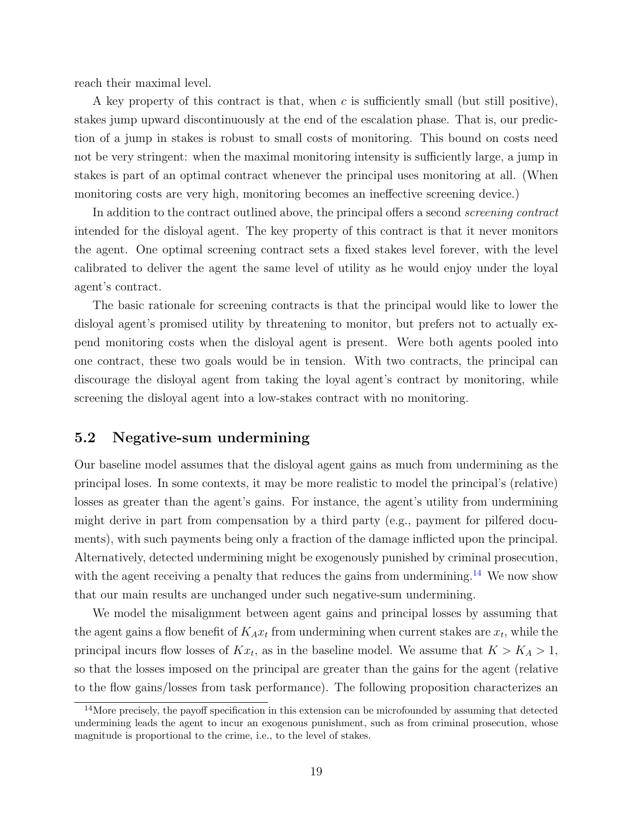reach their maximal level.

A key property of this contract is that, when  $c$  is sufficiently small (but still positive), stakes jump upward discontinuously at the end of the escalation phase. That is, our prediction of a jump in stakes is robust to small costs of monitoring. This bound on costs need not be very stringent: when the maximal monitoring intensity is sufficiently large, a jump in stakes is part of an optimal contract whenever the principal uses monitoring at all. (When monitoring costs are very high, monitoring becomes an ineffective screening device.)

In addition to the contract outlined above, the principal offers a second *screening contract* intended for the disloyal agent. The key property of this contract is that it never monitors the agent. One optimal screening contract sets a fixed stakes level forever, with the level calibrated to deliver the agent the same level of utility as he would enjoy under the loyal agent's contract.

The basic rationale for screening contracts is that the principal would like to lower the disloyal agent's promised utility by threatening to monitor, but prefers not to actually expend monitoring costs when the disloyal agent is present. Were both agents pooled into one contract, these two goals would be in tension. With two contracts, the principal can discourage the disloyal agent from taking the loyal agent's contract by monitoring, while screening the disloyal agent into a low-stakes contract with no monitoring.

### <span id="page-18-0"></span>5.2 Negative-sum undermining

Our baseline model assumes that the disloyal agent gains as much from undermining as the principal loses. In some contexts, it may be more realistic to model the principal's (relative) losses as greater than the agent's gains. For instance, the agent's utility from undermining might derive in part from compensation by a third party (e.g., payment for pilfered documents), with such payments being only a fraction of the damage inflicted upon the principal. Alternatively, detected undermining might be exogenously punished by criminal prosecution, with the agent receiving a penalty that reduces the gains from undermining.<sup>[14](#page-18-1)</sup> We now show that our main results are unchanged under such negative-sum undermining.

We model the misalignment between agent gains and principal losses by assuming that the agent gains a flow benefit of  $K_A x_t$  from undermining when current stakes are  $x_t$ , while the principal incurs flow losses of  $Kx_t$ , as in the baseline model. We assume that  $K > K_A > 1$ , so that the losses imposed on the principal are greater than the gains for the agent (relative to the flow gains/losses from task performance). The following proposition characterizes an

<span id="page-18-1"></span><sup>&</sup>lt;sup>14</sup>More precisely, the payoff specification in this extension can be microfounded by assuming that detected undermining leads the agent to incur an exogenous punishment, such as from criminal prosecution, whose magnitude is proportional to the crime, i.e., to the level of stakes.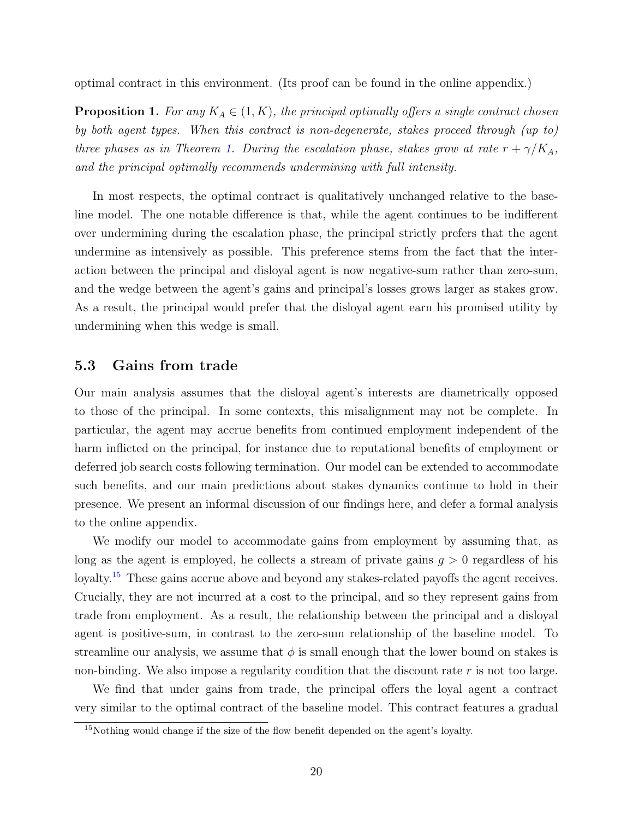optimal contract in this environment. (Its proof can be found in the online appendix.)

**Proposition 1.** For any  $K_A \in (1, K)$ , the principal optimally offers a single contract chosen by both agent types. When this contract is non-degenerate, stakes proceed through (up to) three phases as in Theorem [1.](#page-8-1) During the escalation phase, stakes grow at rate  $r + \gamma/K_A$ , and the principal optimally recommends undermining with full intensity.

In most respects, the optimal contract is qualitatively unchanged relative to the baseline model. The one notable difference is that, while the agent continues to be indifferent over undermining during the escalation phase, the principal strictly prefers that the agent undermine as intensively as possible. This preference stems from the fact that the interaction between the principal and disloyal agent is now negative-sum rather than zero-sum, and the wedge between the agent's gains and principal's losses grows larger as stakes grow. As a result, the principal would prefer that the disloyal agent earn his promised utility by undermining when this wedge is small.

### <span id="page-19-0"></span>5.3 Gains from trade

Our main analysis assumes that the disloyal agent's interests are diametrically opposed to those of the principal. In some contexts, this misalignment may not be complete. In particular, the agent may accrue benefits from continued employment independent of the harm inflicted on the principal, for instance due to reputational benefits of employment or deferred job search costs following termination. Our model can be extended to accommodate such benefits, and our main predictions about stakes dynamics continue to hold in their presence. We present an informal discussion of our findings here, and defer a formal analysis to the online appendix.

We modify our model to accommodate gains from employment by assuming that, as long as the agent is employed, he collects a stream of private gains  $g > 0$  regardless of his loyalty.<sup>[15](#page-19-1)</sup> These gains accrue above and beyond any stakes-related payoffs the agent receives. Crucially, they are not incurred at a cost to the principal, and so they represent gains from trade from employment. As a result, the relationship between the principal and a disloyal agent is positive-sum, in contrast to the zero-sum relationship of the baseline model. To streamline our analysis, we assume that  $\phi$  is small enough that the lower bound on stakes is non-binding. We also impose a regularity condition that the discount rate r is not too large.

We find that under gains from trade, the principal offers the loyal agent a contract very similar to the optimal contract of the baseline model. This contract features a gradual

<span id="page-19-1"></span> $15$ Nothing would change if the size of the flow benefit depended on the agent's loyalty.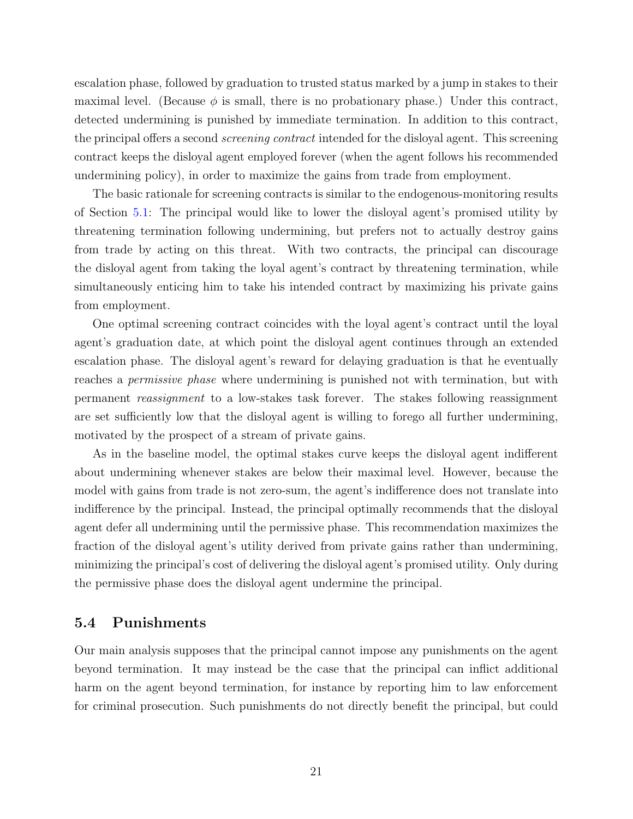escalation phase, followed by graduation to trusted status marked by a jump in stakes to their maximal level. (Because  $\phi$  is small, there is no probationary phase.) Under this contract, detected undermining is punished by immediate termination. In addition to this contract, the principal offers a second *screening contract* intended for the disloyal agent. This screening contract keeps the disloyal agent employed forever (when the agent follows his recommended undermining policy), in order to maximize the gains from trade from employment.

The basic rationale for screening contracts is similar to the endogenous-monitoring results of Section [5.1:](#page-17-0) The principal would like to lower the disloyal agent's promised utility by threatening termination following undermining, but prefers not to actually destroy gains from trade by acting on this threat. With two contracts, the principal can discourage the disloyal agent from taking the loyal agent's contract by threatening termination, while simultaneously enticing him to take his intended contract by maximizing his private gains from employment.

One optimal screening contract coincides with the loyal agent's contract until the loyal agent's graduation date, at which point the disloyal agent continues through an extended escalation phase. The disloyal agent's reward for delaying graduation is that he eventually reaches a permissive phase where undermining is punished not with termination, but with permanent reassignment to a low-stakes task forever. The stakes following reassignment are set sufficiently low that the disloyal agent is willing to forego all further undermining, motivated by the prospect of a stream of private gains.

As in the baseline model, the optimal stakes curve keeps the disloyal agent indifferent about undermining whenever stakes are below their maximal level. However, because the model with gains from trade is not zero-sum, the agent's indifference does not translate into indifference by the principal. Instead, the principal optimally recommends that the disloyal agent defer all undermining until the permissive phase. This recommendation maximizes the fraction of the disloyal agent's utility derived from private gains rather than undermining, minimizing the principal's cost of delivering the disloyal agent's promised utility. Only during the permissive phase does the disloyal agent undermine the principal.

### <span id="page-20-0"></span>5.4 Punishments

Our main analysis supposes that the principal cannot impose any punishments on the agent beyond termination. It may instead be the case that the principal can inflict additional harm on the agent beyond termination, for instance by reporting him to law enforcement for criminal prosecution. Such punishments do not directly benefit the principal, but could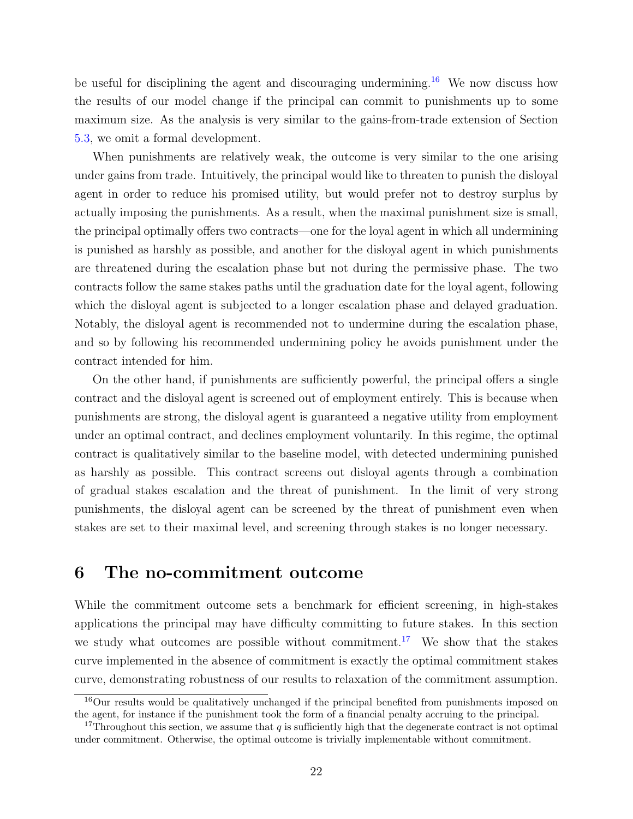be useful for disciplining the agent and discouraging undermining.<sup>[16](#page-21-1)</sup> We now discuss how the results of our model change if the principal can commit to punishments up to some maximum size. As the analysis is very similar to the gains-from-trade extension of Section [5.3,](#page-19-0) we omit a formal development.

When punishments are relatively weak, the outcome is very similar to the one arising under gains from trade. Intuitively, the principal would like to threaten to punish the disloyal agent in order to reduce his promised utility, but would prefer not to destroy surplus by actually imposing the punishments. As a result, when the maximal punishment size is small, the principal optimally offers two contracts—one for the loyal agent in which all undermining is punished as harshly as possible, and another for the disloyal agent in which punishments are threatened during the escalation phase but not during the permissive phase. The two contracts follow the same stakes paths until the graduation date for the loyal agent, following which the disloyal agent is subjected to a longer escalation phase and delayed graduation. Notably, the disloyal agent is recommended not to undermine during the escalation phase, and so by following his recommended undermining policy he avoids punishment under the contract intended for him.

On the other hand, if punishments are sufficiently powerful, the principal offers a single contract and the disloyal agent is screened out of employment entirely. This is because when punishments are strong, the disloyal agent is guaranteed a negative utility from employment under an optimal contract, and declines employment voluntarily. In this regime, the optimal contract is qualitatively similar to the baseline model, with detected undermining punished as harshly as possible. This contract screens out disloyal agents through a combination of gradual stakes escalation and the threat of punishment. In the limit of very strong punishments, the disloyal agent can be screened by the threat of punishment even when stakes are set to their maximal level, and screening through stakes is no longer necessary.

### <span id="page-21-0"></span>6 The no-commitment outcome

While the commitment outcome sets a benchmark for efficient screening, in high-stakes applications the principal may have difficulty committing to future stakes. In this section we study what outcomes are possible without commitment.<sup>[17](#page-21-2)</sup> We show that the stakes curve implemented in the absence of commitment is exactly the optimal commitment stakes curve, demonstrating robustness of our results to relaxation of the commitment assumption.

<span id="page-21-1"></span><sup>&</sup>lt;sup>16</sup>Our results would be qualitatively unchanged if the principal benefited from punishments imposed on the agent, for instance if the punishment took the form of a financial penalty accruing to the principal.

<span id="page-21-2"></span><sup>&</sup>lt;sup>17</sup>Throughout this section, we assume that  $q$  is sufficiently high that the degenerate contract is not optimal under commitment. Otherwise, the optimal outcome is trivially implementable without commitment.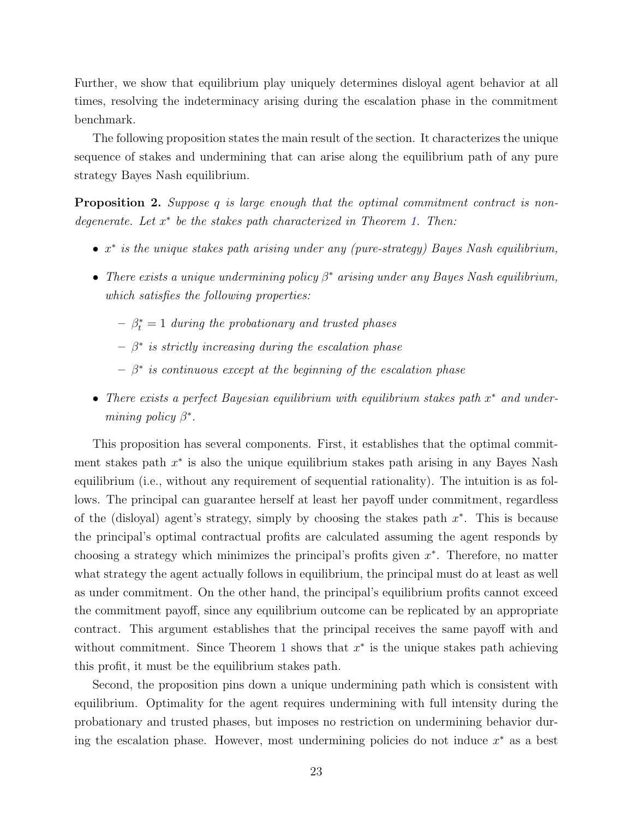Further, we show that equilibrium play uniquely determines disloyal agent behavior at all times, resolving the indeterminacy arising during the escalation phase in the commitment benchmark.

The following proposition states the main result of the section. It characterizes the unique sequence of stakes and undermining that can arise along the equilibrium path of any pure strategy Bayes Nash equilibrium.

<span id="page-22-0"></span>**Proposition 2.** Suppose q is large enough that the optimal commitment contract is nondegenerate. Let  $x^*$  be the stakes path characterized in Theorem [1.](#page-8-1) Then:

- $x^*$  is the unique stakes path arising under any (pure-strategy) Bayes Nash equilibrium,
- There exists a unique undermining policy  $\beta^*$  arising under any Bayes Nash equilibrium, which satisfies the following properties:
	- $-\beta_t^* = 1$  during the probationary and trusted phases
	- $\beta^*$  is strictly increasing during the escalation phase
	- $\beta^*$  is continuous except at the beginning of the escalation phase
- There exists a perfect Bayesian equilibrium with equilibrium stakes path x <sup>∗</sup> and undermining policy  $\beta^*$ .

This proposition has several components. First, it establishes that the optimal commitment stakes path  $x^*$  is also the unique equilibrium stakes path arising in any Bayes Nash equilibrium (i.e., without any requirement of sequential rationality). The intuition is as follows. The principal can guarantee herself at least her payoff under commitment, regardless of the (disloyal) agent's strategy, simply by choosing the stakes path  $x^*$ . This is because the principal's optimal contractual profits are calculated assuming the agent responds by choosing a strategy which minimizes the principal's profits given  $x^*$ . Therefore, no matter what strategy the agent actually follows in equilibrium, the principal must do at least as well as under commitment. On the other hand, the principal's equilibrium profits cannot exceed the commitment payoff, since any equilibrium outcome can be replicated by an appropriate contract. This argument establishes that the principal receives the same payoff with and without commitment. Since Theorem [1](#page-8-1) shows that  $x^*$  is the unique stakes path achieving this profit, it must be the equilibrium stakes path.

Second, the proposition pins down a unique undermining path which is consistent with equilibrium. Optimality for the agent requires undermining with full intensity during the probationary and trusted phases, but imposes no restriction on undermining behavior during the escalation phase. However, most undermining policies do not induce  $x^*$  as a best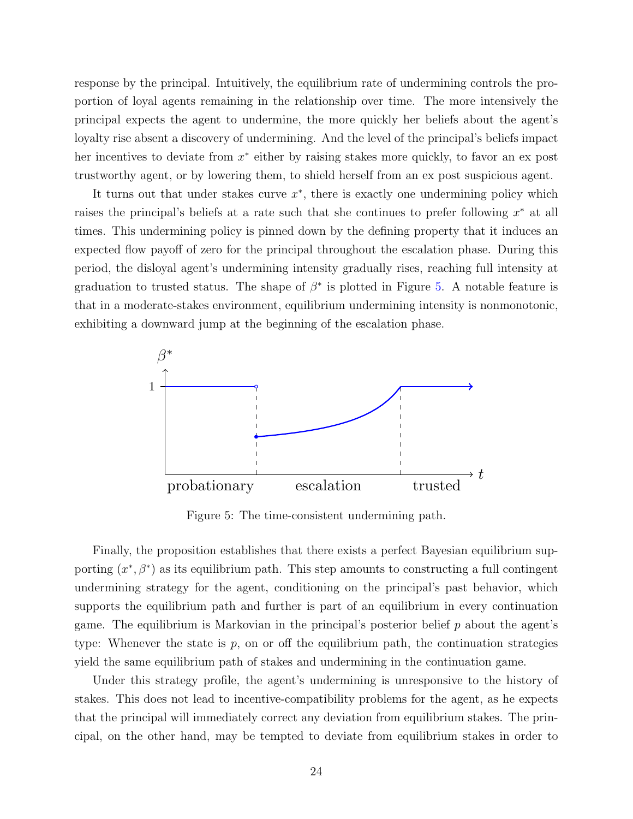response by the principal. Intuitively, the equilibrium rate of undermining controls the proportion of loyal agents remaining in the relationship over time. The more intensively the principal expects the agent to undermine, the more quickly her beliefs about the agent's loyalty rise absent a discovery of undermining. And the level of the principal's beliefs impact her incentives to deviate from  $x^*$  either by raising stakes more quickly, to favor an ex post trustworthy agent, or by lowering them, to shield herself from an ex post suspicious agent.

It turns out that under stakes curve  $x^*$ , there is exactly one undermining policy which raises the principal's beliefs at a rate such that she continues to prefer following  $x^*$  at all times. This undermining policy is pinned down by the defining property that it induces an expected flow payoff of zero for the principal throughout the escalation phase. During this period, the disloyal agent's undermining intensity gradually rises, reaching full intensity at graduation to trusted status. The shape of  $\beta^*$  is plotted in Figure [5.](#page-23-0) A notable feature is that in a moderate-stakes environment, equilibrium undermining intensity is nonmonotonic, exhibiting a downward jump at the beginning of the escalation phase.

<span id="page-23-0"></span>

Figure 5: The time-consistent undermining path.

Finally, the proposition establishes that there exists a perfect Bayesian equilibrium supporting  $(x^*, \beta^*)$  as its equilibrium path. This step amounts to constructing a full contingent undermining strategy for the agent, conditioning on the principal's past behavior, which supports the equilibrium path and further is part of an equilibrium in every continuation game. The equilibrium is Markovian in the principal's posterior belief  $p$  about the agent's type: Whenever the state is  $p$ , on or off the equilibrium path, the continuation strategies yield the same equilibrium path of stakes and undermining in the continuation game.

Under this strategy profile, the agent's undermining is unresponsive to the history of stakes. This does not lead to incentive-compatibility problems for the agent, as he expects that the principal will immediately correct any deviation from equilibrium stakes. The principal, on the other hand, may be tempted to deviate from equilibrium stakes in order to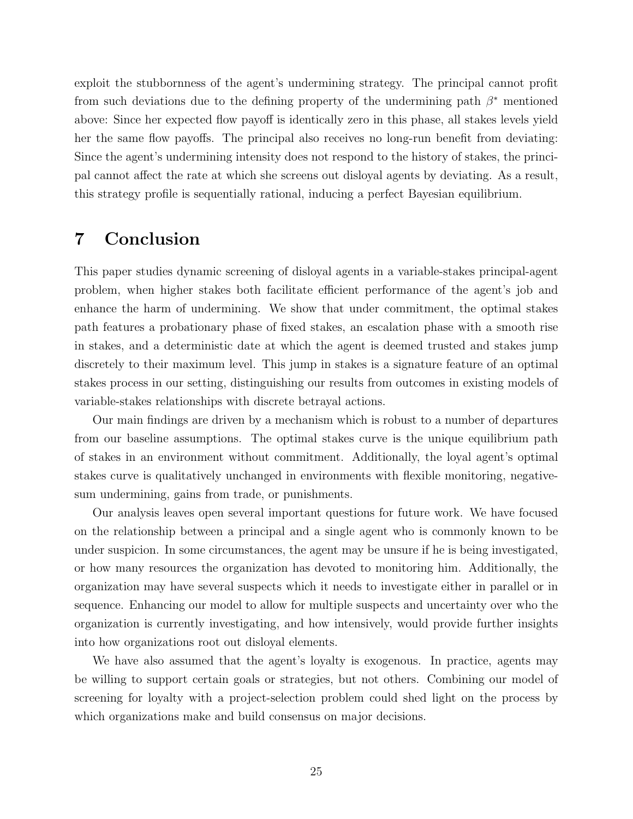exploit the stubbornness of the agent's undermining strategy. The principal cannot profit from such deviations due to the defining property of the undermining path  $\beta^*$  mentioned above: Since her expected flow payoff is identically zero in this phase, all stakes levels yield her the same flow payoffs. The principal also receives no long-run benefit from deviating: Since the agent's undermining intensity does not respond to the history of stakes, the principal cannot affect the rate at which she screens out disloyal agents by deviating. As a result, this strategy profile is sequentially rational, inducing a perfect Bayesian equilibrium.

# <span id="page-24-0"></span>7 Conclusion

This paper studies dynamic screening of disloyal agents in a variable-stakes principal-agent problem, when higher stakes both facilitate efficient performance of the agent's job and enhance the harm of undermining. We show that under commitment, the optimal stakes path features a probationary phase of fixed stakes, an escalation phase with a smooth rise in stakes, and a deterministic date at which the agent is deemed trusted and stakes jump discretely to their maximum level. This jump in stakes is a signature feature of an optimal stakes process in our setting, distinguishing our results from outcomes in existing models of variable-stakes relationships with discrete betrayal actions.

Our main findings are driven by a mechanism which is robust to a number of departures from our baseline assumptions. The optimal stakes curve is the unique equilibrium path of stakes in an environment without commitment. Additionally, the loyal agent's optimal stakes curve is qualitatively unchanged in environments with flexible monitoring, negativesum undermining, gains from trade, or punishments.

Our analysis leaves open several important questions for future work. We have focused on the relationship between a principal and a single agent who is commonly known to be under suspicion. In some circumstances, the agent may be unsure if he is being investigated, or how many resources the organization has devoted to monitoring him. Additionally, the organization may have several suspects which it needs to investigate either in parallel or in sequence. Enhancing our model to allow for multiple suspects and uncertainty over who the organization is currently investigating, and how intensively, would provide further insights into how organizations root out disloyal elements.

We have also assumed that the agent's loyalty is exogenous. In practice, agents may be willing to support certain goals or strategies, but not others. Combining our model of screening for loyalty with a project-selection problem could shed light on the process by which organizations make and build consensus on major decisions.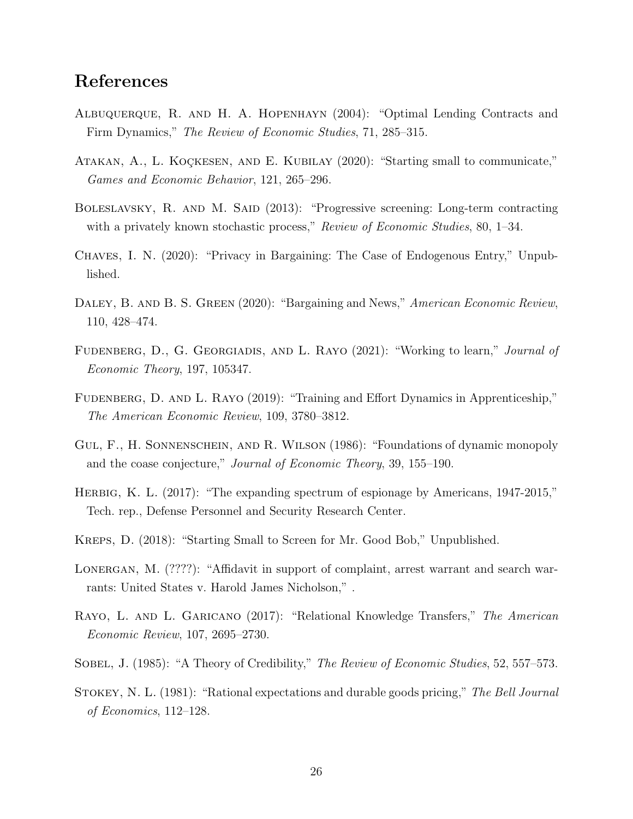# References

- <span id="page-25-2"></span>Albuquerque, R. and H. A. Hopenhayn (2004): "Optimal Lending Contracts and Firm Dynamics," The Review of Economic Studies, 71, 285–315.
- <span id="page-25-6"></span>ATAKAN, A., L. KOÇKESEN, AND E. KUBILAY (2020): "Starting small to communicate," Games and Economic Behavior, 121, 265–296.
- <span id="page-25-9"></span>BOLESLAVSKY, R. AND M. SAID (2013): "Progressive screening: Long-term contracting with a privately known stochastic process," Review of Economic Studies, 80, 1–34.
- <span id="page-25-11"></span>Chaves, I. N. (2020): "Privacy in Bargaining: The Case of Endogenous Entry," Unpublished.
- <span id="page-25-10"></span>DALEY, B. AND B. S. GREEN (2020): "Bargaining and News," American Economic Review, 110, 428–474.
- <span id="page-25-5"></span>FUDENBERG, D., G. GEORGIADIS, AND L. RAYO (2021): "Working to learn," *Journal of* Economic Theory, 197, 105347.
- <span id="page-25-4"></span>FUDENBERG, D. AND L. RAYO (2019): "Training and Effort Dynamics in Apprenticeship," The American Economic Review, 109, 3780–3812.
- <span id="page-25-8"></span>Gul, F., H. Sonnenschein, and R. Wilson (1986): "Foundations of dynamic monopoly and the coase conjecture," Journal of Economic Theory, 39, 155–190.
- <span id="page-25-12"></span>Herbig, K. L. (2017): "The expanding spectrum of espionage by Americans, 1947-2015," Tech. rep., Defense Personnel and Security Research Center.
- <span id="page-25-1"></span>Kreps, D. (2018): "Starting Small to Screen for Mr. Good Bob," Unpublished.
- <span id="page-25-13"></span>LONERGAN, M. (????): "Affidavit in support of complaint, arrest warrant and search warrants: United States v. Harold James Nicholson," .
- <span id="page-25-3"></span>RAYO, L. AND L. GARICANO (2017): "Relational Knowledge Transfers," The American Economic Review, 107, 2695–2730.
- <span id="page-25-0"></span>SOBEL, J. (1985): "A Theory of Credibility," The Review of Economic Studies, 52, 557–573.
- <span id="page-25-7"></span>STOKEY, N. L. (1981): "Rational expectations and durable goods pricing," The Bell Journal of Economics, 112–128.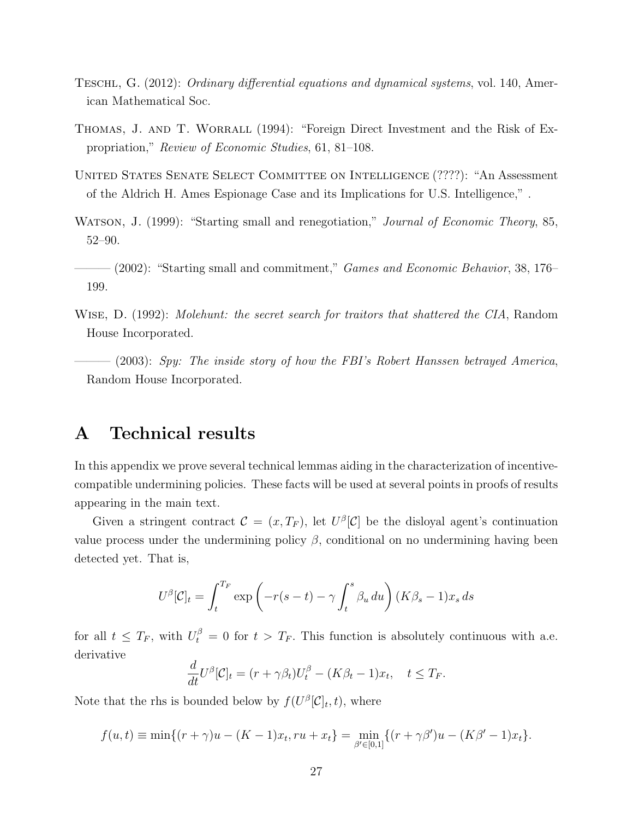- <span id="page-26-6"></span>Teschl, G. (2012): Ordinary differential equations and dynamical systems, vol. 140, American Mathematical Soc.
- <span id="page-26-2"></span>THOMAS, J. AND T. WORRALL (1994): "Foreign Direct Investment and the Risk of Expropriation," Review of Economic Studies, 61, 81–108.
- <span id="page-26-5"></span>United States Senate Select Committee on Intelligence (????): "An Assessment of the Aldrich H. Ames Espionage Case and its Implications for U.S. Intelligence," .
- <span id="page-26-0"></span>WATSON, J. (1999): "Starting small and renegotiation," *Journal of Economic Theory*, 85, 52–90.
- <span id="page-26-1"></span> $-(2002)$ : "Starting small and commitment," *Games and Economic Behavior*, 38, 176– 199.
- <span id="page-26-4"></span>WISE, D. (1992): *Molehunt: the secret search for traitors that shattered the CIA*, Random House Incorporated.
- <span id="page-26-3"></span> $-$  (2003): Spy: The inside story of how the FBI's Robert Hanssen betrayed America, Random House Incorporated.

# A Technical results

In this appendix we prove several technical lemmas aiding in the characterization of incentivecompatible undermining policies. These facts will be used at several points in proofs of results appearing in the main text.

Given a stringent contract  $\mathcal{C} = (x, T_F)$ , let  $U^{\beta}[\mathcal{C}]$  be the disloyal agent's continuation value process under the undermining policy  $\beta$ , conditional on no undermining having been detected yet. That is,

$$
U^{\beta}[\mathcal{C}]_t = \int_t^{T_F} \exp\left(-r(s-t) - \gamma \int_t^s \beta_u \, du\right) (K\beta_s - 1)x_s \, ds
$$

for all  $t \leq T_F$ , with  $U_t^{\beta} = 0$  for  $t > T_F$ . This function is absolutely continuous with a.e. derivative

$$
\frac{d}{dt}U^{\beta}[\mathcal{C}]_t = (r + \gamma \beta_t)U_t^{\beta} - (K\beta_t - 1)x_t, \quad t \le T_F.
$$

Note that the rhs is bounded below by  $f(U^{\beta}[\mathcal{C}]_t, t)$ , where

$$
f(u,t) \equiv \min\{(r+\gamma)u - (K-1)x_t, ru + x_t\} = \min_{\beta' \in [0,1]} \{(r+\gamma)\beta'u - (K\beta' - 1)x_t\}.
$$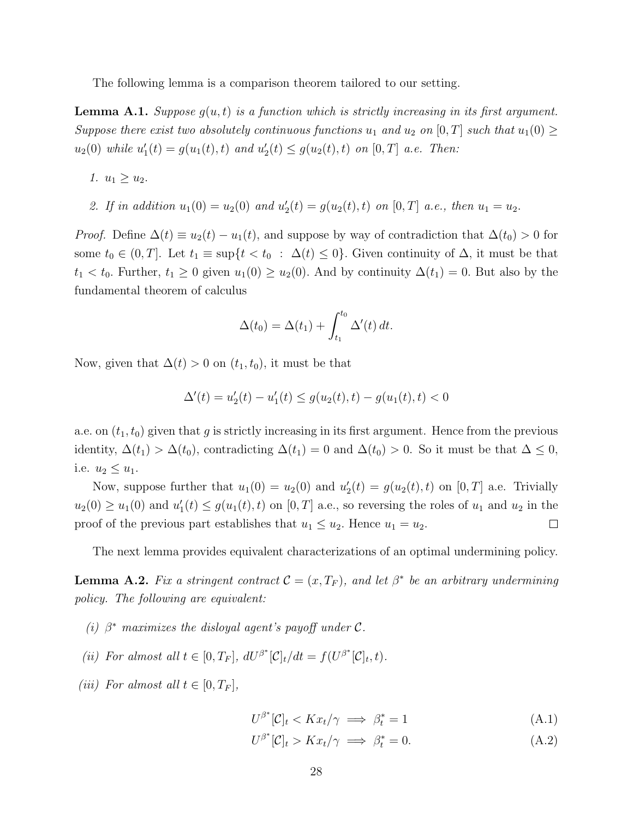The following lemma is a comparison theorem tailored to our setting.

<span id="page-27-3"></span>**Lemma A.1.** Suppose  $g(u, t)$  is a function which is strictly increasing in its first argument. Suppose there exist two absolutely continuous functions  $u_1$  and  $u_2$  on  $[0, T]$  such that  $u_1(0) \geq$  $u_2(0)$  while  $u'_1(t) = g(u_1(t), t)$  and  $u'_2(t) \le g(u_2(t), t)$  on  $[0, T]$  a.e. Then:

1.  $u_1 \geq u_2$ .

2. If in addition  $u_1(0) = u_2(0)$  and  $u'_2(t) = g(u_2(t), t)$  on  $[0, T]$  a.e., then  $u_1 = u_2$ .

*Proof.* Define  $\Delta(t) \equiv u_2(t) - u_1(t)$ , and suppose by way of contradiction that  $\Delta(t_0) > 0$  for some  $t_0 \in (0,T]$ . Let  $t_1 \equiv \sup\{t < t_0 : \Delta(t) \leq 0\}$ . Given continuity of  $\Delta$ , it must be that  $t_1 < t_0$ . Further,  $t_1 \geq 0$  given  $u_1(0) \geq u_2(0)$ . And by continuity  $\Delta(t_1) = 0$ . But also by the fundamental theorem of calculus

$$
\Delta(t_0) = \Delta(t_1) + \int_{t_1}^{t_0} \Delta'(t) dt.
$$

Now, given that  $\Delta(t) > 0$  on  $(t_1, t_0)$ , it must be that

$$
\Delta'(t) = u_2'(t) - u_1'(t) \le g(u_2(t), t) - g(u_1(t), t) < 0
$$

a.e. on  $(t_1, t_0)$  given that g is strictly increasing in its first argument. Hence from the previous identity,  $\Delta(t_1) > \Delta(t_0)$ , contradicting  $\Delta(t_1) = 0$  and  $\Delta(t_0) > 0$ . So it must be that  $\Delta \leq 0$ , i.e.  $u_2 \leq u_1$ .

Now, suppose further that  $u_1(0) = u_2(0)$  and  $u'_2(t) = g(u_2(t), t)$  on  $[0, T]$  a.e. Trivially  $u_2(0) \ge u_1(0)$  and  $u'_1(t) \le g(u_1(t), t)$  on  $[0, T]$  a.e., so reversing the roles of  $u_1$  and  $u_2$  in the proof of the previous part establishes that  $u_1 \leq u_2$ . Hence  $u_1 = u_2$ .  $\Box$ 

The next lemma provides equivalent characterizations of an optimal undermining policy.

<span id="page-27-2"></span>**Lemma A.2.** Fix a stringent contract  $\mathcal{C} = (x, T_F)$ , and let  $\beta^*$  be an arbitrary undermining policy. The following are equivalent:

- (i)  $\beta^*$  maximizes the disloyal agent's payoff under  $\mathcal{C}$ .
- (ii) For almost all  $t \in [0, T_F]$ ,  $dU^{\beta^*}[\mathcal{C}]_t/dt = f(U^{\beta^*}[\mathcal{C}]_t, t)$ .
- (iii) For almost all  $t \in [0, T_F]$ ,

<span id="page-27-1"></span><span id="page-27-0"></span> $U^{\beta^*}[\mathcal{C}]_t < Kx_t/\gamma \implies \beta_t^*$  $(A.1)$ 

$$
U^{\beta^*}[\mathcal{C}]_t > Kx_t/\gamma \implies \beta_t^* = 0. \tag{A.2}
$$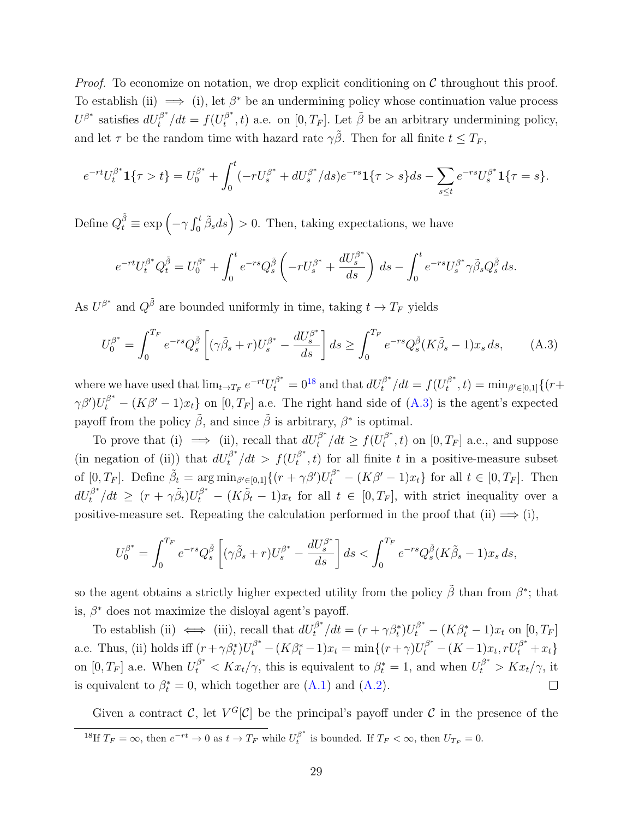*Proof.* To economize on notation, we drop explicit conditioning on  $\mathcal C$  throughout this proof. To establish (ii)  $\implies$  (i), let  $\beta^*$  be an undermining policy whose continuation value process  $U^{\beta^*}$  satisfies  $dU_t^{\beta^*}/dt = f(U_t^{\beta^*})$  $t^{\beta^*}(t)$  a.e. on  $[0, T_F]$ . Let  $\tilde{\beta}$  be an arbitrary undermining policy, and let  $\tau$  be the random time with hazard rate  $\gamma \tilde{\beta}$ . Then for all finite  $t \leq T_F$ ,

$$
e^{-rt}U_t^{\beta^*}\mathbf{1}\{\tau > t\} = U_0^{\beta^*} + \int_0^t (-rU_s^{\beta^*} + dU_s^{\beta^*}/ds)e^{-rs}\mathbf{1}\{\tau > s\}ds - \sum_{s \le t} e^{-rs}U_s^{\beta^*}\mathbf{1}\{\tau = s\}.
$$

Define  $Q_t^{\tilde{\beta}} \equiv \exp\left(-\gamma \int_0^t \tilde{\beta}_s ds\right) > 0$ . Then, taking expectations, we have

<span id="page-28-1"></span>
$$
e^{-rt}U_t^{\beta^*}Q_t^{\tilde{\beta}} = U_0^{\beta^*} + \int_0^t e^{-rs}Q_s^{\tilde{\beta}} \left(-rU_s^{\beta^*} + \frac{dU_s^{\beta^*}}{ds}\right) ds - \int_0^t e^{-rs}U_s^{\beta^*} \gamma \tilde{\beta}_s Q_s^{\tilde{\beta}} ds.
$$

As  $U^{\beta^*}$  and  $Q^{\tilde{\beta}}$  are bounded uniformly in time, taking  $t \to T_F$  yields

$$
U_0^{\beta^*} = \int_0^{T_F} e^{-rs} Q_s^{\tilde{\beta}} \left[ (\gamma \tilde{\beta}_s + r) U_s^{\beta^*} - \frac{dU_s^{\beta^*}}{ds} \right] ds \ge \int_0^{T_F} e^{-rs} Q_s^{\tilde{\beta}} (K \tilde{\beta}_s - 1) x_s ds, \tag{A.3}
$$

where we have used that  $\lim_{t\to T_F} e^{-rt}U_t^{\beta^*} = 0^{18}$  $\lim_{t\to T_F} e^{-rt}U_t^{\beta^*} = 0^{18}$  $\lim_{t\to T_F} e^{-rt}U_t^{\beta^*} = 0^{18}$  and that  $dU_t^{\beta^*}/dt = f(U_t^{\beta^*})$  $t^{\beta^{*}}, t) = \min_{\beta' \in [0,1]} \{ (r +$  $\gamma\beta'$ ) $U_t^{\beta^*}$  –  $(K\beta'-1)x_t$  on  $[0,T_F]$  a.e. The right hand side of  $(A.3)$  is the agent's expected payoff from the policy  $\tilde{\beta}$ , and since  $\tilde{\beta}$  is arbitrary,  $\beta^*$  is optimal.

To prove that (i)  $\implies$  (ii), recall that  $dU_t^{\beta^*}/dt \ge f(U_t^{\beta^*})$  $[t]_t^{\beta^*}, t$  on  $[0, T_F]$  a.e., and suppose (in negation of (ii)) that  $dU_t^{\beta^*}/dt > f(U_t^{\beta^*})$  $t_t^{(p)}$ , t) for all finite t in a positive-measure subset of  $[0, T_F]$ . Define  $\tilde{\beta}_t = \arg \min_{\beta' \in [0,1]} \{(r + \gamma \beta')U_t^{\beta^*} - (K\beta' - 1)x_t\}$  for all  $t \in [0, T_F]$ . Then  $dU_t^{\beta^*}/dt \geq (r + \gamma \tilde{\beta}_t)U_t^{\beta^*} - (K\tilde{\beta}_t - 1)x_t$  for all  $t \in [0, T_F]$ , with strict inequality over a positive-measure set. Repeating the calculation performed in the proof that (ii)  $\implies$  (i),

$$
U_0^{\beta^*} = \int_0^{T_F} e^{-rs} Q_s^{\tilde{\beta}} \left[ (\gamma \tilde{\beta}_s + r) U_s^{\beta^*} - \frac{dU_s^{\beta^*}}{ds} \right] ds < \int_0^{T_F} e^{-rs} Q_s^{\tilde{\beta}} (K \tilde{\beta}_s - 1) x_s ds,
$$

so the agent obtains a strictly higher expected utility from the policy  $\tilde{\beta}$  than from  $\beta^*$ ; that is,  $\beta^*$  does not maximize the disloyal agent's payoff.

To establish (ii)  $\iff$  (iii), recall that  $dU_t^{\beta^*}/dt = (r + \gamma \beta_t^*)U_t^{\beta^*} - (K\beta_t^* - 1)x_t$  on  $[0, T_F]$ a.e. Thus, (ii) holds iff  $(r + \gamma \beta_t^*)U_t^{\beta^*} - (K\beta_t^* - 1)x_t = \min\{(r + \gamma)U_t^{\beta^*} - (K - 1)x_t, rU_t^{\beta^*} + x_t\}$ on  $[0, T_F]$  a.e. When  $U_t^{\beta^*} < Kx_t/\gamma$ , this is equivalent to  $\beta_t^* = 1$ , and when  $U_t^{\beta^*} > Kx_t/\gamma$ , it is equivalent to  $\beta_t^* = 0$ , which together are  $(A.1)$  and  $(A.2)$ .

<span id="page-28-0"></span>Given a contract C, let  $V^G[\mathcal{C}]$  be the principal's payoff under C in the presence of the <sup>18</sup>If  $T_F = \infty$ , then  $e^{-rt} \to 0$  as  $t \to T_F$  while  $U_t^{\beta^*}$  $t_t^{\beta}$  is bounded. If  $T_F < \infty$ , then  $U_{T_F} = 0$ .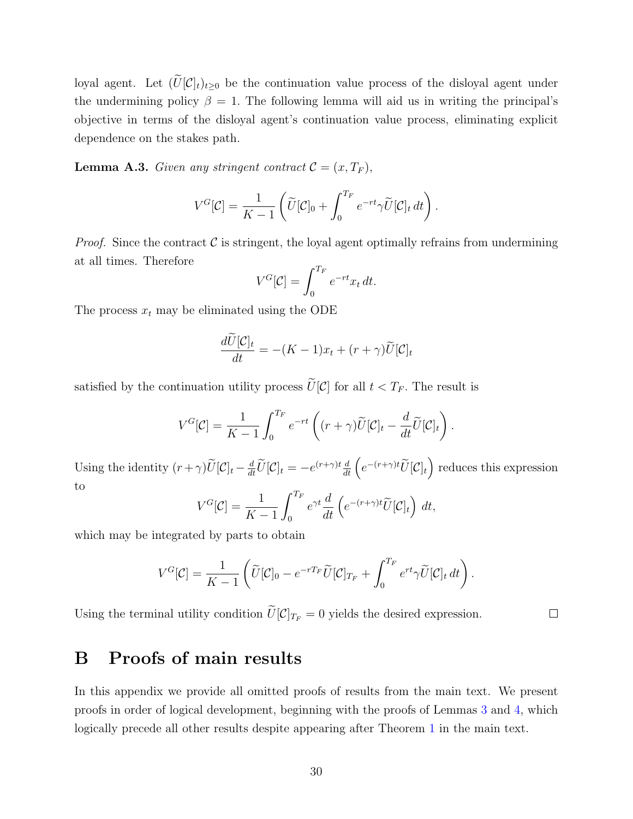loyal agent. Let  $(\tilde{U}[\mathcal{C}]_t)_{t\geq0}$  be the continuation value process of the disloyal agent under the undermining policy  $\beta = 1$ . The following lemma will aid us in writing the principal's objective in terms of the disloyal agent's continuation value process, eliminating explicit dependence on the stakes path.

<span id="page-29-0"></span>**Lemma A.3.** Given any stringent contract  $C = (x, T_F)$ ,

$$
V^G[\mathcal{C}] = \frac{1}{K-1} \left( \widetilde{U}[\mathcal{C}]_0 + \int_0^{T_F} e^{-rt} \gamma \widetilde{U}[\mathcal{C}]_t dt \right).
$$

*Proof.* Since the contract  $\mathcal C$  is stringent, the loyal agent optimally refrains from undermining at all times. Therefore

$$
V^G[\mathcal{C}] = \int_0^{T_F} e^{-rt} x_t dt.
$$

The process  $x_t$  may be eliminated using the ODE

$$
\frac{d\widetilde{U}[\mathcal{C}]_t}{dt} = -(K-1)x_t + (r+\gamma)\widetilde{U}[\mathcal{C}]_t
$$

satisfied by the continuation utility process  $\widetilde{U}[\mathcal{C}]$  for all  $t < T_F$ . The result is

$$
V^G[\mathcal{C}] = \frac{1}{K-1} \int_0^{T_F} e^{-rt} \left( (r+\gamma)\widetilde{U}[\mathcal{C}]_t - \frac{d}{dt} \widetilde{U}[\mathcal{C}]_t \right).
$$

Using the identity  $(r+\gamma)\tilde{U}[\mathcal{C}]_t - \frac{d}{dt}\tilde{U}[\mathcal{C}]_t = -e^{(r+\gamma)t}\frac{d}{dt}\left(e^{-(r+\gamma)t}\tilde{U}[\mathcal{C}]_t\right)$  reduces this expression to

$$
V^G[\mathcal{C}] = \frac{1}{K-1} \int_0^{T_F} e^{\gamma t} \frac{d}{dt} \left( e^{-(r+\gamma)t} \widetilde{U}[\mathcal{C}]_t \right) dt,
$$

which may be integrated by parts to obtain

$$
V^G[\mathcal{C}] = \frac{1}{K-1} \left( \widetilde{U}[\mathcal{C}]_0 - e^{-rT_F} \widetilde{U}[\mathcal{C}]_{T_F} + \int_0^{T_F} e^{rt} \gamma \widetilde{U}[\mathcal{C}]_t dt \right).
$$

 $\Box$ 

Using the terminal utility condition  $\widetilde{U}[\mathcal{C}]_{T_F} = 0$  yields the desired expression.

# B Proofs of main results

In this appendix we provide all omitted proofs of results from the main text. We present proofs in order of logical development, beginning with the proofs of Lemmas [3](#page-11-1) and [4,](#page-11-2) which logically precede all other results despite appearing after Theorem [1](#page-8-1) in the main text.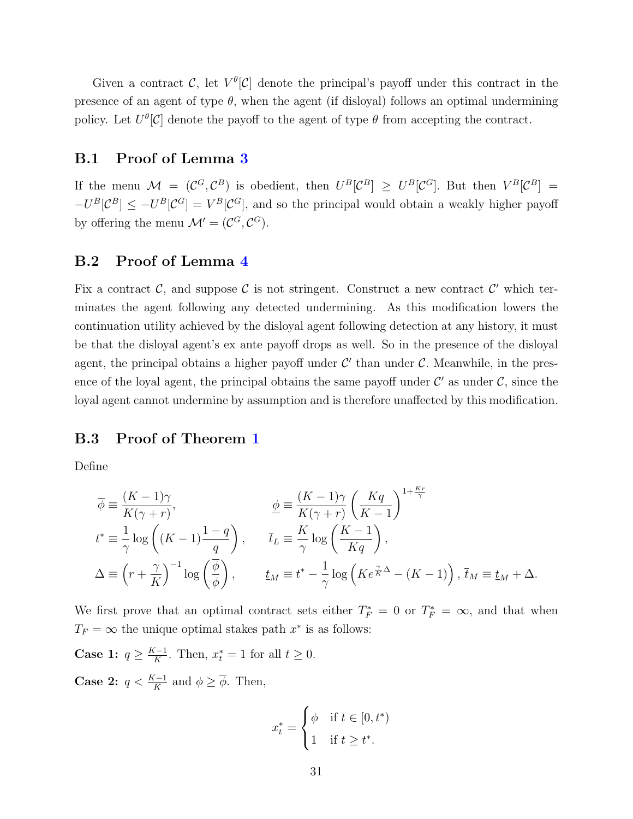Given a contract C, let  $V^{\theta}[\mathcal{C}]$  denote the principal's payoff under this contract in the presence of an agent of type  $\theta$ , when the agent (if disloyal) follows an optimal undermining policy. Let  $U^{\theta}[\mathcal{C}]$  denote the payoff to the agent of type  $\theta$  from accepting the contract.

### B.1 Proof of Lemma [3](#page-11-1)

If the menu  $\mathcal{M} = (\mathcal{C}^G, \mathcal{C}^B)$  is obedient, then  $U^B[\mathcal{C}^B] \geq U^B[\mathcal{C}^G]$ . But then  $V^B[\mathcal{C}^B] =$  $-U^B[\mathcal{C}^B] \leq -U^B[\mathcal{C}^G] = V^B[\mathcal{C}^G]$ , and so the principal would obtain a weakly higher payoff by offering the menu  $\mathcal{M}' = (\mathcal{C}^G, \mathcal{C}^G)$ .

### B.2 Proof of Lemma [4](#page-11-2)

Fix a contract  $\mathcal{C}$ , and suppose  $\mathcal{C}$  is not stringent. Construct a new contract  $\mathcal{C}'$  which terminates the agent following any detected undermining. As this modification lowers the continuation utility achieved by the disloyal agent following detection at any history, it must be that the disloyal agent's ex ante payoff drops as well. So in the presence of the disloyal agent, the principal obtains a higher payoff under  $\mathcal{C}'$  than under  $\mathcal{C}$ . Meanwhile, in the presence of the loyal agent, the principal obtains the same payoff under  $\mathcal{C}'$  as under  $\mathcal{C}$ , since the loyal agent cannot undermine by assumption and is therefore unaffected by this modification.

### B.3 Proof of Theorem [1](#page-8-1)

Define

$$
\overline{\phi} \equiv \frac{(K-1)\gamma}{K(\gamma+r)}, \qquad \underline{\phi} \equiv \frac{(K-1)\gamma}{K(\gamma+r)} \left(\frac{Kq}{K-1}\right)^{1+\frac{Kr}{\gamma}}
$$
  

$$
t^* \equiv \frac{1}{\gamma} \log \left((K-1)\frac{1-q}{q}\right), \qquad \overline{t}_L \equiv \frac{K}{\gamma} \log \left(\frac{K-1}{Kq}\right),
$$
  

$$
\Delta \equiv \left(r + \frac{\gamma}{K}\right)^{-1} \log \left(\frac{\overline{\phi}}{\phi}\right), \qquad \underline{t}_M \equiv t^* - \frac{1}{\gamma} \log \left(Ke^{\frac{\gamma}{K}\Delta} - (K-1)\right), \ \overline{t}_M \equiv \underline{t}_M + \Delta.
$$

We first prove that an optimal contract sets either  $T_F^* = 0$  or  $T_F^* = \infty$ , and that when  $T_F = \infty$  the unique optimal stakes path  $x^*$  is as follows:

Case 1:  $q \geq \frac{K-1}{K}$  $\frac{k-1}{K}$ . Then,  $x_t^* = 1$  for all  $t \geq 0$ .

**Case 2:**  $q < \frac{K-1}{K}$  and  $\phi \geq \overline{\phi}$ . Then,

$$
x_t^* = \begin{cases} \phi & \text{if } t \in [0, t^*) \\ 1 & \text{if } t \ge t^*. \end{cases}
$$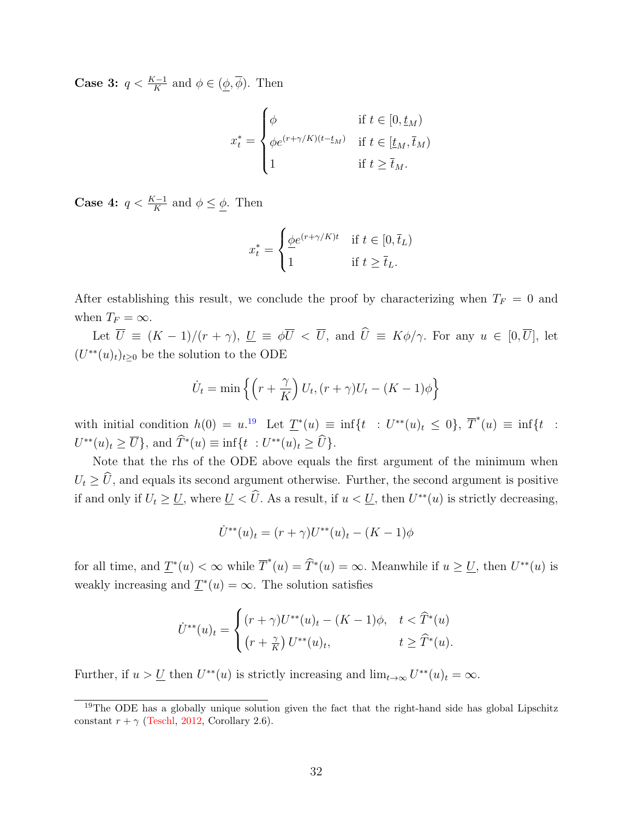**Case 3:**  $q < \frac{K-1}{K}$  and  $\phi \in (\underline{\phi}, \overline{\phi})$ . Then

$$
x_t^* = \begin{cases} \phi & \text{if } t \in [0, \underline{t}_M) \\ \phi e^{(r+\gamma/K)(t-\underline{t}_M)} & \text{if } t \in [\underline{t}_M, \overline{t}_M) \\ 1 & \text{if } t \ge \overline{t}_M. \end{cases}
$$

**Case 4:**  $q < \frac{K-1}{K}$  and  $\phi \leq \phi$ . Then

$$
x_t^* = \begin{cases} \underline{\phi} e^{(r+\gamma/K)t} & \text{if } t \in [0, \overline{t}_L) \\ 1 & \text{if } t \ge \overline{t}_L. \end{cases}
$$

After establishing this result, we conclude the proof by characterizing when  $T_F = 0$  and when  $T_F = \infty$ .

Let  $\overline{U} \equiv (K-1)/(r+\gamma)$ ,  $\underline{U} \equiv \phi \overline{U} < \overline{U}$ , and  $\widehat{U} \equiv K\phi/\gamma$ . For any  $u \in [0,\overline{U}]$ , let  $(U^{**}(u)_t)_{t\geq0}$  be the solution to the ODE

$$
\dot{U}_t = \min\left\{ \left( r + \frac{\gamma}{K} \right) U_t, (r + \gamma) U_t - (K - 1)\phi \right\}
$$

with initial condition  $h(0) = u^{19}$  $h(0) = u^{19}$  $h(0) = u^{19}$  Let  $\underline{T}^*(u) \equiv \inf\{t : U^{**}(u)_t \leq 0\}, \overline{T}^*(u) \equiv \inf\{t :$  $U^{**}(u)_t \ge \overline{U}$ , and  $\widehat{T}^*(u) \equiv \inf\{t : U^{**}(u)_t \ge \widehat{U}\}.$ 

Note that the rhs of the ODE above equals the first argument of the minimum when  $U_t \geq \hat{U}$ , and equals its second argument otherwise. Further, the second argument is positive if and only if  $U_t \geq \underline{U}$ , where  $\underline{U} < \widehat{U}$ . As a result, if  $u < \underline{U}$ , then  $U^{**}(u)$  is strictly decreasing,

$$
\dot{U}^{**}(u)_t = (r + \gamma)U^{**}(u)_t - (K - 1)\phi
$$

for all time, and  $\underline{T}^*(u) < \infty$  while  $\overline{T}^*(u) = \widehat{T}^*(u) = \infty$ . Meanwhile if  $u \geq \underline{U}$ , then  $U^{**}(u)$  is weakly increasing and  $\underline{T}^*(u) = \infty$ . The solution satisfies

$$
\dot{U}^{**}(u)_t = \begin{cases} (r+\gamma)U^{**}(u)_t - (K-1)\phi, & t < \hat{T}^*(u) \\ (r+\frac{\gamma}{K}) U^{**}(u)_t, & t \ge \hat{T}^*(u). \end{cases}
$$

Further, if  $u > U$  then  $U^{**}(u)$  is strictly increasing and  $\lim_{t \to \infty} U^{**}(u)_t = \infty$ .

<span id="page-31-0"></span><sup>&</sup>lt;sup>19</sup>The ODE has a globally unique solution given the fact that the right-hand side has global Lipschitz constant  $r + \gamma$  [\(Teschl,](#page-26-6) [2012,](#page-26-6) Corollary 2.6).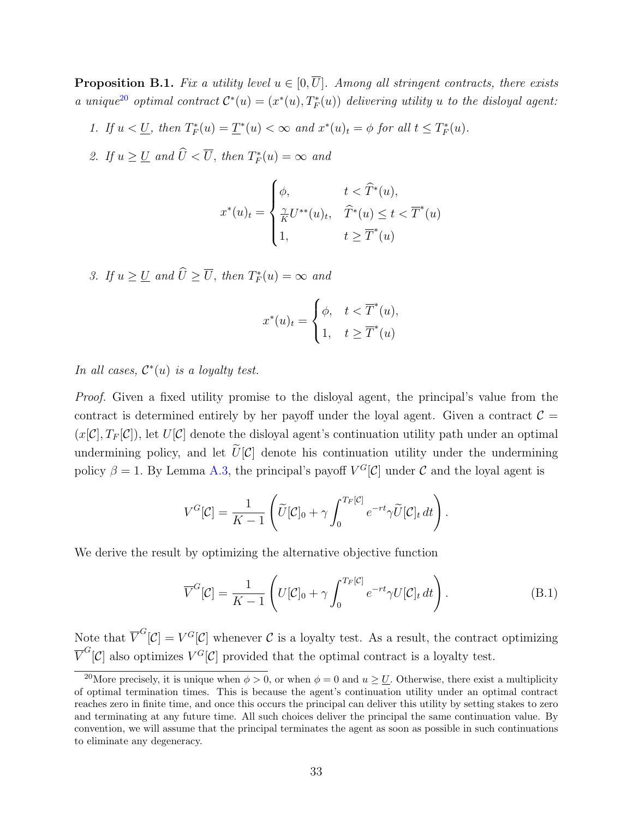<span id="page-32-1"></span>**Proposition B.1.** Fix a utility level  $u \in [0, \overline{U}]$ . Among all stringent contracts, there exists a unique<sup>[20](#page-32-0)</sup> optimal contract  $\mathcal{C}^*(u) = (x^*(u), T_F^*(u))$  delivering utility u to the disloyal agent:

- 1. If  $u < \underline{U}$ , then  $T_F^*(u) = \underline{T}^*(u) < \infty$  and  $x^*(u)_t = \phi$  for all  $t \leq T_F^*(u)$ .
- 2. If  $u \ge U$  and  $\hat{U} < \overline{U}$ , then  $T_F^*(u) = \infty$  and

$$
x^*(u)_t = \begin{cases} \phi, & t < \widehat{T}^*(u), \\ \frac{\gamma}{K} U^{**}(u)_t, & \widehat{T}^*(u) \le t < \overline{T}^*(u) \\ 1, & t \ge \overline{T}^*(u) \end{cases}
$$

3. If  $u \ge U$  and  $\hat{U} \ge \overline{U}$ , then  $T_F^*(u) = \infty$  and

$$
x^*(u)_t = \begin{cases} \phi, & t < \overline{T}^*(u), \\ 1, & t \ge \overline{T}^*(u) \end{cases}
$$

In all cases,  $\mathcal{C}^*(u)$  is a loyalty test.

Proof. Given a fixed utility promise to the disloyal agent, the principal's value from the contract is determined entirely by her payoff under the loyal agent. Given a contract  $\mathcal{C} =$  $(x[\mathcal{C}], T_F[\mathcal{C}])$ , let  $U[\mathcal{C}]$  denote the disloyal agent's continuation utility path under an optimal undermining policy, and let  $\hat{U}[\mathcal{C}]$  denote his continuation utility under the undermining policy  $\beta = 1$ . By Lemma [A.3,](#page-29-0) the principal's payoff  $V^G[\mathcal{C}]$  under C and the loyal agent is

$$
V^G[\mathcal{C}] = \frac{1}{K-1} \left( \widetilde{U}[\mathcal{C}]_0 + \gamma \int_0^{T_F[\mathcal{C}]} e^{-rt} \gamma \widetilde{U}[\mathcal{C}]_t dt \right).
$$

We derive the result by optimizing the alternative objective function

$$
\overline{V}^G[\mathcal{C}] = \frac{1}{K-1} \left( U[\mathcal{C}]_0 + \gamma \int_0^{T_F[\mathcal{C}]} e^{-rt} \gamma U[\mathcal{C}]_t dt \right). \tag{B.1}
$$

Note that  $\overline{V}^G[\mathcal{C}] = V^G[\mathcal{C}]$  whenever  $\mathcal C$  is a loyalty test. As a result, the contract optimizing  $\overline{V}^G[\mathcal{C}]$  also optimizes  $V^G[\mathcal{C}]$  provided that the optimal contract is a loyalty test.

<span id="page-32-0"></span><sup>&</sup>lt;sup>20</sup>More precisely, it is unique when  $\phi > 0$ , or when  $\phi = 0$  and  $u > U$ . Otherwise, there exist a multiplicity of optimal termination times. This is because the agent's continuation utility under an optimal contract reaches zero in finite time, and once this occurs the principal can deliver this utility by setting stakes to zero and terminating at any future time. All such choices deliver the principal the same continuation value. By convention, we will assume that the principal terminates the agent as soon as possible in such continuations to eliminate any degeneracy.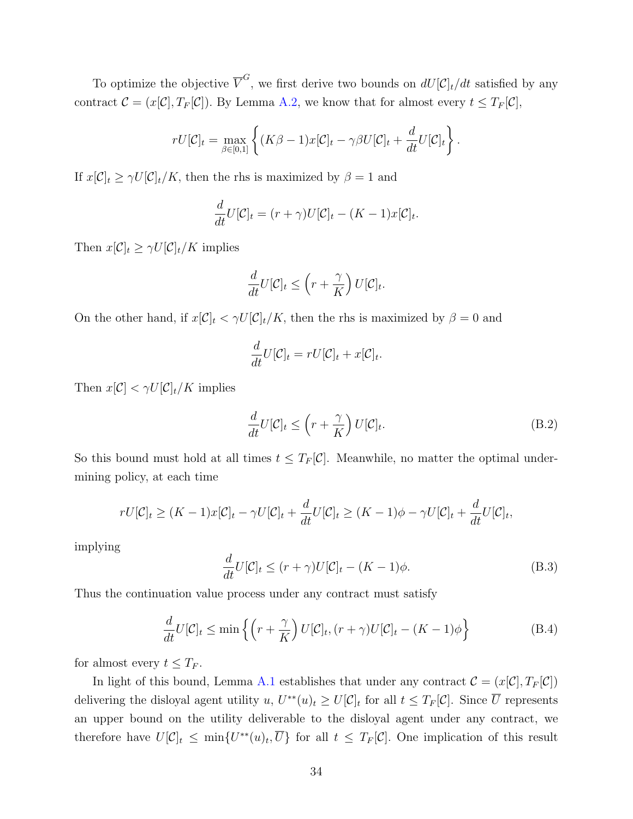To optimize the objective  $\overline{V}^G$ , we first derive two bounds on  $dU[\mathcal{C}]_t/dt$  satisfied by any contract  $\mathcal{C} = (x[\mathcal{C}], T_F[\mathcal{C}])$ . By Lemma [A.2,](#page-27-2) we know that for almost every  $t \leq T_F[\mathcal{C}]$ ,

$$
rU[\mathcal{C}]_t = \max_{\beta \in [0,1]} \left\{ (K\beta - 1)x[\mathcal{C}]_t - \gamma \beta U[\mathcal{C}]_t + \frac{d}{dt}U[\mathcal{C}]_t \right\}.
$$

If  $x[\mathcal{C}]_t \ge \gamma U[\mathcal{C}]_t/K$ , then the rhs is maximized by  $\beta = 1$  and

$$
\frac{d}{dt}U[\mathcal{C}]_t = (r+\gamma)U[\mathcal{C}]_t - (K-1)x[\mathcal{C}]_t.
$$

Then  $x[\mathcal{C}]_t \geq \gamma U[\mathcal{C}]_t/K$  implies

$$
\frac{d}{dt}U[\mathcal{C}]_t \le \left(r + \frac{\gamma}{K}\right)U[\mathcal{C}]_t.
$$

On the other hand, if  $x[\mathcal{C}]_t < \gamma U[\mathcal{C}]_t/K$ , then the rhs is maximized by  $\beta = 0$  and

$$
\frac{d}{dt}U[\mathcal{C}]_t = rU[\mathcal{C}]_t + x[\mathcal{C}]_t.
$$

Then  $x[\mathcal{C}] < \gamma U[\mathcal{C}]_t/K$  implies

<span id="page-33-1"></span>
$$
\frac{d}{dt}U[\mathcal{C}]_t \le \left(r + \frac{\gamma}{K}\right)U[\mathcal{C}]_t.
$$
\n(B.2)

So this bound must hold at all times  $t \leq T_F[\mathcal{C}]$ . Meanwhile, no matter the optimal undermining policy, at each time

$$
rU[\mathcal{C}]_t \ge (K-1)x[\mathcal{C}]_t - \gamma U[\mathcal{C}]_t + \frac{d}{dt}U[\mathcal{C}]_t \ge (K-1)\phi - \gamma U[\mathcal{C}]_t + \frac{d}{dt}U[\mathcal{C}]_t,
$$

implying

<span id="page-33-0"></span>
$$
\frac{d}{dt}U[\mathcal{C}]_t \le (r+\gamma)U[\mathcal{C}]_t - (K-1)\phi.
$$
\n(B.3)

Thus the continuation value process under any contract must satisfy

$$
\frac{d}{dt}U[\mathcal{C}]_t \le \min\left\{ \left( r + \frac{\gamma}{K} \right) U[\mathcal{C}]_t, (r + \gamma)U[\mathcal{C}]_t - (K - 1)\phi \right\}
$$
(B.4)

for almost every  $t \leq T_F$ .

In light of this bound, Lemma [A.1](#page-27-3) establishes that under any contract  $\mathcal{C} = (x[\mathcal{C}], T_F[\mathcal{C}])$ delivering the disloyal agent utility  $u, U^{**}(u)_t \ge U[\mathcal{C}]_t$  for all  $t \le T_F[\mathcal{C}]$ . Since  $\overline{U}$  represents an upper bound on the utility deliverable to the disloyal agent under any contract, we therefore have  $U[\mathcal{C}]_t \leq \min\{U^{**}(u)_t, \overline{U}\}$  for all  $t \leq T_F[\mathcal{C}]$ . One implication of this result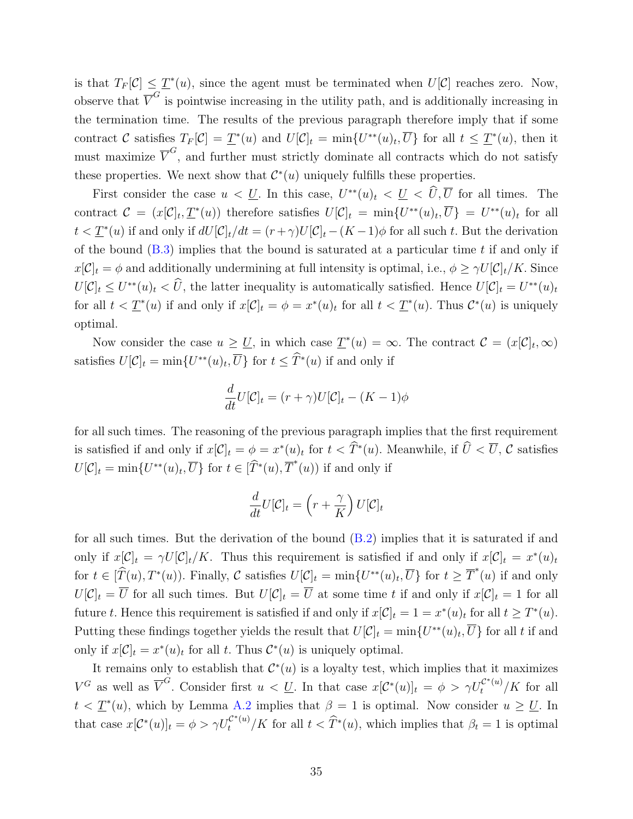is that  $T_F[\mathcal{C}] \leq \underline{T}^*(u)$ , since the agent must be terminated when  $U[\mathcal{C}]$  reaches zero. Now, observe that  $\overline{V}^G$  is pointwise increasing in the utility path, and is additionally increasing in the termination time. The results of the previous paragraph therefore imply that if some contract C satisfies  $T_F[\mathcal{C}] = \underline{T}^*(u)$  and  $U[\mathcal{C}]_t = \min\{U^{**}(u)_t, \overline{U}\}\)$  for all  $t \leq \underline{T}^*(u)$ , then it must maximize  $\overline{V}^G$ , and further must strictly dominate all contracts which do not satisfy these properties. We next show that  $\mathcal{C}^*(u)$  uniquely fulfills these properties.

First consider the case  $u < \underline{U}$ . In this case,  $U^{**}(u)_t < \underline{U} < \widehat{U}, \overline{U}$  for all times. The contract  $\mathcal{C} = (x[\mathcal{C}]_t, \underline{T}^*(u))$  therefore satisfies  $U[\mathcal{C}]_t = \min\{U^{**}(u)_t, \overline{U}\} = U^{**}(u)_t$  for all  $t < \underline{T}^*(u)$  if and only if  $dU[\mathcal{C}]_t/dt = (r+\gamma)U[\mathcal{C}]_t-(K-1)\phi$  for all such t. But the derivation of the bound  $(B.3)$  implies that the bound is saturated at a particular time t if and only if  $x[\mathcal{C}]_t = \phi$  and additionally undermining at full intensity is optimal, i.e.,  $\phi \geq \gamma U[\mathcal{C}]_t/K$ . Since  $U[\mathcal{C}]_t \leq U^{**}(u)_t < \hat{U}$ , the latter inequality is automatically satisfied. Hence  $U[\mathcal{C}]_t = U^{**}(u)_t$ for all  $t < \underline{T}^*(u)$  if and only if  $x[\mathcal{C}]_t = \phi = x^*(u)_t$  for all  $t < \underline{T}^*(u)$ . Thus  $\mathcal{C}^*(u)$  is uniquely optimal.

Now consider the case  $u \ge U$ , in which case  $\underline{T}^*(u) = \infty$ . The contract  $\mathcal{C} = (x[\mathcal{C}]_t, \infty)$ satisfies  $U[\mathcal{C}]_t = \min\{U^{**}(u)_t, \overline{U}\}\$ for  $t \leq \widehat{T}^*(u)$  if and only if

$$
\frac{d}{dt}U[\mathcal{C}]_t = (r+\gamma)U[\mathcal{C}]_t - (K-1)\phi
$$

for all such times. The reasoning of the previous paragraph implies that the first requirement is satisfied if and only if  $x[\mathcal{C}]_t = \phi = x^*(u)_t$  for  $t < \widehat{T}^*(u)$ . Meanwhile, if  $\widehat{U} < \overline{U}$ ,  $\mathcal{C}$  satisfies  $U[\mathcal{C}]_t = \min\{U^{**}(u)_t, \overline{U}\}\$ for  $t \in [\widehat{T}^*(u), \overline{T}^*(u))$  if and only if

$$
\frac{d}{dt}U[\mathcal{C}]_t = \left(r + \frac{\gamma}{K}\right)U[\mathcal{C}]_t
$$

for all such times. But the derivation of the bound [\(B.2\)](#page-33-1) implies that it is saturated if and only if  $x[\mathcal{C}]_t = \gamma U[\mathcal{C}]_t/K$ . Thus this requirement is satisfied if and only if  $x[\mathcal{C}]_t = x^*(u)_t$ for  $t \in [\widehat{T}(u), T^*(u))$ . Finally, C satisfies  $U[\mathcal{C}]_t = \min\{U^{**}(u)_t, \overline{U}\}\)$  for  $t \geq \overline{T}^*(u)$  if and only  $U[\mathcal{C}]_t = \overline{U}$  for all such times. But  $U[\mathcal{C}]_t = \overline{U}$  at some time t if and only if  $x[\mathcal{C}]_t = 1$  for all future t. Hence this requirement is satisfied if and only if  $x[\mathcal{C}]_t = 1 = x^*(u)_t$  for all  $t \geq T^*(u)$ . Putting these findings together yields the result that  $U[\mathcal{C}]_t = \min\{U^{**}(u)_t, \overline{U}\}$  for all t if and only if  $x[\mathcal{C}]_t = x^*(u)_t$  for all t. Thus  $\mathcal{C}^*(u)$  is uniquely optimal.

It remains only to establish that  $\mathcal{C}^*(u)$  is a loyalty test, which implies that it maximizes  $V^G$  as well as  $\overline{V}^G$ . Consider first  $u < \underline{U}$ . In that case  $x[\mathcal{C}^*(u)]_t = \phi > \gamma U_t^{\mathcal{C}^*(u)}/K$  for all  $t < \underline{T}^*(u)$ , which by Lemma [A.2](#page-27-2) implies that  $\beta = 1$  is optimal. Now consider  $u \geq \underline{U}$ . In that case  $x[\mathcal{C}^*(u)]_t = \phi > \gamma U_t^{\mathcal{C}^*(u)}/K$  for all  $t < \widehat{T}^*(u)$ , which implies that  $\beta_t = 1$  is optimal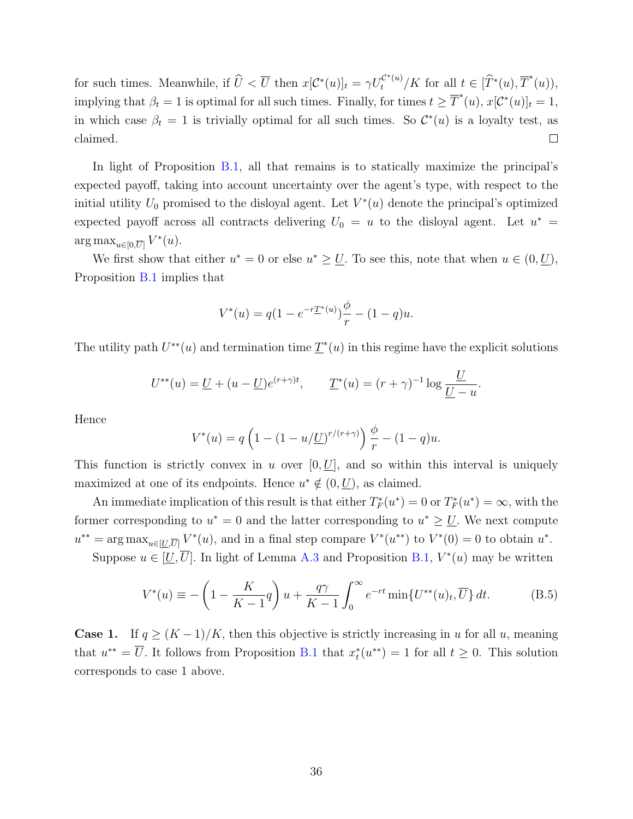for such times. Meanwhile, if  $\hat{U} < \overline{U}$  then  $x[\mathcal{C}^*(u)]_t = \gamma U_t^{\mathcal{C}^*(u)}/K$  for all  $t \in [\hat{T}^*(u), \overline{T}^*(u))$ , implying that  $\beta_t = 1$  is optimal for all such times. Finally, for times  $t \geq \overline{T}^*(u)$ ,  $x[\mathcal{C}^*(u)]_t = 1$ , in which case  $\beta_t = 1$  is trivially optimal for all such times. So  $\mathcal{C}^*(u)$  is a loyalty test, as claimed.  $\Box$ 

In light of Proposition [B.1,](#page-32-1) all that remains is to statically maximize the principal's expected payoff, taking into account uncertainty over the agent's type, with respect to the initial utility  $U_0$  promised to the disloyal agent. Let  $V^*(u)$  denote the principal's optimized expected payoff across all contracts delivering  $U_0 = u$  to the disloyal agent. Let  $u^* =$  $\arg \max_{u \in [0, \overline{U}]} V^*(u).$ 

We first show that either  $u^* = 0$  or else  $u^* \geq \underline{U}$ . To see this, note that when  $u \in (0, \underline{U})$ , Proposition [B.1](#page-32-1) implies that

$$
V^*(u) = q(1 - e^{-r\underline{T}^*(u)})\frac{\phi}{r} - (1 - q)u.
$$

The utility path  $U^{**}(u)$  and termination time  $\underline{T}^{*}(u)$  in this regime have the explicit solutions

$$
U^{**}(u) = \underline{U} + (u - \underline{U})e^{(r+\gamma)t}, \qquad \underline{T}^*(u) = (r+\gamma)^{-1}\log\frac{\underline{U}}{\underline{U}-u}.
$$

Hence

<span id="page-35-0"></span>
$$
V^{*}(u) = q \left( 1 - (1 - u/U)^{r/(r+\gamma)} \right) \frac{\phi}{r} - (1 - q)u.
$$

This function is strictly convex in u over  $[0, U]$ , and so within this interval is uniquely maximized at one of its endpoints. Hence  $u^* \notin (0, U)$ , as claimed.

An immediate implication of this result is that either  $T_F^*(u^*) = 0$  or  $T_F^*(u^*) = \infty$ , with the former corresponding to  $u^* = 0$  and the latter corresponding to  $u^* \ge U$ . We next compute  $u^{**} = \arg \max_{u \in [U, \overline{U}]} V^*(u)$ , and in a final step compare  $V^*(u^{**})$  to  $V^*(0) = 0$  to obtain  $u^*$ .

Suppose  $u \in [\underline{U}, \overline{U}]$ . In light of Lemma [A.3](#page-29-0) and Proposition [B.1,](#page-32-1)  $V^*(u)$  may be written

$$
V^*(u) \equiv -\left(1 - \frac{K}{K-1}q\right)u + \frac{q\gamma}{K-1}\int_0^\infty e^{-rt} \min\{U^{**}(u)_t, \overline{U}\} dt.
$$
 (B.5)

**Case 1.** If  $q \ge (K-1)/K$ , then this objective is strictly increasing in u for all u, meaning that  $u^{**} = \overline{U}$ . It follows from Proposition [B.1](#page-32-1) that  $x_t^*(u^{**}) = 1$  for all  $t \geq 0$ . This solution corresponds to case 1 above.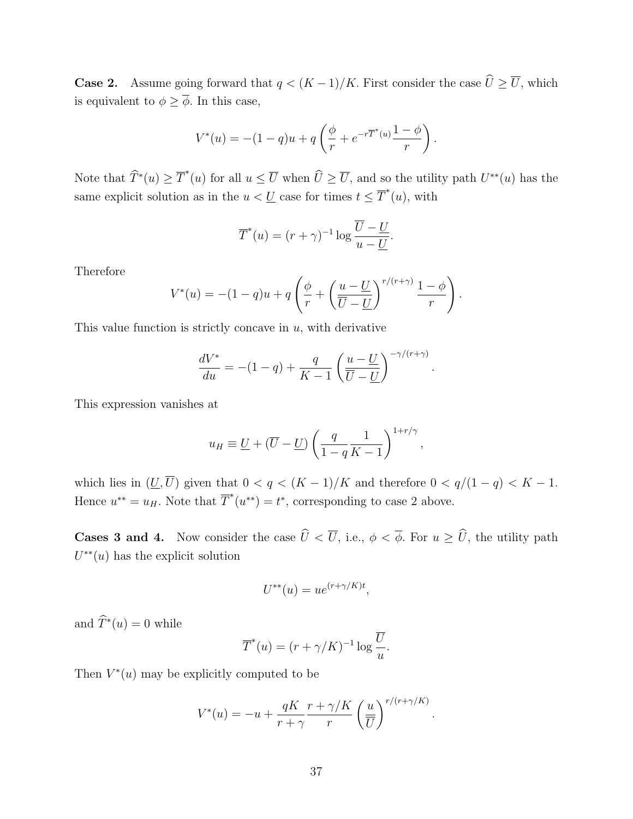**Case 2.** Assume going forward that  $q < (K-1)/K$ . First consider the case  $\widehat{U} \ge \overline{U}$ , which is equivalent to  $\phi \geq \overline{\phi}$ . In this case,

$$
V^*(u) = -(1-q)u + q\left(\frac{\phi}{r} + e^{-r\overline{T}^*(u)}\frac{1-\phi}{r}\right).
$$

Note that  $\widehat{T}^*(u) \geq \overline{T}^*(u)$  for all  $u \leq \overline{U}$  when  $\widehat{U} \geq \overline{U}$ , and so the utility path  $U^{**}(u)$  has the same explicit solution as in the  $u < U$  case for times  $t \leq \overline{T}^*(u)$ , with

$$
\overline{T}^*(u) = (r + \gamma)^{-1} \log \frac{\overline{U} - \underline{U}}{u - \underline{U}}.
$$

Therefore

$$
V^*(u) = -(1-q)u + q\left(\frac{\phi}{r} + \left(\frac{u-\underline{U}}{\overline{U}-\underline{U}}\right)^{r/(r+\gamma)}\frac{1-\phi}{r}\right).
$$

This value function is strictly concave in  $u$ , with derivative

$$
\frac{dV^*}{du} = -(1-q) + \frac{q}{K-1} \left(\frac{u-\underline{U}}{\overline{U}-\underline{U}}\right)^{-\gamma/(r+\gamma)}
$$

.

.

This expression vanishes at

$$
u_H \equiv \underline{U} + (\overline{U} - \underline{U}) \left( \frac{q}{1-q} \frac{1}{K-1} \right)^{1+r/\gamma},
$$

which lies in  $(\underline{U}, \overline{U})$  given that  $0 < q < (K-1)/K$  and therefore  $0 < q/(1-q) < K-1$ . Hence  $u^{**} = u_H$ . Note that  $\overline{T}^*(u^{**}) = t^*$ , corresponding to case 2 above.

**Cases 3 and 4.** Now consider the case  $\hat{U} < \overline{U}$ , i.e.,  $\phi < \overline{\phi}$ . For  $u \geq \hat{U}$ , the utility path  $U^{**}(u)$  has the explicit solution

$$
U^{**}(u) = ue^{(r+\gamma/K)t},
$$

and  $\widehat{T}^*(u) = 0$  while

$$
\overline{T}^*(u) = (r + \gamma/K)^{-1} \log \frac{\overline{U}}{u}.
$$

Then  $V^*(u)$  may be explicitly computed to be

$$
V^*(u) = -u + \frac{qK}{r+\gamma} \frac{r+\gamma/K}{r} \left(\frac{u}{\overline{U}}\right)^{r/(r+\gamma/K)}
$$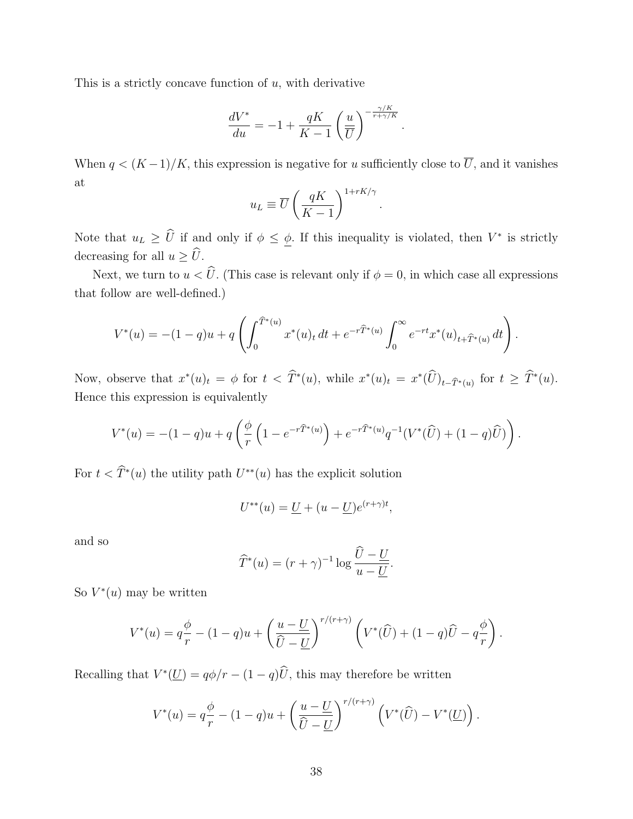This is a strictly concave function of  $u$ , with derivative

$$
\frac{dV^*}{du} = -1 + \frac{qK}{K-1} \left(\frac{u}{\overline{U}}\right)^{-\frac{\gamma/K}{r+\gamma/K}}.
$$

When  $q < (K-1)/K$ , this expression is negative for u sufficiently close to  $\overline{U}$ , and it vanishes at

$$
u_L \equiv \overline{U} \left( \frac{qK}{K-1} \right)^{1+rK/\gamma}
$$

.

Note that  $u_L \geq \hat{U}$  if and only if  $\phi \leq \underline{\phi}$ . If this inequality is violated, then  $V^*$  is strictly decreasing for all  $u \geq \hat{U}$ .

Next, we turn to  $u < \hat{U}$ . (This case is relevant only if  $\phi = 0$ , in which case all expressions that follow are well-defined.)

$$
V^*(u) = -(1-q)u + q \left( \int_0^{\widehat{T}^*(u)} x^*(u)_t dt + e^{-r\widehat{T}^*(u)} \int_0^\infty e^{-rt} x^*(u)_{t+\widehat{T}^*(u)} dt \right).
$$

Now, observe that  $x^*(u)_t = \phi$  for  $t < \hat{T}^*(u)$ , while  $x^*(u)_t = x^*(\hat{U})_{t-\hat{T}^*(u)}$  for  $t \geq \hat{T}^*(u)$ . Hence this expression is equivalently

$$
V^*(u) = -(1-q)u + q\left(\frac{\phi}{r}\left(1 - e^{-r\widehat{T}^*(u)}\right) + e^{-r\widehat{T}^*(u)}q^{-1}(V^*(\widehat{U}) + (1-q)\widehat{U})\right).
$$

For  $t < \hat{T}^*(u)$  the utility path  $U^{**}(u)$  has the explicit solution

$$
U^{**}(u) = \underline{U} + (u - \underline{U})e^{(r+\gamma)t},
$$

and so

$$
\widehat{T}^*(u) = (r + \gamma)^{-1} \log \frac{U - \underline{U}}{u - \underline{U}}.
$$

So  $V^*(u)$  may be written

$$
V^*(u) = q\frac{\phi}{r} - (1-q)u + \left(\frac{u-\underline{U}}{\widehat{U}-\underline{U}}\right)^{r/(r+\gamma)} \left(V^*(\widehat{U}) + (1-q)\widehat{U} - q\frac{\phi}{r}\right).
$$

Recalling that  $V^*(\underline{U}) = q\phi/r - (1-q)\hat{U}$ , this may therefore be written

$$
V^*(u) = q\frac{\phi}{r} - (1-q)u + \left(\frac{u-\underline{U}}{\widehat{U}-\underline{U}}\right)^{r/(r+\gamma)} \left(V^*(\widehat{U}) - V^*(\underline{U})\right).
$$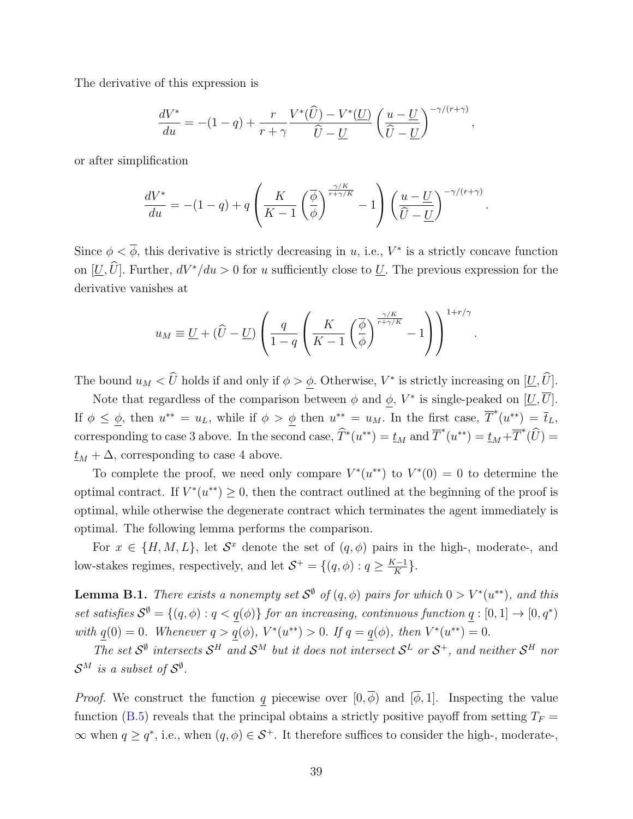The derivative of this expression is

$$
\frac{dV^*}{du} = -(1-q) + \frac{r}{r+\gamma} \frac{V^*(\widehat{U}) - V^*(U)}{\widehat{U} - \underline{U}} \left(\frac{u-\underline{U}}{\widehat{U} - \underline{U}}\right)^{-\gamma/(r+\gamma)},
$$

or after simplification

$$
\frac{dV^*}{du} = -(1-q) + q \left(\frac{K}{K-1} \left(\frac{\overline{\phi}}{\phi}\right)^{\frac{\gamma/K}{r+\gamma/K}} - 1\right) \left(\frac{u-\underline{U}}{\widehat{U}-\underline{U}}\right)^{-\gamma/(r+\gamma)}.
$$

Since  $\phi < \overline{\phi}$ , this derivative is strictly decreasing in u, i.e.,  $V^*$  is a strictly concave function on  $[\underline{U}, \widehat{U}]$ . Further,  $dV^*/du > 0$  for u sufficiently close to  $\underline{U}$ . The previous expression for the derivative vanishes at

$$
u_M \equiv \underline{U} + (\widehat{U} - \underline{U}) \left( \frac{q}{1-q} \left( \frac{K}{K-1} \left( \frac{\overline{\phi}}{\phi} \right)^{\frac{\gamma/K}{r+\gamma/K}} - 1 \right) \right)^{1+r/\gamma}
$$

.

The bound  $u_M < \hat{U}$  holds if and only if  $\phi > \underline{\phi}$ . Otherwise,  $V^*$  is strictly increasing on  $[\underline{U}, \hat{U}]$ .

Note that regardless of the comparison between  $\phi$  and  $\phi$ ,  $V^*$  is single-peaked on  $[\underline{U}, \overline{U}]$ . If  $\phi \leq \phi$ , then  $u^{**} = u_L$ , while if  $\phi > \phi$  then  $u^{**} = u_M$ . In the first case,  $\overline{T}^*(u^{**}) = \overline{t}_L$ , corresponding to case 3 above. In the second case,  $\widehat{T}^*(u^{**}) = \underline{t}_M$  and  $\overline{T}^*(u^{**}) = \underline{t}_M + \overline{T}^*(\widehat{U})$  $t_M + \Delta$ , corresponding to case 4 above.

To complete the proof, we need only compare  $V^*(u^{**})$  to  $V^*(0) = 0$  to determine the optimal contract. If  $V^*(u^{**}) \geq 0$ , then the contract outlined at the beginning of the proof is optimal, while otherwise the degenerate contract which terminates the agent immediately is optimal. The following lemma performs the comparison.

For  $x \in \{H, M, L\}$ , let  $S^x$  denote the set of  $(q, \phi)$  pairs in the high-, moderate-, and low-stakes regimes, respectively, and let  $S^+ = \{(q, \phi) : q \geq \frac{K-1}{K}\}$  $\frac{(-1)}{K}$ .

**Lemma B.1.** There exists a nonempty set  $S^{\emptyset}$  of  $(q, \phi)$  pairs for which  $0 > V^{*}(u^{**})$ , and this set satisfies  $S^{\emptyset} = \{(q, \phi) : q < q(\phi)\}\$ for an increasing, continuous function  $q : [0, 1] \to [0, q^*)$ with  $q(0) = 0$ . Whenever  $q > q(\phi)$ ,  $V^*(u^{**}) > 0$ . If  $q = q(\phi)$ , then  $V^*(u^{**}) = 0$ .

The set  $S^0$  intersects  $S^H$  and  $S^M$  but it does not intersect  $S^L$  or  $S^+$ , and neither  $S^H$  nor  $\mathcal{S}^M$  is a subset of  $\mathcal{S}^{\emptyset}$ .

*Proof.* We construct the function q piecewise over  $[0, \overline{\phi})$  and  $[\overline{\phi}, 1]$ . Inspecting the value function [\(B.5\)](#page-35-0) reveals that the principal obtains a strictly positive payoff from setting  $T_F =$  $\infty$  when  $q \geq q^*$ , i.e., when  $(q, \phi) \in S^+$ . It therefore suffices to consider the high-, moderate-,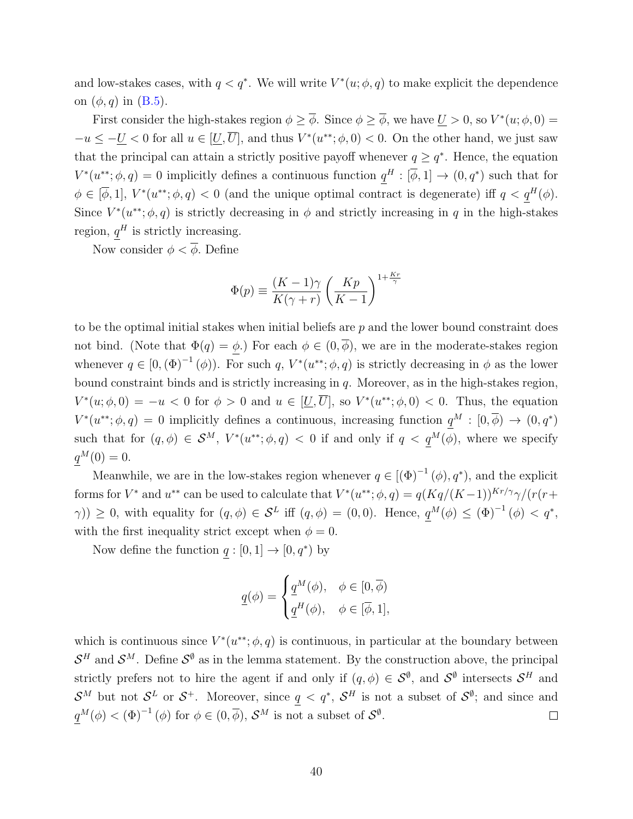and low-stakes cases, with  $q < q^*$ . We will write  $V^*(u; \phi, q)$  to make explicit the dependence on  $(\phi, q)$  in  $(B.5)$ .

First consider the high-stakes region  $\phi \geq \overline{\phi}$ . Since  $\phi \geq \overline{\phi}$ , we have  $\underline{U} > 0$ , so  $V^*(u; \phi, 0) =$  $-u \leq -\underline{U} < 0$  for all  $u \in [\underline{U}, \overline{U}]$ , and thus  $V^*(u^{**}; \phi, 0) < 0$ . On the other hand, we just saw that the principal can attain a strictly positive payoff whenever  $q \geq q^*$ . Hence, the equation  $V^*(u^{**};\phi,q) = 0$  implicitly defines a continuous function  $q^H : [\overline{\phi},1] \to (0,q^*)$  such that for  $\phi \in [\overline{\phi}, 1], V^*(u^{**}; \phi, q) < 0$  (and the unique optimal contract is degenerate) iff  $q < q^H(\phi)$ . Since  $V^*(u^{**}; \phi, q)$  is strictly decreasing in  $\phi$  and strictly increasing in q in the high-stakes region,  $q^H$  is strictly increasing.

Now consider  $\phi < \overline{\phi}$ . Define

$$
\Phi(p) \equiv \frac{(K-1)\gamma}{K(\gamma+r)} \left(\frac{Kp}{K-1}\right)^{1+\frac{Kr}{\gamma}}
$$

to be the optimal initial stakes when initial beliefs are  $p$  and the lower bound constraint does not bind. (Note that  $\Phi(q) = \phi$ .) For each  $\phi \in (0, \overline{\phi})$ , we are in the moderate-stakes region whenever  $q \in [0, (\Phi)^{-1}(\phi))$ . For such q,  $V^*(u^{**}; \phi, q)$  is strictly decreasing in  $\phi$  as the lower bound constraint binds and is strictly increasing in q. Moreover, as in the high-stakes region,  $V^*(u;\phi,0) = -u < 0$  for  $\phi > 0$  and  $u \in [\underline{U}, \overline{U}]$ , so  $V^*(u^{**};\phi,0) < 0$ . Thus, the equation  $V^*(u^{**};\phi,q) = 0$  implicitly defines a continuous, increasing function  $q^M : [0,\overline{\phi}) \to (0,q^*)$ such that for  $(q, \phi) \in \mathcal{S}^M$ ,  $V^*(u^{**}; \phi, q) < 0$  if and only if  $q < q^M(\phi)$ , where we specify  $q^M(0) = 0.$ 

Meanwhile, we are in the low-stakes region whenever  $q \in [(\Phi)^{-1}(\phi), q^*),$  and the explicit forms for  $V^*$  and  $u^{**}$  can be used to calculate that  $V^*(u^{**};\phi,q) = q(Kq/(K-1))^{Kr/\gamma}\gamma/(r(r+1))^{Kr/\gamma}$  $(\gamma)$ )  $\geq$  0, with equality for  $(q, \phi) \in S^L$  iff  $(q, \phi) = (0, 0)$ . Hence,  $q^M(\phi) \leq (\Phi)^{-1}(\phi) < q^*$ , with the first inequality strict except when  $\phi = 0$ .

Now define the function  $q: [0,1] \to [0,q^*)$  by

$$
\underline{q}(\phi) = \begin{cases} \underline{q}^M(\phi), & \phi \in [0, \overline{\phi}) \\ \underline{q}^H(\phi), & \phi \in [\overline{\phi}, 1], \end{cases}
$$

which is continuous since  $V^*(u^{**}; \phi, q)$  is continuous, in particular at the boundary between  $\mathcal{S}^H$  and  $\mathcal{S}^M$ . Define  $\mathcal{S}^{\emptyset}$  as in the lemma statement. By the construction above, the principal strictly prefers not to hire the agent if and only if  $(q, \phi) \in \mathcal{S}^{\emptyset}$ , and  $\mathcal{S}^{\emptyset}$  intersects  $\mathcal{S}^{H}$  and  $\mathcal{S}^M$  but not  $\mathcal{S}^L$  or  $\mathcal{S}^+$ . Moreover, since  $q < q^*$ ,  $\mathcal{S}^H$  is not a subset of  $\mathcal{S}^{\emptyset}$ ; and since and  $q^M(\phi) < (\Phi)^{-1}(\phi)$  for  $\phi \in (0, \overline{\phi}), \mathcal{S}^M$  is not a subset of  $\mathcal{S}^{\emptyset}$ .  $\Box$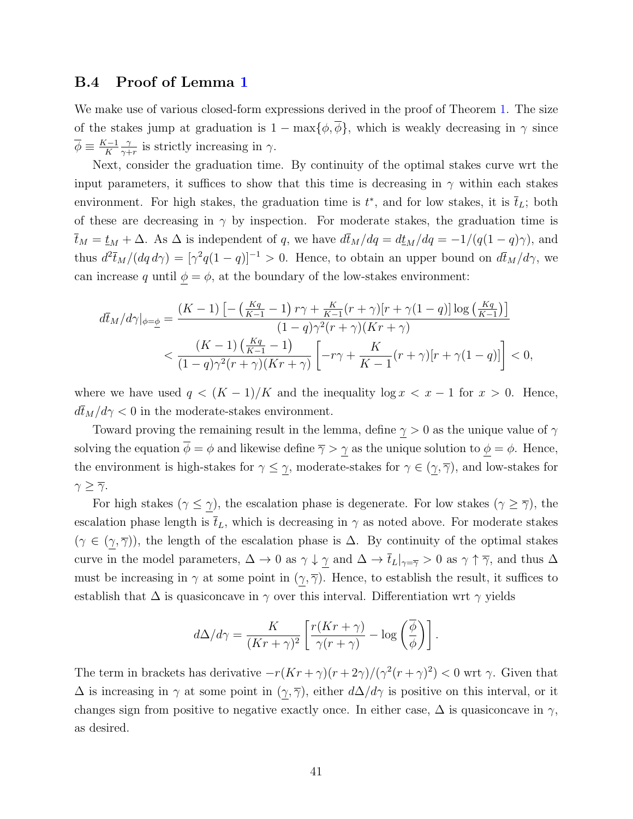### B.4 Proof of Lemma [1](#page-9-1)

We make use of various closed-form expressions derived in the proof of Theorem [1.](#page-8-1) The size of the stakes jump at graduation is  $1 - \max{\lbrace \phi, \overline{\phi} \rbrace}$ , which is weakly decreasing in  $\gamma$  since  $\overline{\phi} \equiv \frac{K-1}{K}$ K γ  $\frac{\gamma}{\gamma+r}$  is strictly increasing in  $\gamma$ .

Next, consider the graduation time. By continuity of the optimal stakes curve wrt the input parameters, it suffices to show that this time is decreasing in  $\gamma$  within each stakes environment. For high stakes, the graduation time is  $t^*$ , and for low stakes, it is  $\bar{t}_L$ ; both of these are decreasing in  $\gamma$  by inspection. For moderate stakes, the graduation time is  $\bar{t}_M = t_M + \Delta$ . As  $\Delta$  is independent of q, we have  $d\bar{t}_M/dq = dt_M/dq = -1/(q(1-q)\gamma)$ , and thus  $d^2 \bar{t}_M/(dq \, d\gamma) = [\gamma^2 q(1-q)]^{-1} > 0$ . Hence, to obtain an upper bound on  $d\bar{t}_M/d\gamma$ , we can increase q until  $\phi = \phi$ , at the boundary of the low-stakes environment:

$$
d\bar{t}_M/d\gamma|_{\phi=\phi} = \frac{(K-1)\left[-\left(\frac{Kq}{K-1}-1\right)r\gamma + \frac{K}{K-1}(r+\gamma)[r+\gamma(1-q)]\log\left(\frac{Kq}{K-1}\right)\right]}{(1-q)\gamma^2(r+\gamma)(Kr+\gamma)} < \frac{(K-1)\left(\frac{Kq}{K-1}-1\right)}{(1-q)\gamma^2(r+\gamma)(Kr+\gamma)}\left[-r\gamma + \frac{K}{K-1}(r+\gamma)[r+\gamma(1-q)]\right] < 0,
$$

where we have used  $q < (K-1)/K$  and the inequality  $\log x < x - 1$  for  $x > 0$ . Hence,  $d\bar{t}_M/d\gamma < 0$  in the moderate-stakes environment.

Toward proving the remaining result in the lemma, define  $\gamma > 0$  as the unique value of  $\gamma$ solving the equation  $\overline{\phi} = \phi$  and likewise define  $\overline{\gamma} > \underline{\gamma}$  as the unique solution to  $\underline{\phi} = \phi$ . Hence, the environment is high-stakes for  $\gamma \leq \gamma$ , moderate-stakes for  $\gamma \in (\gamma, \overline{\gamma})$ , and low-stakes for  $\gamma \geq \overline{\gamma}$ .

For high stakes ( $\gamma \leq \gamma$ ), the escalation phase is degenerate. For low stakes ( $\gamma \geq \overline{\gamma}$ ), the escalation phase length is  $\bar{t}_L$ , which is decreasing in  $\gamma$  as noted above. For moderate stakes  $(\gamma \in (\gamma, \overline{\gamma}))$ , the length of the escalation phase is  $\Delta$ . By continuity of the optimal stakes curve in the model parameters,  $\Delta \to 0$  as  $\gamma \downarrow \gamma$  and  $\Delta \to \bar{t}_L|_{\gamma=\bar{\gamma}} > 0$  as  $\gamma \uparrow \bar{\gamma}$ , and thus  $\Delta$ must be increasing in  $\gamma$  at some point in  $(\gamma, \overline{\gamma})$ . Hence, to establish the result, it suffices to establish that  $\Delta$  is quasiconcave in  $\gamma$  over this interval. Differentiation wrt  $\gamma$  yields

$$
d\Delta/d\gamma = \frac{K}{(Kr+\gamma)^2} \left[ \frac{r(Kr+\gamma)}{\gamma(r+\gamma)} - \log\left(\frac{\overline{\phi}}{\phi}\right) \right].
$$

The term in brackets has derivative  $-r(Kr+\gamma)(r+2\gamma)/(\gamma^2(r+\gamma)^2) < 0$  wrt  $\gamma$ . Given that  $\Delta$  is increasing in  $\gamma$  at some point in  $(\gamma, \overline{\gamma})$ , either  $d\Delta/d\gamma$  is positive on this interval, or it changes sign from positive to negative exactly once. In either case,  $\Delta$  is quasiconcave in  $\gamma$ , as desired.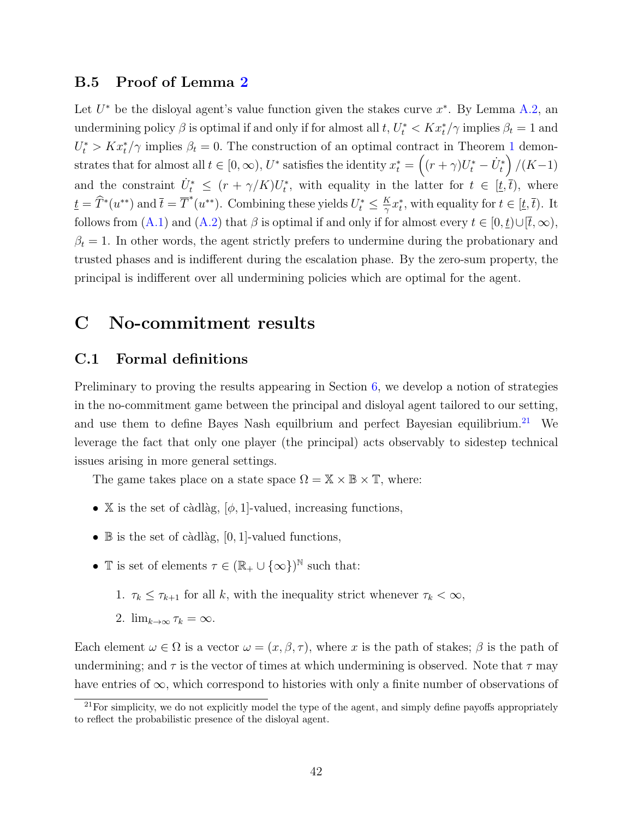### B.5 Proof of Lemma [2](#page-10-2)

Let  $U^*$  be the disloyal agent's value function given the stakes curve  $x^*$ . By Lemma [A.2,](#page-27-2) an undermining policy  $\beta$  is optimal if and only if for almost all  $t, U_t^* < K x_t^* / \gamma$  implies  $\beta_t = 1$  and  $U_t^* > Kx_t^*/\gamma$  implies  $\beta_t = 0$ . The construction of an optimal contract in Theorem [1](#page-8-1) demonstrates that for almost all  $t \in [0, \infty)$ ,  $U^*$  satisfies the identity  $x_t^* = \left( (r + \gamma)U_t^* - \dot{U}_t^* \right)/(K-1)$ and the constraint  $\dot{U}_t^* \leq (r + \gamma/K)U_t^*$ , with equality in the latter for  $t \in [\underline{t}, \overline{t})$ , where  $\underline{t} = \widehat{T}^*(u^{**})$  and  $\overline{t} = \overline{T}^*(u^{**})$ . Combining these yields  $U_t^* \leq \frac{K}{\gamma}$  $\frac{K}{\gamma}x_t^*$ , with equality for  $t \in [\underline{t}, \overline{t})$ . It follows from [\(A.1\)](#page-27-0) and [\(A.2\)](#page-27-1) that  $\beta$  is optimal if and only if for almost every  $t \in [0, \underline{t}) \cup [\overline{t}, \infty)$ ,  $\beta_t = 1$ . In other words, the agent strictly prefers to undermine during the probationary and trusted phases and is indifferent during the escalation phase. By the zero-sum property, the principal is indifferent over all undermining policies which are optimal for the agent.

# C No-commitment results

### C.1 Formal definitions

Preliminary to proving the results appearing in Section [6,](#page-21-0) we develop a notion of strategies in the no-commitment game between the principal and disloyal agent tailored to our setting, and use them to define Bayes Nash equilbrium and perfect Bayesian equilibrium.<sup>[21](#page-41-0)</sup> We leverage the fact that only one player (the principal) acts observably to sidestep technical issues arising in more general settings.

The game takes place on a state space  $\Omega = \mathbb{X} \times \mathbb{B} \times \mathbb{T}$ , where:

- X is the set of càdlàg,  $[\phi, 1]$ -valued, increasing functions,
- $\mathbb B$  is the set of càdlàg, [0, 1]-valued functions,
- T is set of elements  $\tau \in (\mathbb{R}_{+} \cup \{\infty\})^{\mathbb{N}}$  such that:
	- 1.  $\tau_k \leq \tau_{k+1}$  for all k, with the inequality strict whenever  $\tau_k < \infty$ ,
	- 2.  $\lim_{k\to\infty} \tau_k = \infty$ .

Each element  $\omega \in \Omega$  is a vector  $\omega = (x, \beta, \tau)$ , where x is the path of stakes;  $\beta$  is the path of undermining; and  $\tau$  is the vector of times at which undermining is observed. Note that  $\tau$  may have entries of  $\infty$ , which correspond to histories with only a finite number of observations of

<span id="page-41-0"></span> $^{21}$ For simplicity, we do not explicitly model the type of the agent, and simply define payoffs appropriately to reflect the probabilistic presence of the disloyal agent.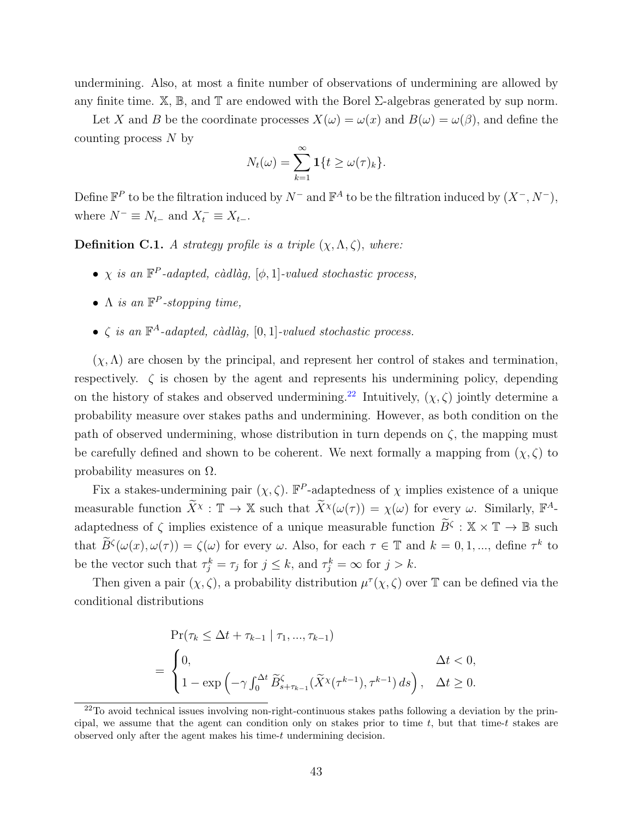undermining. Also, at most a finite number of observations of undermining are allowed by any finite time.  $\mathbb{X}, \mathbb{B}$ , and  $\mathbb{T}$  are endowed with the Borel  $\Sigma$ -algebras generated by sup norm.

Let X and B be the coordinate processes  $X(\omega) = \omega(x)$  and  $B(\omega) = \omega(\beta)$ , and define the counting process N by

$$
N_t(\omega) = \sum_{k=1}^{\infty} \mathbf{1}\{t \ge \omega(\tau)_k\}.
$$

Define  $\mathbb{F}^P$  to be the filtration induced by  $N^-$  and  $\mathbb{F}^A$  to be the filtration induced by  $(X^-, N^-)$ , where  $N^- \equiv N_{t-}$  and  $X_t^- \equiv X_{t-}$ .

**Definition C.1.** A strategy profile is a triple  $(\chi, \Lambda, \zeta)$ , where:

- $\chi$  is an  $\mathbb{F}^P$ -adapted, càdlàg, [ $\phi$ , 1]-valued stochastic process,
- $\Lambda$  is an  $\mathbb{F}^P$ -stopping time,
- $\zeta$  is an  $\mathbb{F}^A$ -adapted, càdlàg, [0, 1]-valued stochastic process.

 $(\chi, \Lambda)$  are chosen by the principal, and represent her control of stakes and termination, respectively.  $\zeta$  is chosen by the agent and represents his undermining policy, depending on the history of stakes and observed undermining.<sup>[22](#page-42-0)</sup> Intuitively,  $(\chi, \zeta)$  jointly determine a probability measure over stakes paths and undermining. However, as both condition on the path of observed undermining, whose distribution in turn depends on  $\zeta$ , the mapping must be carefully defined and shown to be coherent. We next formally a mapping from  $(\chi, \zeta)$  to probability measures on  $\Omega$ .

Fix a stakes-undermining pair  $(\chi, \zeta)$ .  $\mathbb{F}^P$ -adaptedness of  $\chi$  implies existence of a unique measurable function  $\widetilde{X}^{\chi} : \mathbb{T} \to \mathbb{X}$  such that  $\widetilde{X}^{\chi}(\omega(\tau)) = \chi(\omega)$  for every  $\omega$ . Similarly,  $\mathbb{F}^{A}$ adaptedness of  $\zeta$  implies existence of a unique measurable function  $\widetilde{B}^{\zeta}: \mathbb{X} \times \mathbb{T} \to \mathbb{B}$  such that  $\widetilde{B}^{\zeta}(\omega(x), \omega(\tau)) = \zeta(\omega)$  for every  $\omega$ . Also, for each  $\tau \in \mathbb{T}$  and  $k = 0, 1, ...,$  define  $\tau^k$  to be the vector such that  $\tau_j^k = \tau_j$  for  $j \leq k$ , and  $\tau_j^k = \infty$  for  $j > k$ .

Then given a pair  $(\chi, \zeta)$ , a probability distribution  $\mu^{\tau}(\chi, \zeta)$  over T can be defined via the conditional distributions

$$
\Pr(\tau_k \le \Delta t + \tau_{k-1} \mid \tau_1, ..., \tau_{k-1})
$$
\n
$$
= \begin{cases}\n0, & \Delta t < 0, \\
1 - \exp\left(-\gamma \int_0^{\Delta t} \widetilde{B}_{s+\tau_{k-1}}(\widetilde{X}^{\chi}(\tau^{k-1}), \tau^{k-1}) ds\right), & \Delta t \ge 0.\n\end{cases}
$$

<span id="page-42-0"></span> $22$ To avoid technical issues involving non-right-continuous stakes paths following a deviation by the principal, we assume that the agent can condition only on stakes prior to time  $t$ , but that time-t stakes are observed only after the agent makes his time-t undermining decision.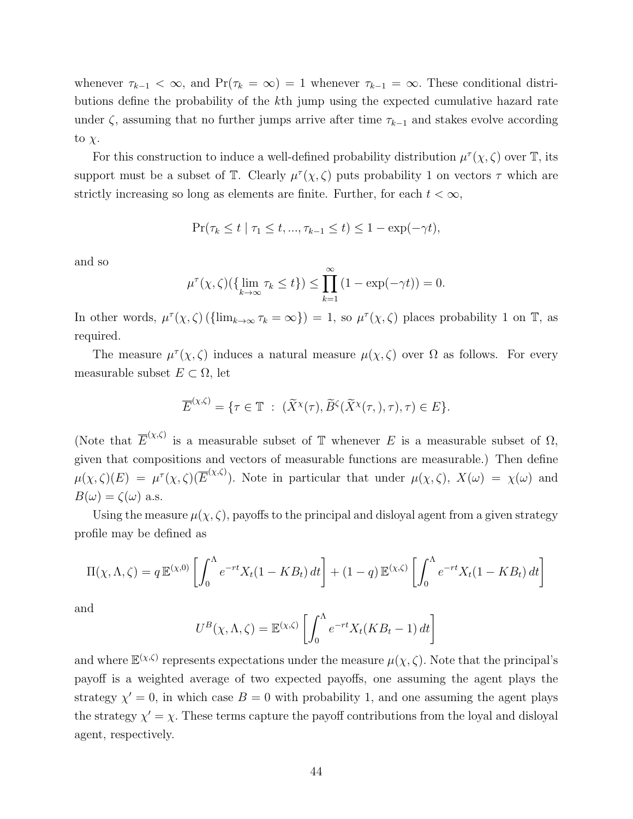whenever  $\tau_{k-1} < \infty$ , and  $Pr(\tau_k = \infty) = 1$  whenever  $\tau_{k-1} = \infty$ . These conditional distributions define the probability of the kth jump using the expected cumulative hazard rate under  $\zeta$ , assuming that no further jumps arrive after time  $\tau_{k-1}$  and stakes evolve according to  $\chi$ .

For this construction to induce a well-defined probability distribution  $\mu^{\tau}(\chi,\zeta)$  over  $\mathbb{T}$ , its support must be a subset of  $\mathbb{T}$ . Clearly  $\mu^{\tau}(\chi,\zeta)$  puts probability 1 on vectors  $\tau$  which are strictly increasing so long as elements are finite. Further, for each  $t < \infty$ ,

$$
\Pr(\tau_k \le t \mid \tau_1 \le t, ..., \tau_{k-1} \le t) \le 1 - \exp(-\gamma t),
$$

and so

$$
\mu^{\tau}(\chi,\zeta)(\{\lim_{k\to\infty}\tau_k\leq t\})\leq \prod_{k=1}^{\infty}(1-\exp(-\gamma t))=0.
$$

In other words,  $\mu^{\tau}(\chi,\zeta)$  ( $\{\lim_{k\to\infty}\tau_k=\infty\}$ ) = 1, so  $\mu^{\tau}(\chi,\zeta)$  places probability 1 on T, as required.

The measure  $\mu^{\tau}(\chi,\zeta)$  induces a natural measure  $\mu(\chi,\zeta)$  over  $\Omega$  as follows. For every measurable subset  $E \subset \Omega$ , let

$$
\overline{E}^{(\chi,\zeta)} = \{ \tau \in \mathbb{T} \ : \ (\widetilde{X}^{\chi}(\tau), \widetilde{B}^{\zeta}(\widetilde{X}^{\chi}(\tau), \tau), \tau) \in E \}.
$$

(Note that  $\overline{E}^{(\chi,\zeta)}$  is a measurable subset of T whenever E is a measurable subset of  $\Omega$ , given that compositions and vectors of measurable functions are measurable.) Then define  $\mu(\chi,\zeta)(E) = \mu^{\tau}(\chi,\zeta)(\overline{E}^{(\chi,\zeta)})$ . Note in particular that under  $\mu(\chi,\zeta), X(\omega) = \chi(\omega)$  and  $B(\omega) = \zeta(\omega)$  a.s.

Using the measure  $\mu(\chi, \zeta)$ , payoffs to the principal and disloyal agent from a given strategy profile may be defined as

$$
\Pi(\chi, \Lambda, \zeta) = q \mathbb{E}^{(\chi, 0)} \left[ \int_0^{\Lambda} e^{-rt} X_t (1 - KB_t) dt \right] + (1 - q) \mathbb{E}^{(\chi, \zeta)} \left[ \int_0^{\Lambda} e^{-rt} X_t (1 - KB_t) dt \right]
$$

and

$$
U^B(\chi, \Lambda, \zeta) = \mathbb{E}^{(\chi, \zeta)} \left[ \int_0^{\Lambda} e^{-rt} X_t(KB_t - 1) dt \right]
$$

and where  $\mathbb{E}^{(\chi,\zeta)}$  represents expectations under the measure  $\mu(\chi,\zeta)$ . Note that the principal's payoff is a weighted average of two expected payoffs, one assuming the agent plays the strategy  $\chi' = 0$ , in which case  $B = 0$  with probability 1, and one assuming the agent plays the strategy  $\chi' = \chi$ . These terms capture the payoff contributions from the loyal and disloyal agent, respectively.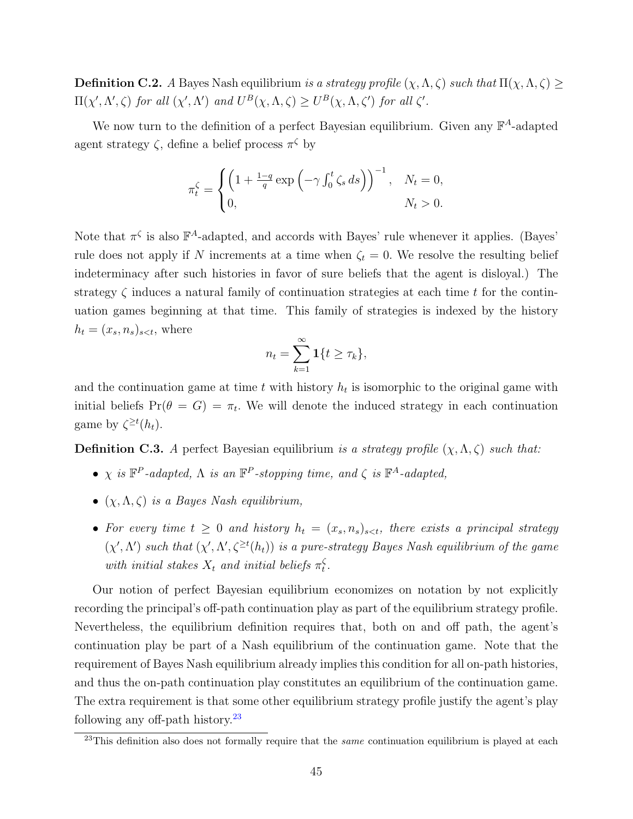**Definition C.2.** A Bayes Nash equilibrium is a strategy profile  $(\chi, \Lambda, \zeta)$  such that  $\Pi(\chi, \Lambda, \zeta) \ge$  $\Pi(\chi', \Lambda', \zeta)$  for all  $(\chi', \Lambda')$  and  $U^B(\chi, \Lambda, \zeta) \geq U^B(\chi, \Lambda, \zeta')$  for all  $\zeta'.$ 

We now turn to the definition of a perfect Bayesian equilibrium. Given any  $\mathbb{F}^A$ -adapted agent strategy  $\zeta$ , define a belief process  $\pi^{\zeta}$  by

$$
\pi_t^{\zeta} = \begin{cases} \left(1 + \frac{1-q}{q} \exp\left(-\gamma \int_0^t \zeta_s ds\right)\right)^{-1}, & N_t = 0, \\ 0, & N_t > 0. \end{cases}
$$

Note that  $\pi^{\zeta}$  is also  $\mathbb{F}^A$ -adapted, and accords with Bayes' rule whenever it applies. (Bayes' rule does not apply if N increments at a time when  $\zeta_t = 0$ . We resolve the resulting belief indeterminacy after such histories in favor of sure beliefs that the agent is disloyal.) The strategy  $\zeta$  induces a natural family of continuation strategies at each time t for the continuation games beginning at that time. This family of strategies is indexed by the history  $h_t = (x_s, n_s)_{s \leq t}$ , where

$$
n_t = \sum_{k=1}^{\infty} \mathbf{1}\{t \geq \tau_k\},\
$$

and the continuation game at time  $t$  with history  $h_t$  is isomorphic to the original game with initial beliefs  $Pr(\theta = G) = \pi_t$ . We will denote the induced strategy in each continuation game by  $\zeta^{\geq t}(h_t)$ .

**Definition C.3.** A perfect Bayesian equilibrium is a strategy profile  $(\chi, \Lambda, \zeta)$  such that:

- $\chi$  is  $\mathbb{F}^P$ -adapted,  $\Lambda$  is an  $\mathbb{F}^P$ -stopping time, and  $\zeta$  is  $\mathbb{F}^A$ -adapted,
- $(\chi, \Lambda, \zeta)$  is a Bayes Nash equilibrium,
- For every time  $t \geq 0$  and history  $h_t = (x_s, n_s)_{s \leq t}$ , there exists a principal strategy  $(\chi', \Lambda')$  such that  $(\chi', \Lambda', \zeta^{\geq t}(h_t))$  is a pure-strategy Bayes Nash equilibrium of the game with initial stakes  $X_t$  and initial beliefs  $\pi_t^{\zeta}$  $_t^{\varsigma}$  .

Our notion of perfect Bayesian equilibrium economizes on notation by not explicitly recording the principal's off-path continuation play as part of the equilibrium strategy profile. Nevertheless, the equilibrium definition requires that, both on and off path, the agent's continuation play be part of a Nash equilibrium of the continuation game. Note that the requirement of Bayes Nash equilibrium already implies this condition for all on-path histories, and thus the on-path continuation play constitutes an equilibrium of the continuation game. The extra requirement is that some other equilibrium strategy profile justify the agent's play following any off-path history. $^{23}$  $^{23}$  $^{23}$ 

<span id="page-44-0"></span> $^{23}$ This definition also does not formally require that the *same* continuation equilibrium is played at each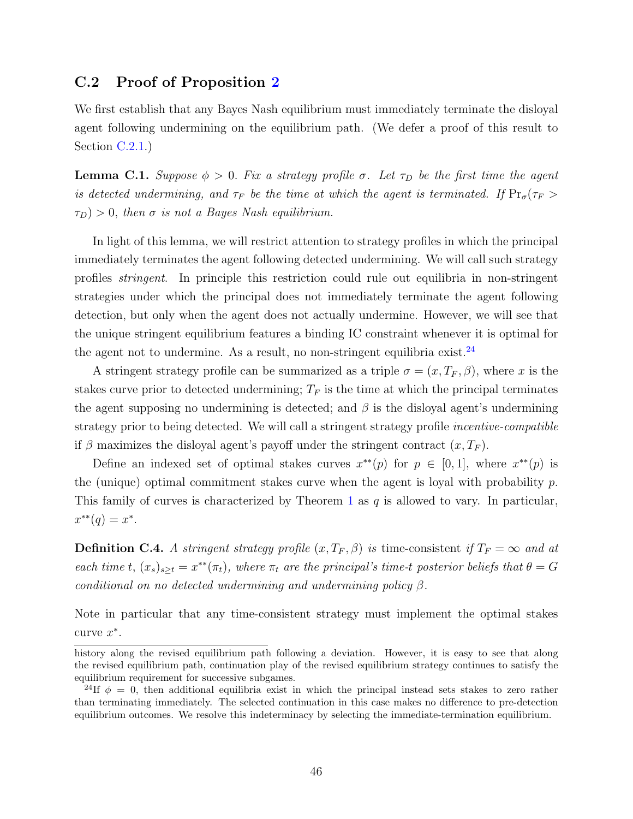### C.2 Proof of Proposition [2](#page-22-0)

We first establish that any Bayes Nash equilibrium must immediately terminate the disloyal agent following undermining on the equilibrium path. (We defer a proof of this result to Section [C.2.1.](#page-46-0))

<span id="page-45-1"></span>**Lemma C.1.** Suppose  $\phi > 0$ . Fix a strategy profile  $\sigma$ . Let  $\tau_D$  be the first time the agent is detected undermining, and  $\tau_F$  be the time at which the agent is terminated. If  $Pr_{\sigma}(\tau_F >$  $\tau_D$ ) > 0, then  $\sigma$  is not a Bayes Nash equilibrium.

In light of this lemma, we will restrict attention to strategy profiles in which the principal immediately terminates the agent following detected undermining. We will call such strategy profiles stringent. In principle this restriction could rule out equilibria in non-stringent strategies under which the principal does not immediately terminate the agent following detection, but only when the agent does not actually undermine. However, we will see that the unique stringent equilibrium features a binding IC constraint whenever it is optimal for the agent not to undermine. As a result, no non-stringent equilibria exist.<sup>[24](#page-45-0)</sup>

A stringent strategy profile can be summarized as a triple  $\sigma = (x, T_F, \beta)$ , where x is the stakes curve prior to detected undermining;  $T_F$  is the time at which the principal terminates the agent supposing no undermining is detected; and  $\beta$  is the disloyal agent's undermining strategy prior to being detected. We will call a stringent strategy profile *incentive-compatible* if β maximizes the disloyal agent's payoff under the stringent contract  $(x, T_F)$ .

Define an indexed set of optimal stakes curves  $x^{**}(p)$  for  $p \in [0,1]$ , where  $x^{**}(p)$  is the (unique) optimal commitment stakes curve when the agent is loyal with probability  $p$ . This family of curves is characterized by Theorem [1](#page-8-1) as  $q$  is allowed to vary. In particular,  $x^{**}(q) = x^*$ .

**Definition C.4.** A stringent strategy profile  $(x, T_F, \beta)$  is time-consistent if  $T_F = \infty$  and at each time t,  $(x_s)_{s \geq t} = x^{**}(\pi_t)$ , where  $\pi_t$  are the principal's time-t posterior beliefs that  $\theta = G$ conditional on no detected undermining and undermining policy  $\beta$ .

Note in particular that any time-consistent strategy must implement the optimal stakes curve  $x^*$ .

history along the revised equilibrium path following a deviation. However, it is easy to see that along the revised equilibrium path, continuation play of the revised equilibrium strategy continues to satisfy the equilibrium requirement for successive subgames.

<span id="page-45-0"></span><sup>&</sup>lt;sup>24</sup>If  $\phi = 0$ , then additional equilibria exist in which the principal instead sets stakes to zero rather than terminating immediately. The selected continuation in this case makes no difference to pre-detection equilibrium outcomes. We resolve this indeterminacy by selecting the immediate-termination equilibrium.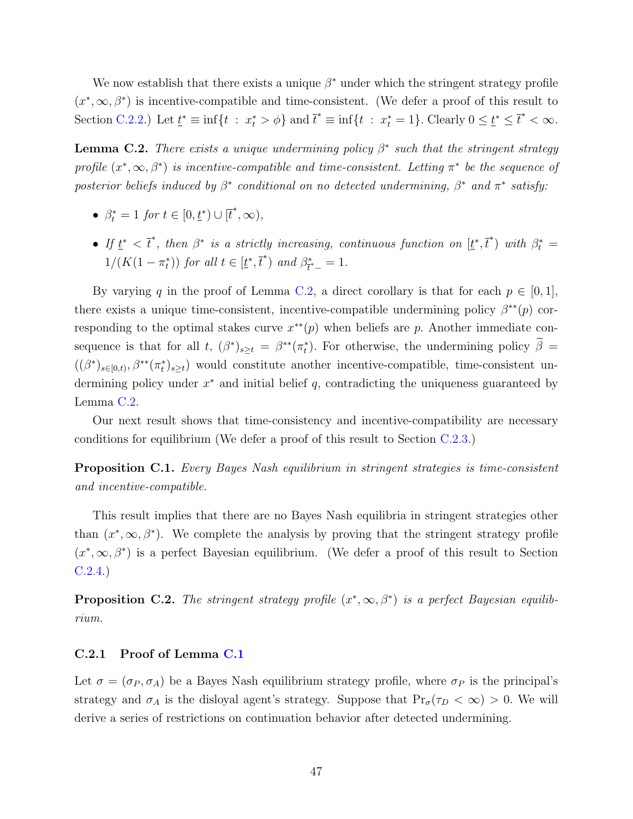We now establish that there exists a unique  $\beta^*$  under which the stringent strategy profile  $(x^*,\infty,\beta^*)$  is incentive-compatible and time-consistent. (We defer a proof of this result to Section [C.2.2.](#page-47-0)) Let  $\underline{t}^* \equiv \inf\{t : x_t^* > \phi\}$  and  $\overline{t}^* \equiv \inf\{t : x_t^* = 1\}$ . Clearly  $0 \leq \underline{t}^* \leq \overline{t}^* < \infty$ .

<span id="page-46-1"></span>**Lemma C.2.** There exists a unique undermining policy  $\beta^*$  such that the stringent strategy profile  $(x^*,\infty,\beta^*)$  is incentive-compatible and time-consistent. Letting  $\pi^*$  be the sequence of posterior beliefs induced by  $\beta^*$  conditional on no detected undermining,  $\beta^*$  and  $\pi^*$  satisfy:

- $\beta_t^* = 1$  for  $t \in [0, \underline{t}^*) \cup [\overline{t}^*, \infty)$ ,
- If  $\underline{t}^* < \overline{t}^*$ , then  $\beta^*$  is a strictly increasing, continuous function on  $[\underline{t}^*, \overline{t}^*)$  with  $\beta_t^* =$  $1/(K(1-\pi_t^*))$  for all  $t \in [\underline{t}^*, \overline{t}^*)$  and  $\beta_{\overline{t}^*}^*$  $t^*_{t^-} = 1.$

By varying q in the proof of Lemma [C.2,](#page-46-1) a direct corollary is that for each  $p \in [0,1]$ , there exists a unique time-consistent, incentive-compatible undermining policy  $\beta^{**}(p)$  corresponding to the optimal stakes curve  $x^{**}(p)$  when beliefs are p. Another immediate consequence is that for all t,  $(\beta^*)_{s\geq t} = \beta^{**}(\pi_t^*)$ . For otherwise, the undermining policy  $\beta =$  $((\beta^*)_{s\in[0,t)},\beta^{**}(\pi^*_t)_{s\geq t})$  would constitute another incentive-compatible, time-consistent undermining policy under  $x^*$  and initial belief  $q$ , contradicting the uniqueness guaranteed by Lemma [C.2.](#page-46-1)

Our next result shows that time-consistency and incentive-compatibility are necessary conditions for equilibrium (We defer a proof of this result to Section [C.2.3.](#page-52-0))

<span id="page-46-2"></span>Proposition C.1. Every Bayes Nash equilibrium in stringent strategies is time-consistent and incentive-compatible.

This result implies that there are no Bayes Nash equilibria in stringent strategies other than  $(x^*, \infty, \beta^*)$ . We complete the analysis by proving that the stringent strategy profile  $(x^*,\infty,\beta^*)$  is a perfect Bayesian equilibrium. (We defer a proof of this result to Section [C.2.4.](#page-53-0))

<span id="page-46-3"></span>**Proposition C.2.** The stringent strategy profile  $(x^*, \infty, \beta^*)$  is a perfect Bayesian equilibrium.

#### <span id="page-46-0"></span>C.2.1 Proof of Lemma [C.1](#page-45-1)

Let  $\sigma = (\sigma_P, \sigma_A)$  be a Bayes Nash equilibrium strategy profile, where  $\sigma_P$  is the principal's strategy and  $\sigma_A$  is the disloyal agent's strategy. Suppose that  $Pr_{\sigma}(\tau_D < \infty) > 0$ . We will derive a series of restrictions on continuation behavior after detected undermining.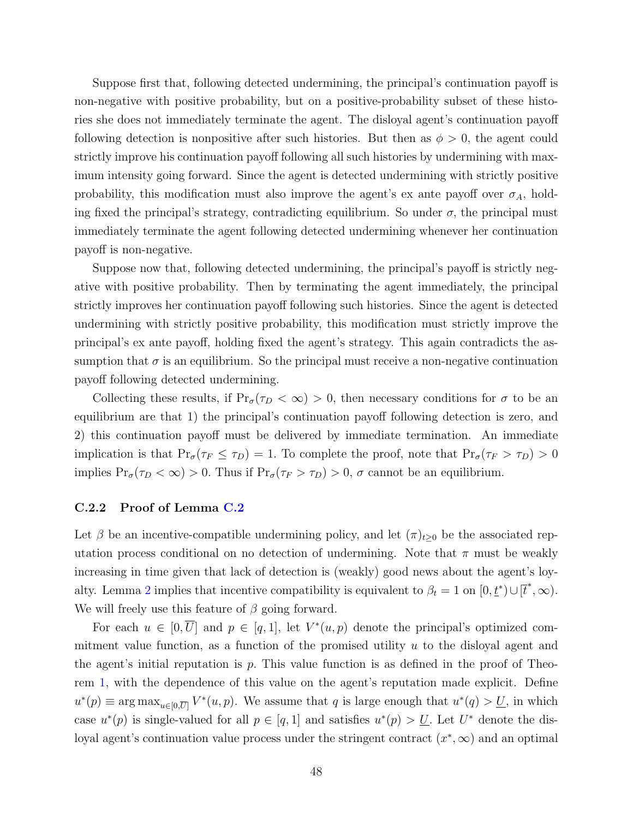Suppose first that, following detected undermining, the principal's continuation payoff is non-negative with positive probability, but on a positive-probability subset of these histories she does not immediately terminate the agent. The disloyal agent's continuation payoff following detection is nonpositive after such histories. But then as  $\phi > 0$ , the agent could strictly improve his continuation payoff following all such histories by undermining with maximum intensity going forward. Since the agent is detected undermining with strictly positive probability, this modification must also improve the agent's ex ante payoff over  $\sigma_A$ , holding fixed the principal's strategy, contradicting equilibrium. So under  $\sigma$ , the principal must immediately terminate the agent following detected undermining whenever her continuation payoff is non-negative.

Suppose now that, following detected undermining, the principal's payoff is strictly negative with positive probability. Then by terminating the agent immediately, the principal strictly improves her continuation payoff following such histories. Since the agent is detected undermining with strictly positive probability, this modification must strictly improve the principal's ex ante payoff, holding fixed the agent's strategy. This again contradicts the assumption that  $\sigma$  is an equilibrium. So the principal must receive a non-negative continuation payoff following detected undermining.

Collecting these results, if  $Pr_{\sigma}(\tau_D < \infty) > 0$ , then necessary conditions for  $\sigma$  to be an equilibrium are that 1) the principal's continuation payoff following detection is zero, and 2) this continuation payoff must be delivered by immediate termination. An immediate implication is that  $Pr_{\sigma}(\tau_F \leq \tau_D) = 1$ . To complete the proof, note that  $Pr_{\sigma}(\tau_F > \tau_D) > 0$ implies  $Pr_{\sigma}(\tau_D < \infty) > 0$ . Thus if  $Pr_{\sigma}(\tau_F > \tau_D) > 0$ ,  $\sigma$  cannot be an equilibrium.

#### <span id="page-47-0"></span>C.2.2 Proof of Lemma [C.2](#page-46-1)

Let  $\beta$  be an incentive-compatible undermining policy, and let  $(\pi)_{t\geq0}$  be the associated reputation process conditional on no detection of undermining. Note that  $\pi$  must be weakly increasing in time given that lack of detection is (weakly) good news about the agent's loy-alty. Lemma [2](#page-10-2) implies that incentive compatibility is equivalent to  $\beta_t = 1$  on  $[0, \underline{t}^*) \cup [\overline{t}^*, \infty)$ . We will freely use this feature of  $\beta$  going forward.

For each  $u \in [0, \overline{U}]$  and  $p \in [q, 1]$ , let  $V^*(u, p)$  denote the principal's optimized commitment value function, as a function of the promised utility  $u$  to the disloyal agent and the agent's initial reputation is  $p$ . This value function is as defined in the proof of Theorem [1,](#page-8-1) with the dependence of this value on the agent's reputation made explicit. Define  $u^*(p) \equiv \arg \max_{u \in [0,\overline{U}]} V^*(u,p)$ . We assume that q is large enough that  $u^*(q) > U$ , in which case  $u^*(p)$  is single-valued for all  $p \in [q, 1]$  and satisfies  $u^*(p) > U$ . Let  $U^*$  denote the disloyal agent's continuation value process under the stringent contract  $(x^*, \infty)$  and an optimal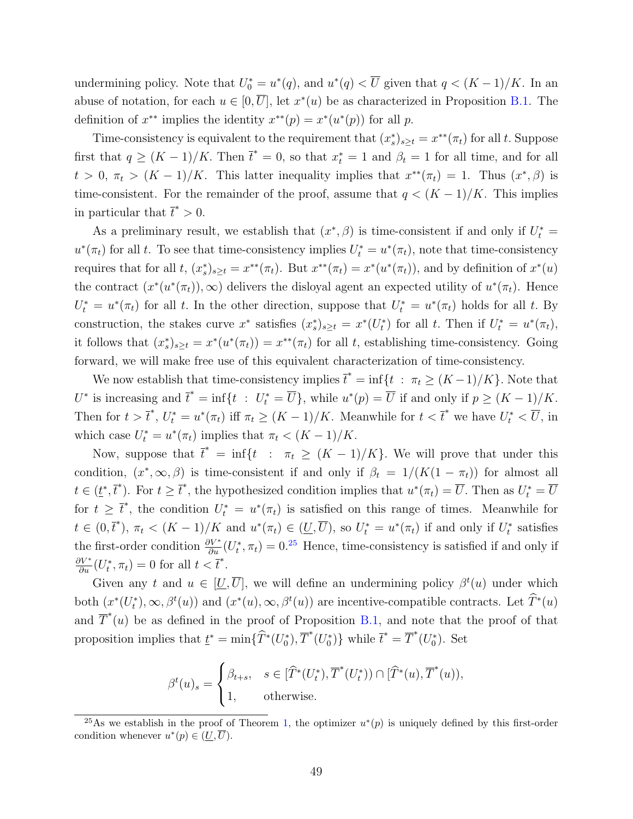undermining policy. Note that  $U_0^* = u^*(q)$ , and  $u^*(q) < \overline{U}$  given that  $q < (K-1)/K$ . In an abuse of notation, for each  $u \in [0, \overline{U}]$ , let  $x^*(u)$  be as characterized in Proposition [B.1.](#page-32-1) The definition of  $x^{**}$  implies the identity  $x^{**}(p) = x^{*}(u^{*}(p))$  for all p.

Time-consistency is equivalent to the requirement that  $(x_s^*)_{s\geq t} = x^{**}(\pi_t)$  for all t. Suppose first that  $q \ge (K-1)/K$ . Then  $\bar{t}^* = 0$ , so that  $x_t^* = 1$  and  $\beta_t = 1$  for all time, and for all  $t > 0$ ,  $\pi_t > (K-1)/K$ . This latter inequality implies that  $x^{**}(\pi_t) = 1$ . Thus  $(x^*, \beta)$  is time-consistent. For the remainder of the proof, assume that  $q < (K-1)/K$ . This implies in particular that  $\bar{t}^* > 0$ .

As a preliminary result, we establish that  $(x^*, \beta)$  is time-consistent if and only if  $U_t^* =$  $u^*(\pi_t)$  for all t. To see that time-consistency implies  $U_t^* = u^*(\pi_t)$ , note that time-consistency requires that for all t,  $(x_s^*)_{s\geq t} = x^{**}(\pi_t)$ . But  $x^{**}(\pi_t) = x^{*}(u^{*}(\pi_t))$ , and by definition of  $x^{*}(u)$ the contract  $(x^*(u^*(\pi_t)), \infty)$  delivers the disloyal agent an expected utility of  $u^*(\pi_t)$ . Hence  $U_t^* = u^*(\pi_t)$  for all t. In the other direction, suppose that  $U_t^* = u^*(\pi_t)$  holds for all t. By construction, the stakes curve  $x^*$  satisfies  $(x_s^*)_{s\geq t} = x^*(U_t^*)$  for all t. Then if  $U_t^* = u^*(\pi_t)$ , it follows that  $(x_s^*)_{s\geq t} = x^*(u^*(\pi_t)) = x^{**}(\pi_t)$  for all t, establishing time-consistency. Going forward, we will make free use of this equivalent characterization of time-consistency.

We now establish that time-consistency implies  $\bar{t}^* = \inf\{t : \pi_t \ge (K-1)/K\}$ . Note that  $U^*$  is increasing and  $\overline{t}^* = \inf\{t : U_t^* = \overline{U}\}\$ , while  $u^*(p) = \overline{U}$  if and only if  $p \ge (K-1)/K$ . Then for  $t > \bar{t}^*, U_t^* = u^*(\pi_t)$  iff  $\pi_t \geq (K-1)/K$ . Meanwhile for  $t < \bar{t}^*$  we have  $U_t^* < \overline{U}$ , in which case  $U_t^* = u^*(\pi_t)$  implies that  $\pi_t < (K - 1)/K$ .

Now, suppose that  $\bar{t}^* = \inf\{t : \pi_t \ge (K-1)/K\}$ . We will prove that under this condition,  $(x^*, \infty, \beta)$  is time-consistent if and only if  $\beta_t = 1/(K(1 - \pi_t))$  for almost all  $t \in (\underline{t}^*, \overline{t}^*)$ . For  $t \geq \overline{t}^*$ , the hypothesized condition implies that  $u^*(\pi_t) = \overline{U}$ . Then as  $U_t^* = \overline{U}$ for  $t \geq \overline{t}^*$ , the condition  $U_t^* = u^*(\pi_t)$  is satisfied on this range of times. Meanwhile for  $t \in (0, \overline{t}^*)$ ,  $\pi_t < (K-1)/K$  and  $u^*(\pi_t) \in (\underline{U}, \overline{U})$ , so  $U_t^* = u^*(\pi_t)$  if and only if  $U_t^*$  satisfies the first-order condition  $\frac{\partial V^*}{\partial u}(U_t^*, \pi_t) = 0^{25}$  $\frac{\partial V^*}{\partial u}(U_t^*, \pi_t) = 0^{25}$  $\frac{\partial V^*}{\partial u}(U_t^*, \pi_t) = 0^{25}$  Hence, time-consistency is satisfied if and only if  $\frac{\partial V^*}{\partial u}(U_t^*, \pi_t) = 0$  for all  $t < \overline{t}^*.$ 

Given any t and  $u \in [\underline{U}, \overline{U}]$ , we will define an undermining policy  $\beta^t(u)$  under which both  $(x^*(U_t^*), \infty, \beta^t(u))$  and  $(x^*(u), \infty, \beta^t(u))$  are incentive-compatible contracts. Let  $\hat{T}^*(u)$ and  $\overline{T}^*(u)$  be as defined in the proof of Proposition [B.1,](#page-32-1) and note that the proof of that proposition implies that  $\underline{t}^* = \min{\{\widehat{T}^*(U_0^*), \overline{T}^*(U_0^*)\}}$  while  $\overline{t}^* = \overline{T}^*(U_0^*)$ . Set

$$
\beta^{t}(u)_{s} = \begin{cases} \beta_{t+s}, & s \in [\widehat{T}^{*}(U_{t}^{*}), \overline{T}^{*}(U_{t}^{*})) \cap [\widehat{T}^{*}(u), \overline{T}^{*}(u)), \\ 1, & \text{otherwise.} \end{cases}
$$

<span id="page-48-0"></span><sup>&</sup>lt;sup>25</sup>As we establish in the proof of Theorem [1,](#page-8-1) the optimizer  $u^*(p)$  is uniquely defined by this first-order condition whenever  $u^*(p) \in (\underline{U}, \overline{U}).$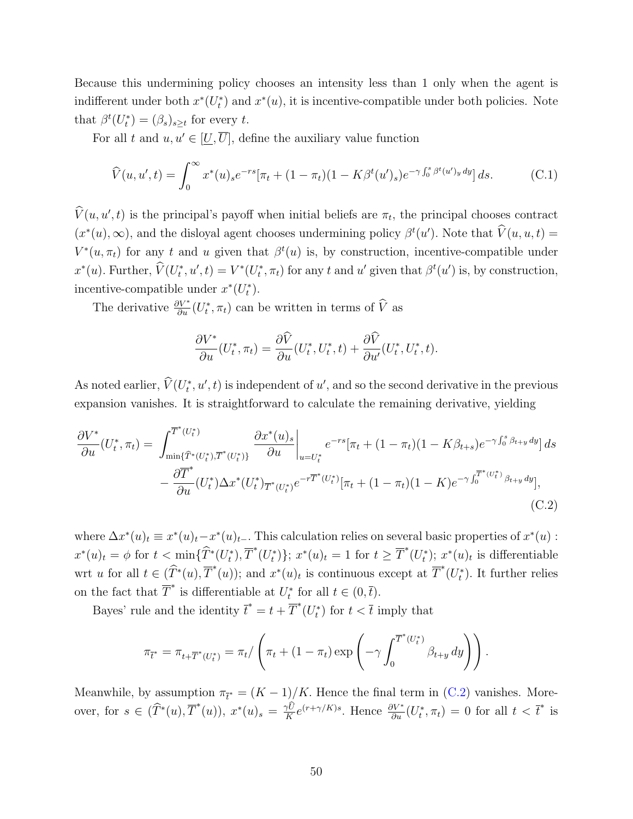Because this undermining policy chooses an intensity less than 1 only when the agent is indifferent under both  $x^*(U_t^*)$  and  $x^*(u)$ , it is incentive-compatible under both policies. Note that  $\beta^t(U_t^*) = (\beta_s)_{s \geq t}$  for every t.

For all t and  $u, u' \in [\underline{U}, \overline{U}]$ , define the auxiliary value function

$$
\widehat{V}(u, u', t) = \int_0^\infty x^*(u)_s e^{-rs} [\pi_t + (1 - \pi_t)(1 - K\beta^t(u')_s) e^{-\gamma \int_0^s \beta^t(u')_y \, dy}] ds. \tag{C.1}
$$

 $\hat{V}(u, u', t)$  is the principal's payoff when initial beliefs are  $\pi_t$ , the principal chooses contract  $(x^*(u), \infty)$ , and the disloyal agent chooses undermining policy  $\beta^t(u')$ . Note that  $\hat{V}(u, u, t) =$  $V^*(u, \pi_t)$  for any t and u given that  $\beta^t(u)$  is, by construction, incentive-compatible under  $x^*(u)$ . Further,  $\hat{V}(U_t^*, u', t) = V^*(U_t^*, \pi_t)$  for any t and u' given that  $\beta^t(u')$  is, by construction, incentive-compatible under  $x^*(U_t^*)$ .

The derivative  $\frac{\partial V^*}{\partial u}(U_t^*, \pi_t)$  can be written in terms of  $\widehat{V}$  as

<span id="page-49-0"></span>
$$
\frac{\partial V^*}{\partial u}(U_t^*, \pi_t) = \frac{\partial \widehat{V}}{\partial u}(U_t^*, U_t^*, t) + \frac{\partial \widehat{V}}{\partial u'}(U_t^*, U_t^*, t).
$$

As noted earlier,  $\hat{V}(U_t^*, u', t)$  is independent of  $u'$ , and so the second derivative in the previous expansion vanishes. It is straightforward to calculate the remaining derivative, yielding

$$
\frac{\partial V^*}{\partial u}(U_t^*, \pi_t) = \int_{\min\{\widehat{T}^*(U_t^*)\}}^{\overline{T}^*(U_t^*)}\frac{\partial x^*(u)_s}{\partial u}\bigg|_{u=U_t^*}e^{-rs}[\pi_t + (1-\pi_t)(1-K\beta_{t+s})e^{-\gamma\int_0^s \beta_{t+y}dy}]ds
$$

$$
-\frac{\partial \overline{T}^*}{\partial u}(U_t^*)\Delta x^*(U_t^*)\overline{T}^*(U_t^*)e^{-r\overline{T}^*(U_t^*)}[\pi_t + (1-\pi_t)(1-K)e^{-\gamma\int_0^{\overline{T}^*(U_t^*)}\beta_{t+y}dy}],
$$
(C.2)

where  $\Delta x^*(u)_t \equiv x^*(u)_t - x^*(u)_t$ . This calculation relies on several basic properties of  $x^*(u)$ :  $x^*(u)_t = \phi$  for  $t < \min\{\widehat{T}^*(U_t^*), \overline{T}^*(U_t^*)\}; x^*(u)_t = 1$  for  $t \geq \overline{T}^*(U_t^*)$ ;  $x^*(u)_t$  is differentiable wrt u for all  $t \in (\widehat{T}^*(u), \overline{T}^*(u))$ ; and  $x^*(u)_t$  is continuous except at  $\overline{T}^*(U_t^*)$ . It further relies on the fact that  $\overline{T}^*$  is differentiable at  $U_t^*$  for all  $t \in (0, \overline{t})$ .

Bayes' rule and the identity  $\bar{t}^* = t + \overline{T}^*(U_t^*)$  for  $t < \bar{t}$  imply that

$$
\pi_{\bar{t}^*} = \pi_{t+\overline{T}^*(U_t^*)} = \pi_t / \left( \pi_t + (1 - \pi_t) \exp \left( -\gamma \int_0^{\overline{T}^*(U_t^*)} \beta_{t+y} \, dy \right) \right).
$$

Meanwhile, by assumption  $\pi_{\bar{t}} = (K - 1)/K$ . Hence the final term in [\(C.2\)](#page-49-0) vanishes. Moreover, for  $s \in (\widehat{T}^*(u), \overline{T}^*(u))$ ,  $x^*(u)_s = \frac{\gamma \widehat{U}}{K} e^{(r+\gamma/K)s}$ . Hence  $\frac{\partial V^*}{\partial u}(U_t^*, \pi_t) = 0$  for all  $t < \overline{t}^*$  is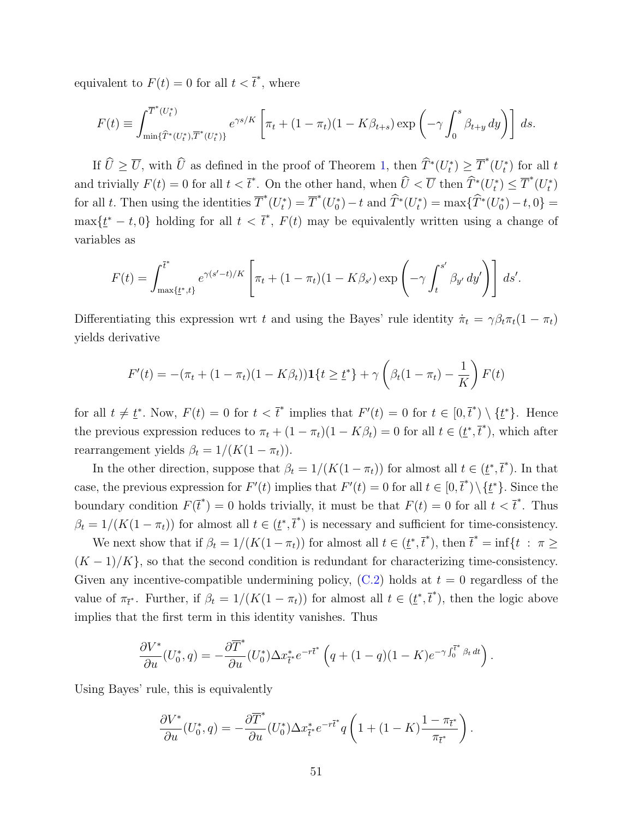equivalent to  $F(t) = 0$  for all  $t < \bar{t}^*$ , where

$$
F(t) = \int_{\min\{\widehat{T}^*(U_t^*)\}}^{\overline{T}^*(U_t^*)} e^{\gamma s/K} \left[ \pi_t + (1 - \pi_t)(1 - K\beta_{t+s}) \exp\left(-\gamma \int_0^s \beta_{t+y} \, dy\right) \right] ds.
$$

If  $\widehat{U} \ge \overline{U}$ , with  $\widehat{U}$  as defined in the proof of Theorem [1,](#page-8-1) then  $\widehat{T}^*(U_t^*) \ge \overline{T}^*(U_t^*)$  for all t and trivially  $F(t) = 0$  for all  $t < \overline{t}^*$ . On the other hand, when  $\widehat{U} < \overline{U}$  then  $\widehat{T}^*(U_t^*) \leq \overline{T}^*(U_t^*)$ for all t. Then using the identities  $\overline{T}^*(U_t^*) = \overline{T}^*(U_0^*) - t$  and  $\widehat{T}^*(U_t^*) = \max{\{\widehat{T}^*(U_0^*) - t, 0\}} =$  $\max\{\underline{t}^* - t, 0\}$  holding for all  $t < \overline{t}^*, F(t)$  may be equivalently written using a change of variables as

$$
F(t) = \int_{\max\{t^*,t\}}^{\overline{t^*}} e^{\gamma(s'-t)/K} \left[ \pi_t + (1-\pi_t)(1-K\beta_{s'}) \exp\left(-\gamma \int_t^{s'} \beta_{y'} \, dy'\right) \right] \, ds'.
$$

Differentiating this expression wrt t and using the Bayes' rule identity  $\dot{\pi}_t = \gamma \beta_t \pi_t (1 - \pi_t)$ yields derivative

$$
F'(t) = -(\pi_t + (1 - \pi_t)(1 - K\beta_t))\mathbf{1}\{t \ge \underline{t}^*\} + \gamma \left(\beta_t(1 - \pi_t) - \frac{1}{K}\right)F(t)
$$

for all  $t \neq t^*$ . Now,  $F(t) = 0$  for  $t < \overline{t}^*$  implies that  $F'(t) = 0$  for  $t \in [0, \overline{t}^*) \setminus \{t^*\}$ . Hence the previous expression reduces to  $\pi_t + (1 - \pi_t)(1 - K\beta_t) = 0$  for all  $t \in (\underline{t}^*, \overline{t}^*)$ , which after rearrangement yields  $\beta_t = 1/(K(1 - \pi_t)).$ 

In the other direction, suppose that  $\beta_t = 1/(K(1 - \pi_t))$  for almost all  $t \in (\underline{t}^*, \overline{t}^*)$ . In that case, the previous expression for  $F'(t)$  implies that  $F'(t) = 0$  for all  $t \in [0, \overline{t}^*) \setminus {\{\underline{t}^*\}}$ . Since the boundary condition  $F(\bar{t}^*) = 0$  holds trivially, it must be that  $F(t) = 0$  for all  $t < \bar{t}^*$ . Thus  $\beta_t = 1/(K(1 - \pi_t))$  for almost all  $t \in (\underline{t}^*, \overline{t}^*)$  is necessary and sufficient for time-consistency.

We next show that if  $\beta_t = 1/(K(1-\pi_t))$  for almost all  $t \in (\underline{t}^*, \overline{t}^*)$ , then  $\overline{t}^* = \inf\{t : \pi \geq 1\}$  $(K-1)/K$ , so that the second condition is redundant for characterizing time-consistency. Given any incentive-compatible undermining policy,  $(C.2)$  holds at  $t = 0$  regardless of the value of  $\pi_{\bar{t}}$ . Further, if  $\beta_t = 1/(K(1 - \pi_t))$  for almost all  $t \in (\underline{t}^*, \overline{t}^*)$ , then the logic above implies that the first term in this identity vanishes. Thus

$$
\frac{\partial V^*}{\partial u}(U_0^*,q) = -\frac{\partial \overline{T}^*}{\partial u}(U_0^*) \Delta x_{\overline{t}^*}^* e^{-r\overline{t}^*} \left(q + (1-q)(1-K)e^{-\gamma \int_0^{\overline{t}^*} \beta_t dt}\right).
$$

Using Bayes' rule, this is equivalently

$$
\frac{\partial V^*}{\partial u}(U_0^*,q) = -\frac{\partial \overline{T}^*}{\partial u}(U_0^*) \Delta x_{\overline{t}^*}^* e^{-r\overline{t}^*} q\left(1 + (1-K)\frac{1-\pi_{\overline{t}^*}}{\pi_{\overline{t}^*}}\right).
$$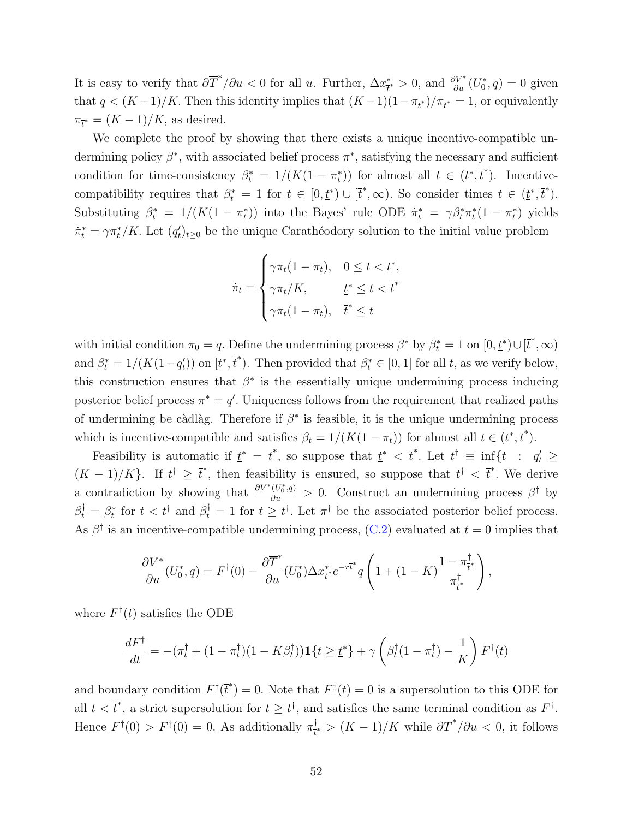It is easy to verify that  $\partial \overline{T}^*/\partial u < 0$  for all u. Further,  $\Delta x^*$  $\frac{f^*}{t^*} > 0$ , and  $\frac{\partial V^*}{\partial u}(U_0^*, q) = 0$  given that  $q < (K-1)/K$ . Then this identity implies that  $(K-1)(1 - \pi_{\bar{t}})/\pi_{\bar{t}} = 1$ , or equivalently  $\pi_{\bar{\ell}^*} = (K-1)/K$ , as desired.

We complete the proof by showing that there exists a unique incentive-compatible undermining policy  $\beta^*$ , with associated belief process  $\pi^*$ , satisfying the necessary and sufficient condition for time-consistency  $\beta_t^* = 1/(K(1 - \pi_t^*))$  for almost all  $t \in (\underline{t}^*, \overline{t}^*)$ . Incentivecompatibility requires that  $\beta_t^* = 1$  for  $t \in [0, \underline{t}^*) \cup [\overline{t}^*, \infty)$ . So consider times  $t \in (\underline{t}^*, \overline{t}^*)$ . Substituting  $\beta_t^* = 1/(K(1 - \pi_t^*))$  into the Bayes' rule ODE  $\dot{\pi}_t^* = \gamma \beta_t^* \pi_t^* (1 - \pi_t^*)$  yields  $\dot{\pi}_t^* = \gamma \pi_t^* / K$ . Let  $(q_t')_{t \geq 0}$  be the unique Carathéodory solution to the initial value problem

$$
\dot{\pi}_t = \begin{cases}\n\gamma \pi_t (1 - \pi_t), & 0 \le t < \underline{t}^*, \\
\gamma \pi_t / K, & \underline{t}^* \le t < \overline{t}^* \\
\gamma \pi_t (1 - \pi_t), & \overline{t}^* \le t\n\end{cases}
$$

with initial condition  $\pi_0 = q$ . Define the undermining process  $\beta^*$  by  $\beta_t^* = 1$  on  $[0, \underline{t}^*) \cup [\overline{t}^*, \infty)$ and  $\beta_t^* = 1/(K(1-q_t))$  on  $[\underline{t}^*, \overline{t}^*]$ . Then provided that  $\beta_t^* \in [0,1]$  for all t, as we verify below, this construction ensures that  $\beta^*$  is the essentially unique undermining process inducing posterior belief process  $\pi^* = q'$ . Uniqueness follows from the requirement that realized paths of undermining be càdlàg. Therefore if  $\beta^*$  is feasible, it is the unique undermining process which is incentive-compatible and satisfies  $\beta_t = 1/(K(1 - \pi_t))$  for almost all  $t \in (\underline{t}^*, \overline{t}^*)$ .

Feasibility is automatic if  $\underline{t}^* = \overline{t}^*$ , so suppose that  $\underline{t}^* < \overline{t}^*$ . Let  $t^{\dagger} \equiv \inf\{t : q_t' \geq$  $(K-1)/K$ . If  $t^{\dagger} \geq \bar{t}^*$ , then feasibility is ensured, so suppose that  $t^{\dagger} < \bar{t}^*$ . We derive a contradiction by showing that  $\frac{\partial V^*(U_0^*,q)}{\partial u} > 0$ . Construct an undermining process  $\beta^{\dagger}$  by  $\beta_t^{\dagger} = \beta_t^*$  for  $t < t^{\dagger}$  and  $\beta_t^{\dagger} = 1$  for  $t \geq t^{\dagger}$ . Let  $\pi^{\dagger}$  be the associated posterior belief process. As  $\beta^{\dagger}$  is an incentive-compatible undermining process, [\(C.2\)](#page-49-0) evaluated at  $t=0$  implies that

$$
\frac{\partial V^*}{\partial u}(U_0^*,q) = F^{\dagger}(0) - \frac{\partial \overline{T}^*}{\partial u}(U_0^*) \Delta x_{\overline{t}^*}^* e^{-r\overline{t}^*} q\left(1 + (1 - K)\frac{1 - \pi_{\overline{t}^*}^{\dagger}}{\pi_{\overline{t}^*}^{\dagger}}\right),
$$

where  $F^{\dagger}(t)$  satisfies the ODE

$$
\frac{dF^{\dagger}}{dt} = -(\pi_t^{\dagger} + (1 - \pi_t^{\dagger})(1 - K\beta_t^{\dagger}))\mathbf{1}\{t \geq \underline{t}^*\} + \gamma \left(\beta_t^{\dagger}(1 - \pi_t^{\dagger}) - \frac{1}{K}\right)F^{\dagger}(t)
$$

and boundary condition  $F^{\dagger}(\bar{t}^*) = 0$ . Note that  $F^{\ddagger}(t) = 0$  is a supersolution to this ODE for all  $t < \bar{t}^*$ , a strict supersolution for  $t \geq t^{\dagger}$ , and satisfies the same terminal condition as  $F^{\dagger}$ . Hence  $F^{\dagger}(0) > F^{\ddagger}(0) = 0$ . As additionally  $\pi_{\tau}^{\dagger}$  $\frac{1}{t^*}$  >  $(K-1)/K$  while  $\partial \overline{T}^*/\partial u < 0$ , it follows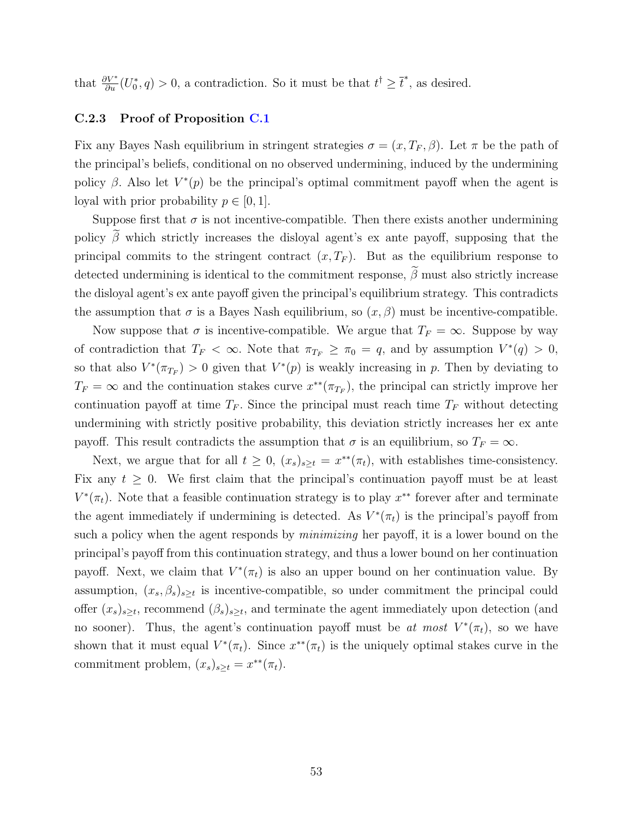that  $\frac{\partial V^*}{\partial u}(U_0^*, q) > 0$ , a contradiction. So it must be that  $t^{\dagger} \geq \overline{t}^*$ , as desired.

#### <span id="page-52-0"></span>C.2.3 Proof of Proposition [C.1](#page-46-2)

Fix any Bayes Nash equilibrium in stringent strategies  $\sigma = (x, T_F, \beta)$ . Let  $\pi$  be the path of the principal's beliefs, conditional on no observed undermining, induced by the undermining policy  $\beta$ . Also let  $V^*(p)$  be the principal's optimal commitment payoff when the agent is loyal with prior probability  $p \in [0, 1]$ .

Suppose first that  $\sigma$  is not incentive-compatible. Then there exists another undermining policy  $\tilde{\beta}$  which strictly increases the disloyal agent's ex ante payoff, supposing that the principal commits to the stringent contract  $(x, T_F)$ . But as the equilibrium response to detected undermining is identical to the commitment response,  $\tilde{\beta}$  must also strictly increase the disloyal agent's ex ante payoff given the principal's equilibrium strategy. This contradicts the assumption that  $\sigma$  is a Bayes Nash equilibrium, so  $(x, \beta)$  must be incentive-compatible.

Now suppose that  $\sigma$  is incentive-compatible. We argue that  $T_F = \infty$ . Suppose by way of contradiction that  $T_F < \infty$ . Note that  $\pi_{T_F} \ge \pi_0 = q$ , and by assumption  $V^*(q) > 0$ , so that also  $V^*(\pi_{T_F}) > 0$  given that  $V^*(p)$  is weakly increasing in p. Then by deviating to  $T_F = \infty$  and the continuation stakes curve  $x^{**}(\pi_{T_F})$ , the principal can strictly improve her continuation payoff at time  $T_F$ . Since the principal must reach time  $T_F$  without detecting undermining with strictly positive probability, this deviation strictly increases her ex ante payoff. This result contradicts the assumption that  $\sigma$  is an equilibrium, so  $T_F = \infty$ .

Next, we argue that for all  $t \geq 0$ ,  $(x_s)_{s \geq t} = x^{**}(\pi_t)$ , with establishes time-consistency. Fix any  $t \geq 0$ . We first claim that the principal's continuation payoff must be at least  $V^*(\pi_t)$ . Note that a feasible continuation strategy is to play  $x^{**}$  forever after and terminate the agent immediately if undermining is detected. As  $V^*(\pi_t)$  is the principal's payoff from such a policy when the agent responds by *minimizing* her payoff, it is a lower bound on the principal's payoff from this continuation strategy, and thus a lower bound on her continuation payoff. Next, we claim that  $V^*(\pi_t)$  is also an upper bound on her continuation value. By assumption,  $(x_s, \beta_s)_{s \geq t}$  is incentive-compatible, so under commitment the principal could offer  $(x_s)_{s\geq t}$ , recommend  $(\beta_s)_{s\geq t}$ , and terminate the agent immediately upon detection (and no sooner). Thus, the agent's continuation payoff must be at most  $V^*(\pi_t)$ , so we have shown that it must equal  $V^*(\pi_t)$ . Since  $x^{**}(\pi_t)$  is the uniquely optimal stakes curve in the commitment problem,  $(x_s)_{s \geq t} = x^{**}(\pi_t)$ .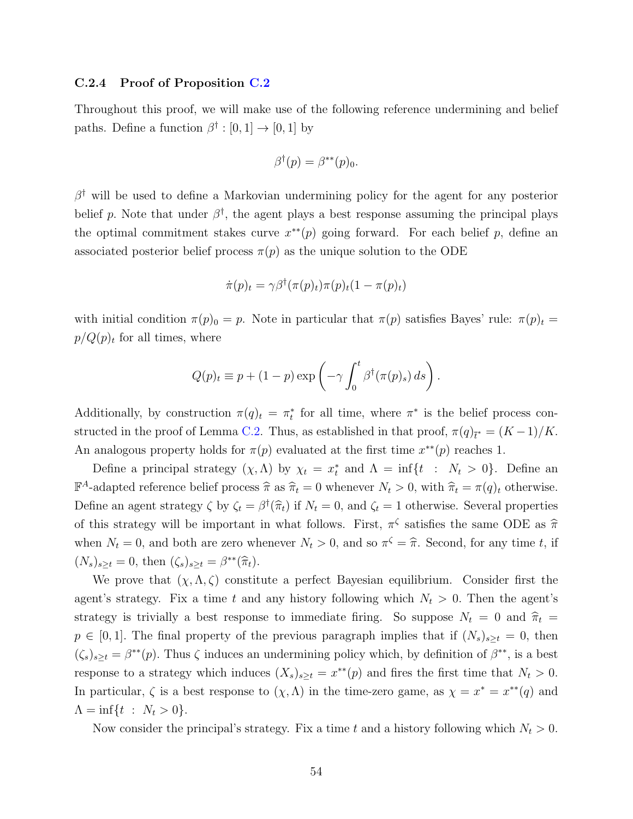#### <span id="page-53-0"></span>C.2.4 Proof of Proposition [C.2](#page-46-3)

Throughout this proof, we will make use of the following reference undermining and belief paths. Define a function  $\beta^{\dagger} : [0,1] \rightarrow [0,1]$  by

$$
\beta^{\dagger}(p) = \beta^{**}(p)_0.
$$

 $\beta^{\dagger}$  will be used to define a Markovian undermining policy for the agent for any posterior belief p. Note that under  $\beta^{\dagger}$ , the agent plays a best response assuming the principal plays the optimal commitment stakes curve  $x^{**}(p)$  going forward. For each belief p, define an associated posterior belief process  $\pi(p)$  as the unique solution to the ODE

$$
\dot{\pi}(p)_t = \gamma \beta^{\dagger}(\pi(p)_t)\pi(p)_t(1-\pi(p)_t)
$$

with initial condition  $\pi(p)_0 = p$ . Note in particular that  $\pi(p)$  satisfies Bayes' rule:  $\pi(p)_t =$  $p/Q(p)_t$  for all times, where

$$
Q(p)_t \equiv p + (1 - p) \exp \left( -\gamma \int_0^t \beta^{\dagger} (\pi(p)_s) ds \right).
$$

Additionally, by construction  $\pi(q)_t = \pi_t^*$  for all time, where  $\pi^*$  is the belief process con-structed in the proof of Lemma [C.2.](#page-46-1) Thus, as established in that proof,  $\pi(q)_{\bar{i}^*} = (K-1)/K$ . An analogous property holds for  $\pi(p)$  evaluated at the first time  $x^{**}(p)$  reaches 1.

Define a principal strategy  $(\chi, \Lambda)$  by  $\chi_t = x_t^*$  and  $\Lambda = \inf\{t : N_t > 0\}$ . Define an  $\mathbb{F}^A$ -adapted reference belief process  $\hat{\pi}$  as  $\hat{\pi}_t = 0$  whenever  $N_t > 0$ , with  $\hat{\pi}_t = \pi(q)_t$  otherwise. Define an agent strategy  $\zeta$  by  $\zeta_t = \beta^{\dagger}(\hat{\pi}_t)$  if  $N_t = 0$ , and  $\zeta_t = 1$  otherwise. Several properties of this strategy will be important in what follows. First,  $\pi^{\zeta}$  satisfies the same ODE as  $\hat{\pi}$ when  $N_t = 0$ , and both are zero whenever  $N_t > 0$ , and so  $\pi^{\zeta} = \hat{\pi}$ . Second, for any time t, if  $(N_s)_{s\geq t} = 0$ , then  $(\zeta_s)_{s\geq t} = \beta^{**}(\widehat{\pi}_t)$ .

We prove that  $(\chi, \Lambda, \zeta)$  constitute a perfect Bayesian equilibrium. Consider first the agent's strategy. Fix a time t and any history following which  $N_t > 0$ . Then the agent's strategy is trivially a best response to immediate firing. So suppose  $N_t = 0$  and  $\hat{\pi}_t =$  $p \in [0,1]$ . The final property of the previous paragraph implies that if  $(N_s)_{s\geq t} = 0$ , then  $(\zeta_s)_{s\geq t} = \beta^{**}(p)$ . Thus  $\zeta$  induces an undermining policy which, by definition of  $\beta^{**}$ , is a best response to a strategy which induces  $(X_s)_{s\geq t} = x^{**}(p)$  and fires the first time that  $N_t > 0$ . In particular,  $\zeta$  is a best response to  $(\chi, \Lambda)$  in the time-zero game, as  $\chi = x^* = x^{**}(q)$  and  $\Lambda = \inf \{ t : N_t > 0 \}.$ 

Now consider the principal's strategy. Fix a time t and a history following which  $N_t > 0$ .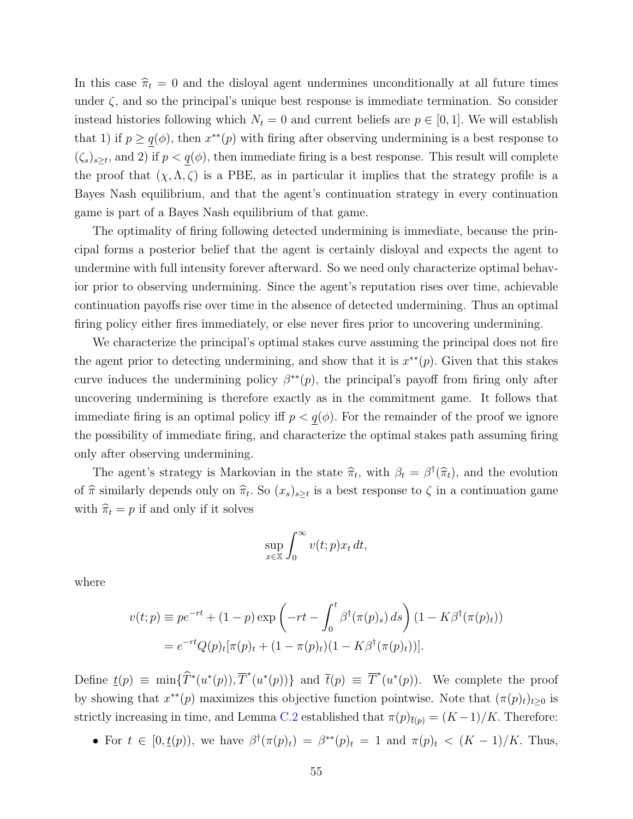In this case  $\hat{\pi}_t = 0$  and the disloyal agent undermines unconditionally at all future times under  $\zeta$ , and so the principal's unique best response is immediate termination. So consider instead histories following which  $N_t = 0$  and current beliefs are  $p \in [0, 1]$ . We will establish that 1) if  $p \ge q(\phi)$ , then  $x^{**}(p)$  with firing after observing undermining is a best response to  $(\zeta_s)_{s\geq t}$ , and 2) if  $p < q(\phi)$ , then immediate firing is a best response. This result will complete the proof that  $(\chi, \Lambda, \zeta)$  is a PBE, as in particular it implies that the strategy profile is a Bayes Nash equilibrium, and that the agent's continuation strategy in every continuation game is part of a Bayes Nash equilibrium of that game.

The optimality of firing following detected undermining is immediate, because the principal forms a posterior belief that the agent is certainly disloyal and expects the agent to undermine with full intensity forever afterward. So we need only characterize optimal behavior prior to observing undermining. Since the agent's reputation rises over time, achievable continuation payoffs rise over time in the absence of detected undermining. Thus an optimal firing policy either fires immediately, or else never fires prior to uncovering undermining.

We characterize the principal's optimal stakes curve assuming the principal does not fire the agent prior to detecting undermining, and show that it is  $x^{**}(p)$ . Given that this stakes curve induces the undermining policy  $\beta^{**}(p)$ , the principal's payoff from firing only after uncovering undermining is therefore exactly as in the commitment game. It follows that immediate firing is an optimal policy iff  $p < q(\phi)$ . For the remainder of the proof we ignore the possibility of immediate firing, and characterize the optimal stakes path assuming firing only after observing undermining.

The agent's strategy is Markovian in the state  $\hat{\pi}_t$ , with  $\beta_t = \beta^{\dagger}(\hat{\pi}_t)$ , and the evolution of  $\hat{\pi}$  similarly depends only on  $\hat{\pi}_t$ . So  $(x_s)_{s\geq t}$  is a best response to  $\zeta$  in a continuation game with  $\hat{\pi}_t = p$  if and only if it solves

$$
\sup_{x \in \mathbb{X}} \int_0^\infty v(t; p) x_t dt,
$$

where

$$
v(t; p) \equiv p e^{-rt} + (1 - p) \exp \left( -rt - \int_0^t \beta^{\dagger} (\pi(p)_s) ds \right) (1 - K \beta^{\dagger} (\pi(p)_t))
$$
  
=  $e^{-rt} Q(p)_t [\pi(p)_t + (1 - \pi(p)_t)(1 - K \beta^{\dagger} (\pi(p)_t))].$ 

Define  $\underline{t}(p) \equiv \min{\{\widehat{T}^*(u^*(p)), \overline{T}^*(u^*(p))\}}$  and  $\overline{t}(p) \equiv \overline{T}^*(u^*(p))$ . We complete the proof by showing that  $x^{**}(p)$  maximizes this objective function pointwise. Note that  $(\pi(p)_t)_{t\geq 0}$  is strictly increasing in time, and Lemma [C.2](#page-46-1) established that  $\pi(p)_{\bar{t}(p)} = (K-1)/K$ . Therefore:

• For  $t \in [0, t(p))$ , we have  $\beta^{\dagger}(\pi(p)_t) = \beta^{**}(p)_t = 1$  and  $\pi(p)_t < (K-1)/K$ . Thus,